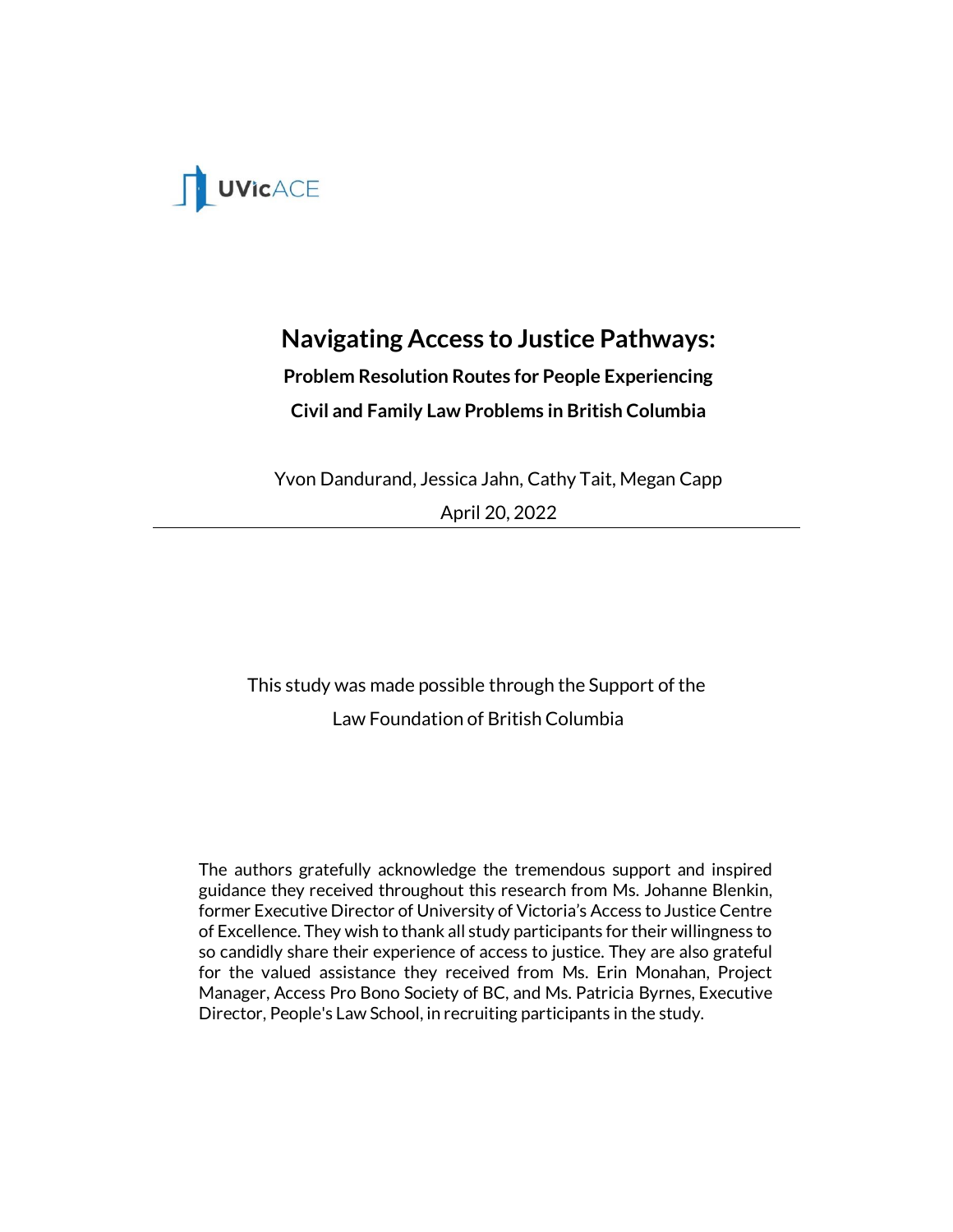

# **Navigating Access to Justice Pathways:**

# **Problem Resolution Routes for People Experiencing Civil and Family Law Problems in British Columbia**

Yvon Dandurand, Jessica Jahn, Cathy Tait, Megan Capp April 20, 2022

This study was made possible through the Support of the Law Foundation of British Columbia

The authors gratefully acknowledge the tremendous support and inspired guidance they received throughout this research from Ms. Johanne Blenkin, former Executive Director of University of Victoria's Access to Justice Centre of Excellence. They wish to thank all study participants for their willingness to so candidly share their experience of access to justice. They are also grateful for the valued assistance they received from Ms. Erin Monahan, Project Manager, Access Pro Bono Society of BC, and Ms. Patricia Byrnes, Executive Director, People's Law School, in recruiting participants in the study.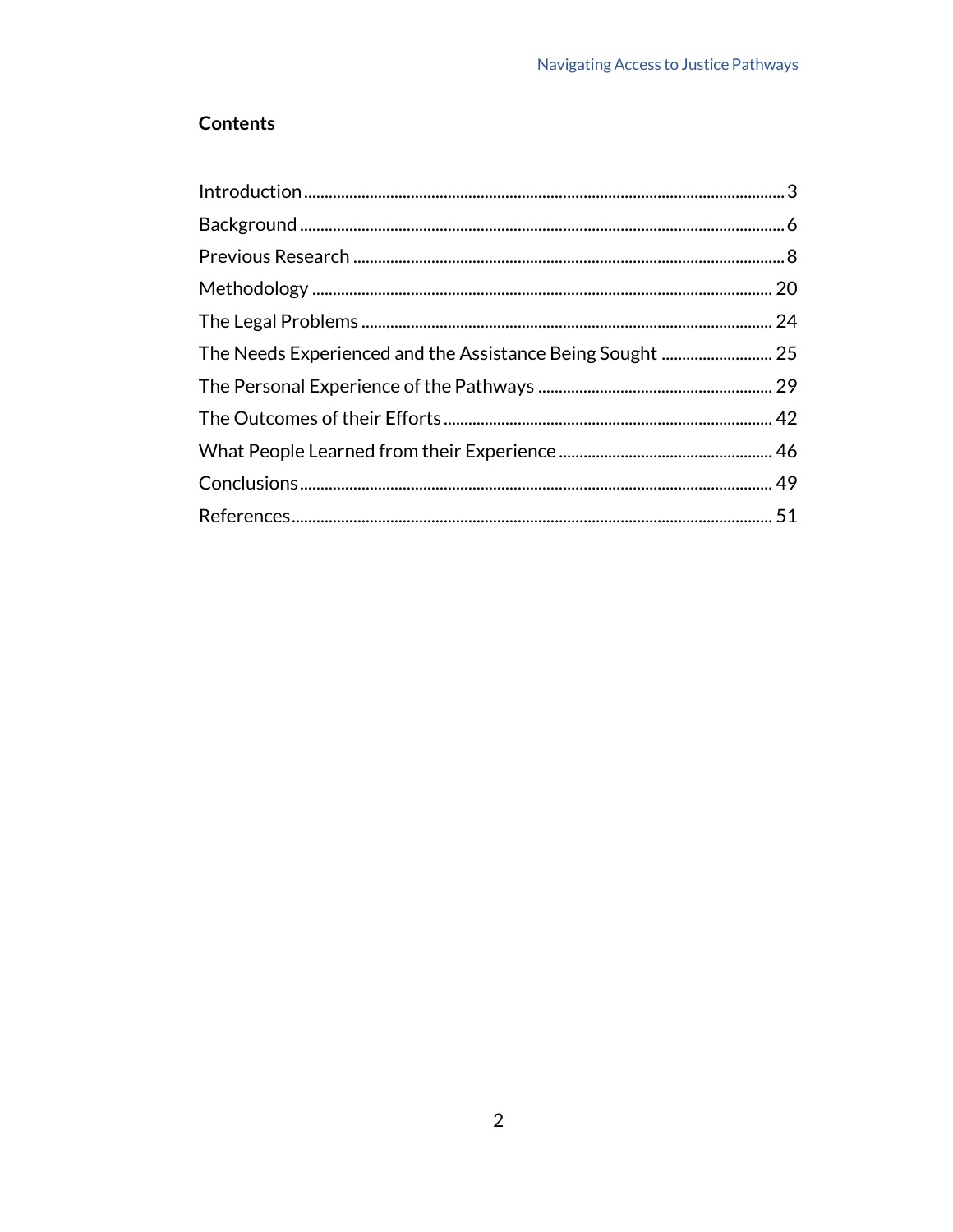# **Contents**

| The Needs Experienced and the Assistance Being Sought  25 |  |
|-----------------------------------------------------------|--|
|                                                           |  |
|                                                           |  |
|                                                           |  |
|                                                           |  |
|                                                           |  |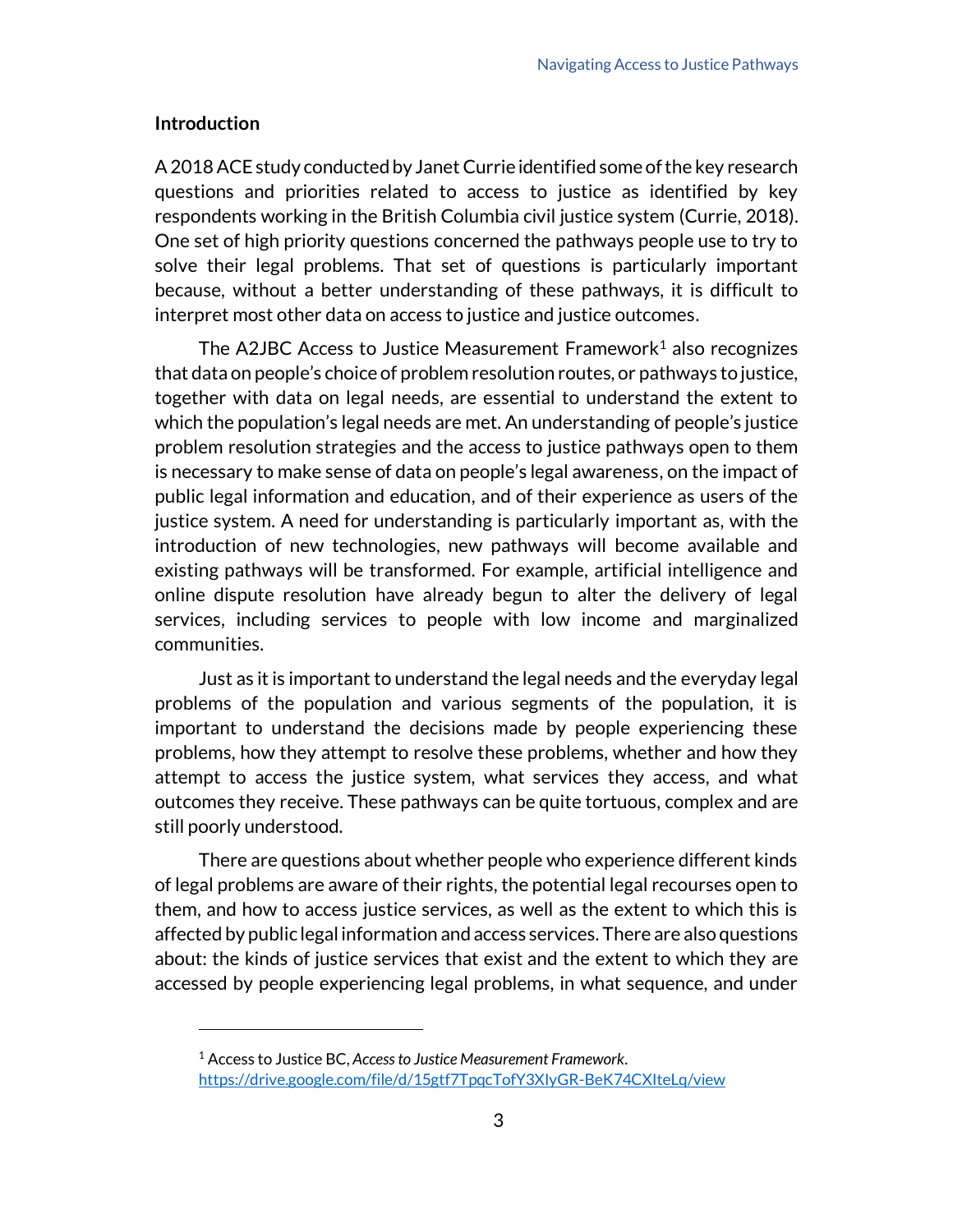## <span id="page-2-0"></span>**Introduction**

A 2018 ACE study conducted by Janet Currie identified some of the key research questions and priorities related to access to justice as identified by key respondents working in the British Columbia civil justice system (Currie, 2018). One set of high priority questions concerned the pathways people use to try to solve their legal problems. That set of questions is particularly important because, without a better understanding of these pathways, it is difficult to interpret most other data on access to justice and justice outcomes.

The A2JBC Access to Justice Measurement Framework<sup>1</sup> also recognizes that data on people's choice of problem resolution routes, or pathways to justice, together with data on legal needs, are essential to understand the extent to which the population's legal needs are met. An understanding of people's justice problem resolution strategies and the access to justice pathways open to them is necessary to make sense of data on people's legal awareness, on the impact of public legal information and education, and of their experience as users of the justice system. A need for understanding is particularly important as, with the introduction of new technologies, new pathways will become available and existing pathways will be transformed. For example, artificial intelligence and online dispute resolution have already begun to alter the delivery of legal services, including services to people with low income and marginalized communities.

Just as it is important to understand the legal needs and the everyday legal problems of the population and various segments of the population, it is important to understand the decisions made by people experiencing these problems, how they attempt to resolve these problems, whether and how they attempt to access the justice system, what services they access, and what outcomes they receive. These pathways can be quite tortuous, complex and are still poorly understood.

There are questions about whether people who experience different kinds of legal problems are aware of their rights, the potential legal recourses open to them, and how to access justice services, as well as the extent to which this is affected by public legal information and access services. There are also questions about: the kinds of justice services that exist and the extent to which they are accessed by people experiencing legal problems, in what sequence, and under

<sup>1</sup> Access to Justice BC, *Access to Justice Measurement Framework*. <https://drive.google.com/file/d/15gtf7TpqcTofY3XIyGR-BeK74CXIteLq/view>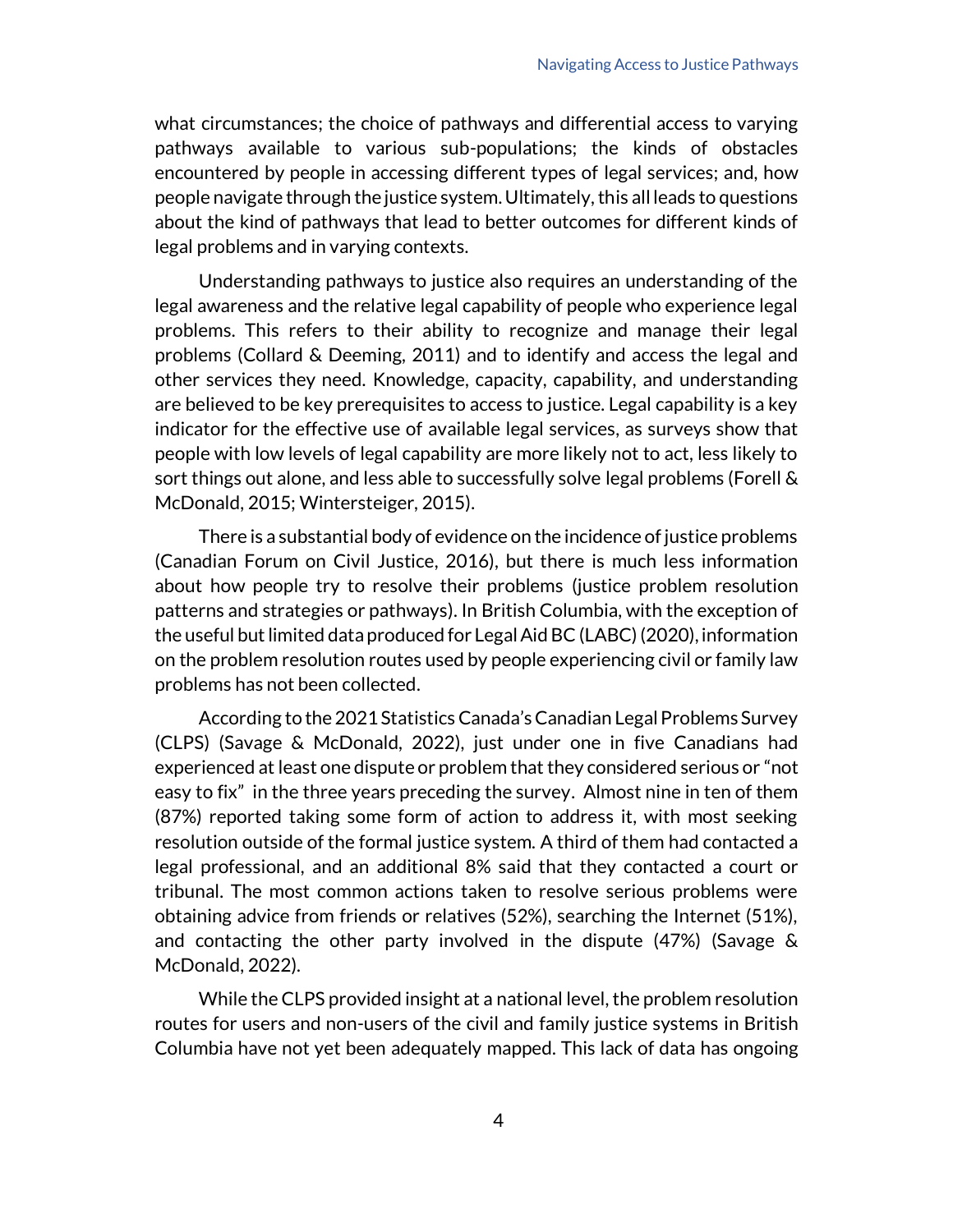what circumstances; the choice of pathways and differential access to varying pathways available to various sub-populations; the kinds of obstacles encountered by people in accessing different types of legal services; and, how people navigate through the justice system. Ultimately, this all leads to questions about the kind of pathways that lead to better outcomes for different kinds of legal problems and in varying contexts.

Understanding pathways to justice also requires an understanding of the legal awareness and the relative legal capability of people who experience legal problems. This refers to their ability to recognize and manage their legal problems (Collard & Deeming, 2011) and to identify and access the legal and other services they need. Knowledge, capacity, capability, and understanding are believed to be key prerequisites to access to justice. Legal capability is a key indicator for the effective use of available legal services, as surveys show that people with low levels of legal capability are more likely not to act, less likely to sort things out alone, and less able to successfully solve legal problems (Forell & McDonald, 2015; Wintersteiger, 2015).

There is a substantial body of evidence on the incidence of justice problems (Canadian Forum on Civil Justice, 2016), but there is much less information about how people try to resolve their problems (justice problem resolution patterns and strategies or pathways). In British Columbia, with the exception of the useful but limited data produced for Legal Aid BC (LABC) (2020), information on the problem resolution routes used by people experiencing civil or family law problems has not been collected.

According to the 2021 Statistics Canada's Canadian Legal Problems Survey (CLPS) (Savage & McDonald, 2022), just under one in five Canadians had experienced at least one dispute or problem that they considered serious or "not easy to fix" in the three years preceding the survey. Almost nine in ten of them (87%) reported taking some form of action to address it, with most seeking resolution outside of the formal justice system. A third of them had contacted a legal professional, and an additional 8% said that they contacted a court or tribunal. The most common actions taken to resolve serious problems were obtaining advice from friends or relatives (52%), searching the Internet (51%), and contacting the other party involved in the dispute (47%) (Savage & McDonald, 2022).

While the CLPS provided insight at a national level, the problem resolution routes for users and non-users of the civil and family justice systems in British Columbia have not yet been adequately mapped. This lack of data has ongoing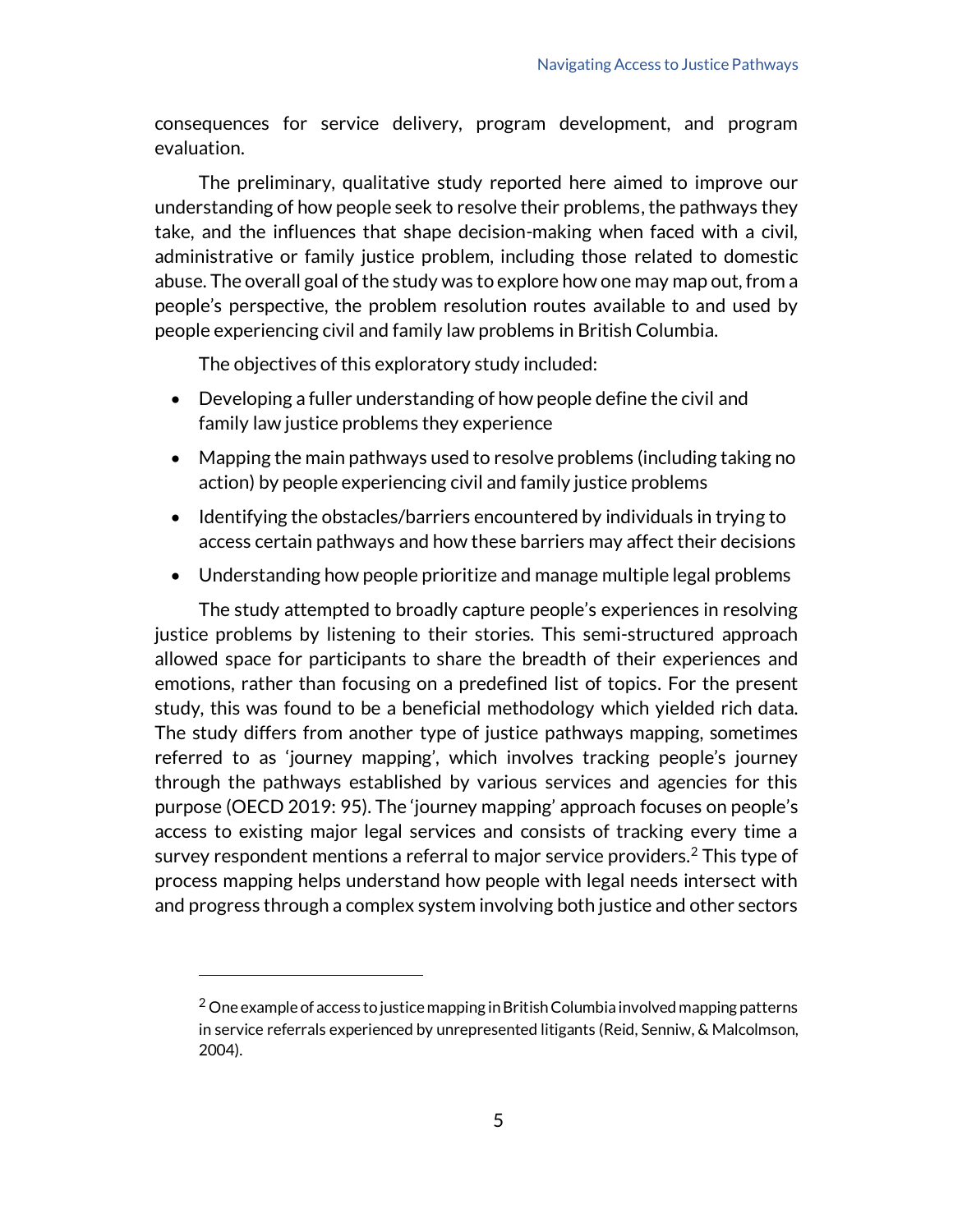consequences for service delivery, program development, and program evaluation.

The preliminary, qualitative study reported here aimed to improve our understanding of how people seek to resolve their problems, the pathways they take, and the influences that shape decision-making when faced with a civil, administrative or family justice problem, including those related to domestic abuse. The overall goal of the study was to explore how one may map out, from a people's perspective, the problem resolution routes available to and used by people experiencing civil and family law problems in British Columbia.

The objectives of this exploratory study included:

- Developing a fuller understanding of how people define the civil and family law justice problems they experience
- Mapping the main pathways used to resolve problems (including taking no action) by people experiencing civil and family justice problems
- Identifying the obstacles/barriers encountered by individuals in trying to access certain pathways and how these barriers may affect their decisions
- Understanding how people prioritize and manage multiple legal problems

The study attempted to broadly capture people's experiences in resolving justice problems by listening to their stories. This semi-structured approach allowed space for participants to share the breadth of their experiences and emotions, rather than focusing on a predefined list of topics. For the present study, this was found to be a beneficial methodology which yielded rich data. The study differs from another type of justice pathways mapping, sometimes referred to as 'journey mapping', which involves tracking people's journey through the pathways established by various services and agencies for this purpose (OECD 2019: 95). The 'journey mapping' approach focuses on people's access to existing major legal services and consists of tracking every time a survey respondent mentions a referral to major service providers.<sup>2</sup> This type of process mapping helps understand how people with legal needs intersect with and progress through a complex system involving both justice and other sectors

 $2$  One example of access to justice mapping in British Columbia involved mapping patterns in service referrals experienced by unrepresented litigants (Reid, Senniw, & Malcolmson, 2004).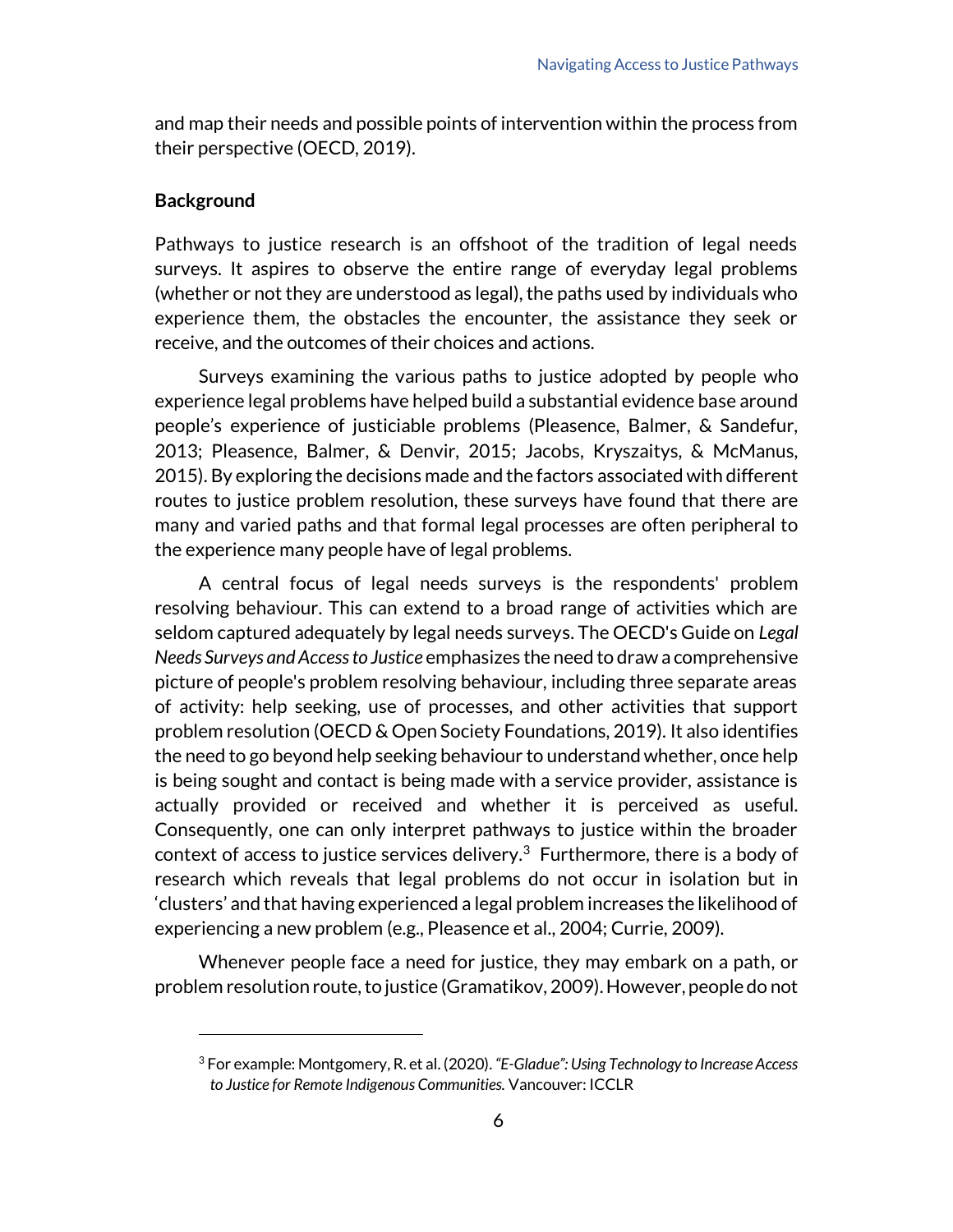and map their needs and possible points of intervention within the process from their perspective (OECD, 2019).

#### <span id="page-5-0"></span>**Background**

Pathways to justice research is an offshoot of the tradition of legal needs surveys. It aspires to observe the entire range of everyday legal problems (whether or not they are understood as legal), the paths used by individuals who experience them, the obstacles the encounter, the assistance they seek or receive, and the outcomes of their choices and actions.

Surveys examining the various paths to justice adopted by people who experience legal problems have helped build a substantial evidence base around people's experience of justiciable problems (Pleasence, Balmer, & Sandefur, 2013; Pleasence, Balmer, & Denvir, 2015; Jacobs, Kryszaitys, & McManus, 2015). By exploring the decisions made and the factors associated with different routes to justice problem resolution, these surveys have found that there are many and varied paths and that formal legal processes are often peripheral to the experience many people have of legal problems.

A central focus of legal needs surveys is the respondents' problem resolving behaviour. This can extend to a broad range of activities which are seldom captured adequately by legal needs surveys. The OECD's Guide on *Legal Needs Surveys and Access to Justice* emphasizes the need to draw a comprehensive picture of people's problem resolving behaviour, including three separate areas of activity: help seeking, use of processes, and other activities that support problem resolution (OECD & Open Society Foundations, 2019). It also identifies the need to go beyond help seeking behaviour to understand whether, once help is being sought and contact is being made with a service provider, assistance is actually provided or received and whether it is perceived as useful. Consequently, one can only interpret pathways to justice within the broader context of access to justice services delivery. $3$  Furthermore, there is a body of research which reveals that legal problems do not occur in isolation but in 'clusters' and that having experienced a legal problem increases the likelihood of experiencing a new problem (e.g., Pleasence et al., 2004; Currie, 2009).

Whenever people face a need for justice, they may embark on a path, or problem resolution route, to justice (Gramatikov, 2009). However, people do not

<sup>3</sup> For example: Montgomery, R. et al. (2020). *"E-Gladue": Using Technology to Increase Access to Justice for Remote Indigenous Communities.* Vancouver: ICCLR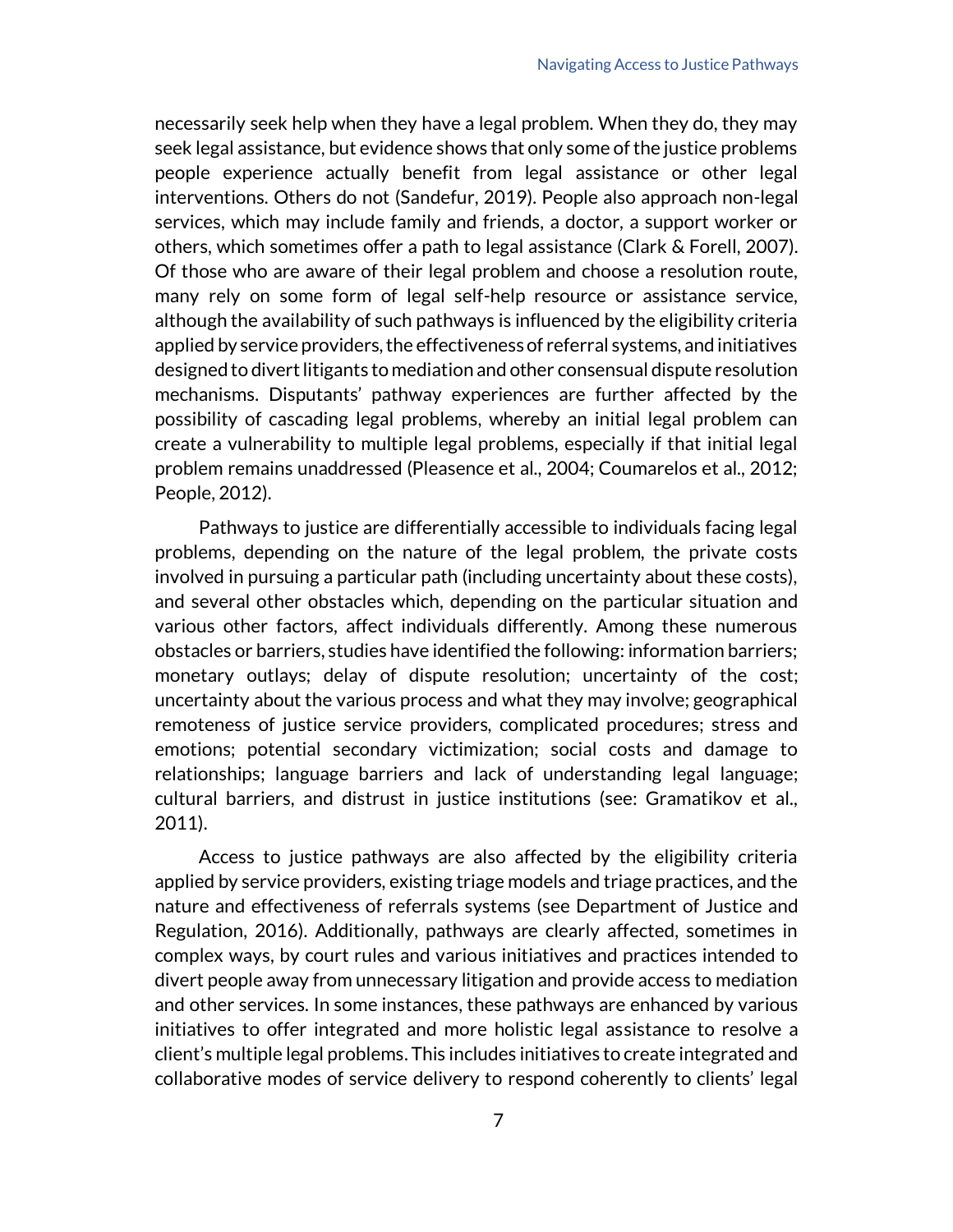necessarily seek help when they have a legal problem. When they do, they may seek legal assistance, but evidence shows that only some of the justice problems people experience actually benefit from legal assistance or other legal interventions. Others do not (Sandefur, 2019). People also approach non-legal services, which may include family and friends, a doctor, a support worker or others, which sometimes offer a path to legal assistance (Clark & Forell, 2007). Of those who are aware of their legal problem and choose a resolution route, many rely on some form of legal self-help resource or assistance service, although the availability of such pathways is influenced by the eligibility criteria applied by service providers, the effectiveness of referral systems, and initiatives designed to divert litigants to mediation and other consensual dispute resolution mechanisms. Disputants' pathway experiences are further affected by the possibility of cascading legal problems, whereby an initial legal problem can create a vulnerability to multiple legal problems, especially if that initial legal problem remains unaddressed (Pleasence et al., 2004; Coumarelos et al., 2012; People, 2012).

Pathways to justice are differentially accessible to individuals facing legal problems, depending on the nature of the legal problem, the private costs involved in pursuing a particular path (including uncertainty about these costs), and several other obstacles which, depending on the particular situation and various other factors, affect individuals differently. Among these numerous obstacles or barriers, studies have identified the following: information barriers; monetary outlays; delay of dispute resolution; uncertainty of the cost; uncertainty about the various process and what they may involve; geographical remoteness of justice service providers, complicated procedures; stress and emotions; potential secondary victimization; social costs and damage to relationships; language barriers and lack of understanding legal language; cultural barriers, and distrust in justice institutions (see: Gramatikov et al., 2011).

Access to justice pathways are also affected by the eligibility criteria applied by service providers, existing triage models and triage practices, and the nature and effectiveness of referrals systems (see Department of Justice and Regulation, 2016). Additionally, pathways are clearly affected, sometimes in complex ways, by court rules and various initiatives and practices intended to divert people away from unnecessary litigation and provide access to mediation and other services. In some instances, these pathways are enhanced by various initiatives to offer integrated and more holistic legal assistance to resolve a client's multiple legal problems. This includes initiatives to create integrated and collaborative modes of service delivery to respond coherently to clients' legal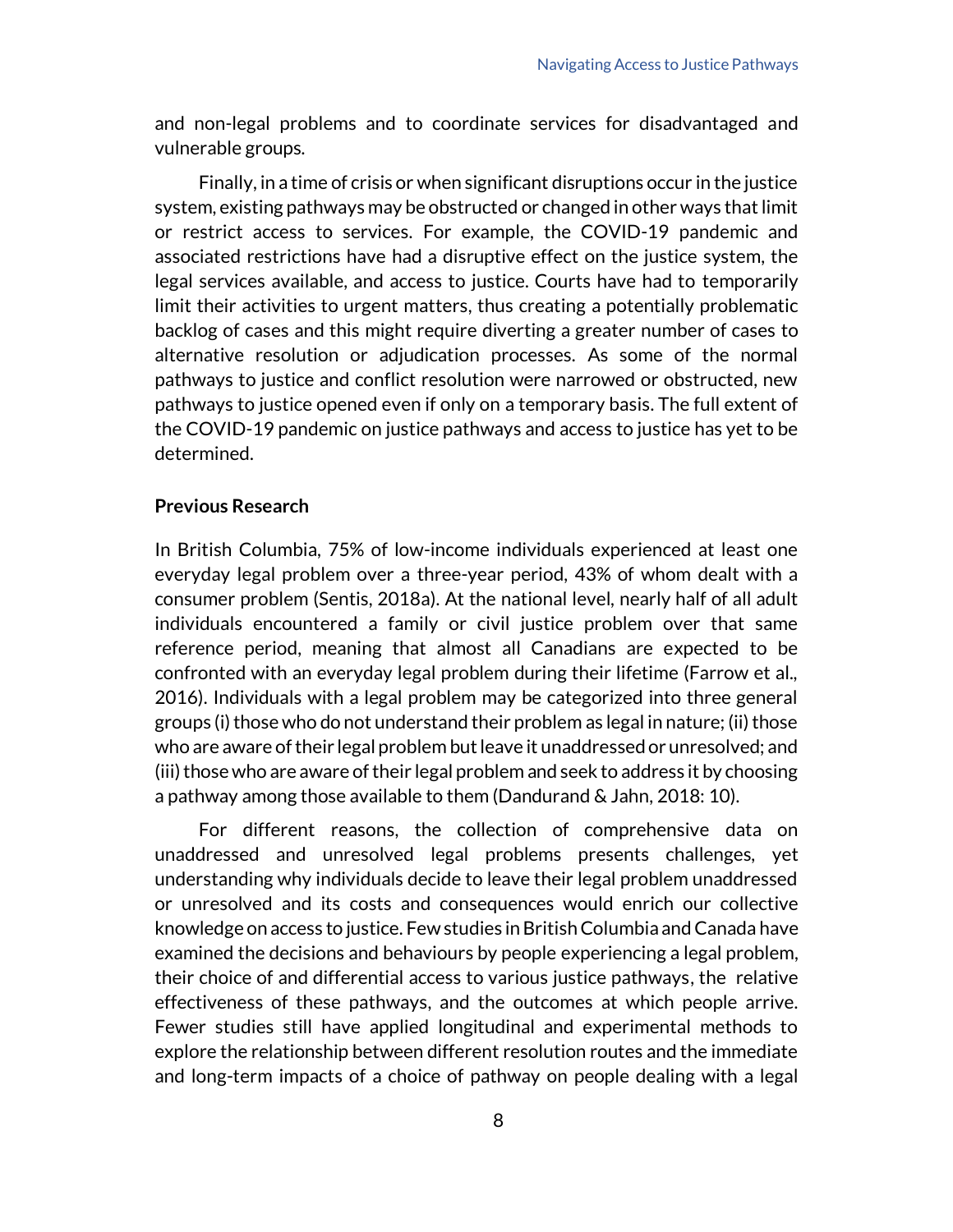and non-legal problems and to coordinate services for disadvantaged and vulnerable groups.

Finally, in a time of crisis or when significant disruptions occur in the justice system, existing pathways may be obstructed or changed in other ways that limit or restrict access to services. For example, the COVID-19 pandemic and associated restrictions have had a disruptive effect on the justice system, the legal services available, and access to justice. Courts have had to temporarily limit their activities to urgent matters, thus creating a potentially problematic backlog of cases and this might require diverting a greater number of cases to alternative resolution or adjudication processes. As some of the normal pathways to justice and conflict resolution were narrowed or obstructed, new pathways to justice opened even if only on a temporary basis. The full extent of the COVID-19 pandemic on justice pathways and access to justice has yet to be determined.

## <span id="page-7-0"></span>**Previous Research**

In British Columbia, 75% of low-income individuals experienced at least one everyday legal problem over a three-year period, 43% of whom dealt with a consumer problem (Sentis, 2018a). At the national level, nearly half of all adult individuals encountered a family or civil justice problem over that same reference period, meaning that almost all Canadians are expected to be confronted with an everyday legal problem during their lifetime (Farrow et al., 2016). Individuals with a legal problem may be categorized into three general groups (i) those who do not understand their problem as legal in nature; (ii) those who are aware of their legal problem but leave it unaddressed or unresolved; and (iii) those who are aware of their legal problem and seek to address it by choosing a pathway among those available to them (Dandurand & Jahn, 2018: 10).

For different reasons, the collection of comprehensive data on unaddressed and unresolved legal problems presents challenges, yet understanding why individuals decide to leave their legal problem unaddressed or unresolved and its costs and consequences would enrich our collective knowledge on access to justice. Few studies in British Columbia and Canada have examined the decisions and behaviours by people experiencing a legal problem, their choice of and differential access to various justice pathways, the relative effectiveness of these pathways, and the outcomes at which people arrive. Fewer studies still have applied longitudinal and experimental methods to explore the relationship between different resolution routes and the immediate and long-term impacts of a choice of pathway on people dealing with a legal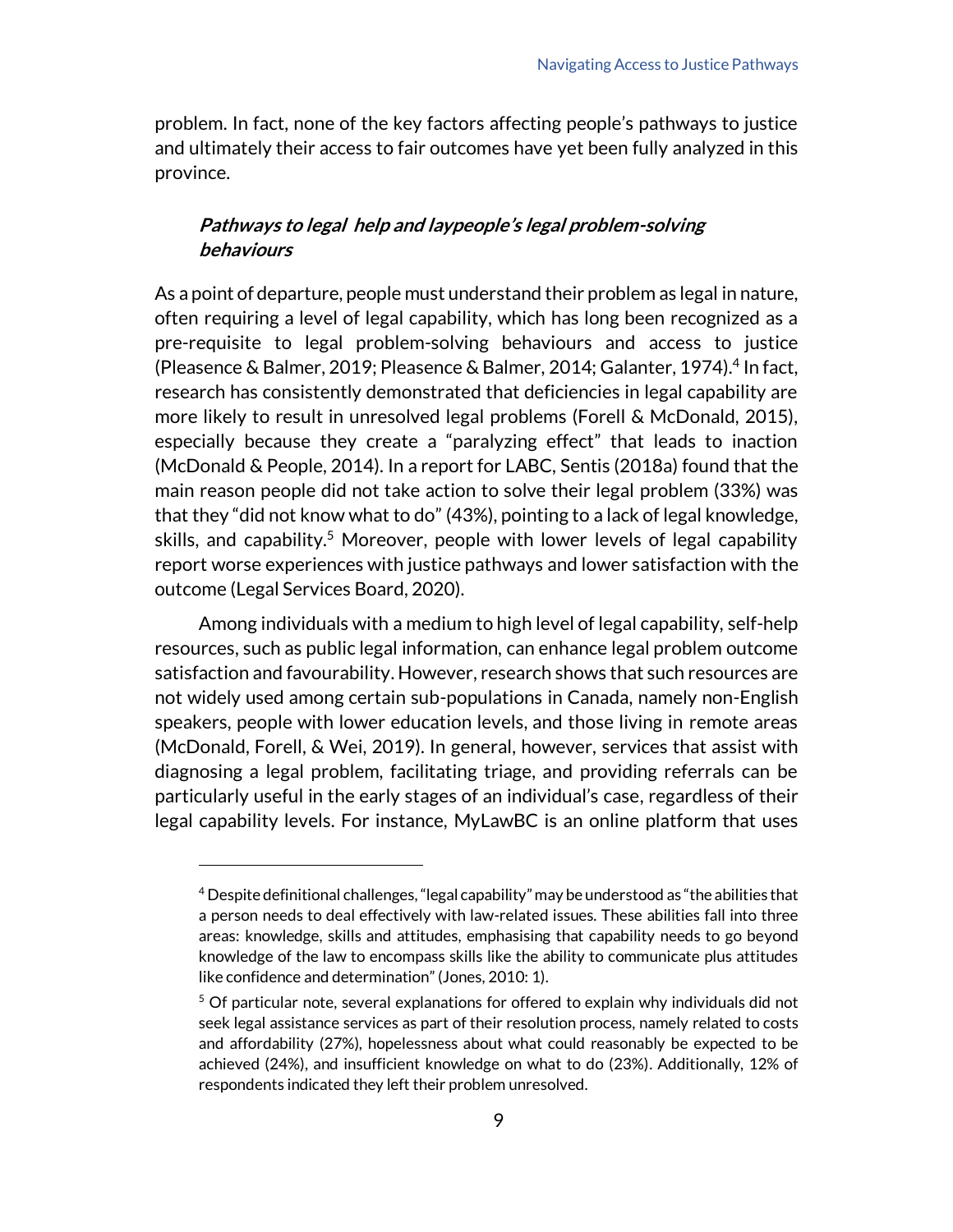problem. In fact, none of the key factors affecting people's pathways to justice and ultimately their access to fair outcomes have yet been fully analyzed in this province.

# **Pathways to legal help and laypeople's legal problem-solving behaviours**

As a point of departure, people must understand their problem as legal in nature, often requiring a level of legal capability, which has long been recognized as a pre-requisite to legal problem-solving behaviours and access to justice (Pleasence & Balmer, 2019; Pleasence & Balmer, 2014; Galanter, 1974).<sup>4</sup> In fact, research has consistently demonstrated that deficiencies in legal capability are more likely to result in unresolved legal problems (Forell & McDonald, 2015), especially because they create a "paralyzing effect" that leads to inaction (McDonald & People, 2014). In a report for LABC, Sentis (2018a) found that the main reason people did not take action to solve their legal problem (33%) was that they "did not know what to do" (43%), pointing to a lack of legal knowledge, skills, and capability.<sup>5</sup> Moreover, people with lower levels of legal capability report worse experiences with justice pathways and lower satisfaction with the outcome (Legal Services Board, 2020).

Among individuals with a medium to high level of legal capability, self-help resources, such as public legal information, can enhance legal problem outcome satisfaction and favourability. However, research shows that such resources are not widely used among certain sub-populations in Canada, namely non-English speakers, people with lower education levels, and those living in remote areas (McDonald, Forell, & Wei, 2019). In general, however, services that assist with diagnosing a legal problem, facilitating triage, and providing referrals can be particularly useful in the early stages of an individual's case, regardless of their legal capability levels. For instance, MyLawBC is an online platform that uses

<sup>4</sup> Despite definitional challenges, "legal capability"may be understood as "the abilities that a person needs to deal effectively with law-related issues. These abilities fall into three areas: knowledge, skills and attitudes, emphasising that capability needs to go beyond knowledge of the law to encompass skills like the ability to communicate plus attitudes like confidence and determination" (Jones, 2010: 1).

<sup>5</sup> Of particular note, several explanations for offered to explain why individuals did not seek legal assistance services as part of their resolution process, namely related to costs and affordability (27%), hopelessness about what could reasonably be expected to be achieved (24%), and insufficient knowledge on what to do (23%). Additionally, 12% of respondents indicated they left their problem unresolved.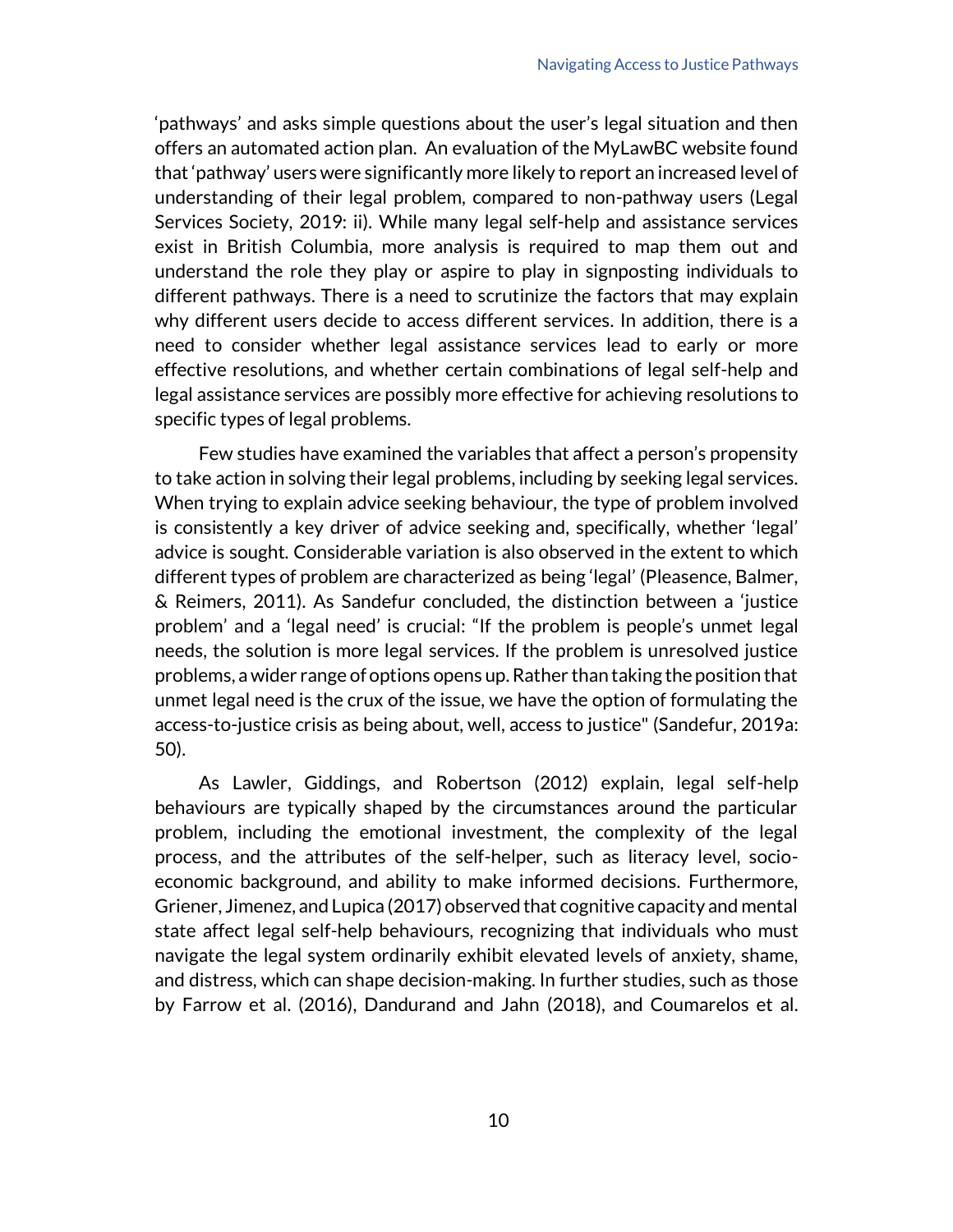'pathways' and asks simple questions about the user's legal situation and then offers an automated action plan. An evaluation of the MyLawBC website found that 'pathway' users were significantly more likely to report an increased level of understanding of their legal problem, compared to non-pathway users (Legal Services Society, 2019: ii). While many legal self-help and assistance services exist in British Columbia, more analysis is required to map them out and understand the role they play or aspire to play in signposting individuals to different pathways. There is a need to scrutinize the factors that may explain why different users decide to access different services. In addition, there is a need to consider whether legal assistance services lead to early or more effective resolutions, and whether certain combinations of legal self-help and legal assistance services are possibly more effective for achieving resolutions to specific types of legal problems.

Few studies have examined the variables that affect a person's propensity to take action in solving their legal problems, including by seeking legal services. When trying to explain advice seeking behaviour, the type of problem involved is consistently a key driver of advice seeking and, specifically, whether 'legal' advice is sought. Considerable variation is also observed in the extent to which different types of problem are characterized as being 'legal' (Pleasence, Balmer, & Reimers, 2011). As Sandefur concluded, the distinction between a 'justice problem' and a 'legal need' is crucial: "If the problem is people's unmet legal needs, the solution is more legal services. If the problem is unresolved justice problems, a wider range of options opens up. Rather than taking the position that unmet legal need is the crux of the issue, we have the option of formulating the access-to-justice crisis as being about, well, access to justice" (Sandefur, 2019a: 50).

As Lawler, Giddings, and Robertson (2012) explain, legal self-help behaviours are typically shaped by the circumstances around the particular problem, including the emotional investment, the complexity of the legal process, and the attributes of the self-helper, such as literacy level, socioeconomic background, and ability to make informed decisions. Furthermore, Griener, Jimenez, and Lupica (2017) observed that cognitive capacity and mental state affect legal self-help behaviours, recognizing that individuals who must navigate the legal system ordinarily exhibit elevated levels of anxiety, shame, and distress, which can shape decision-making. In further studies, such as those by Farrow et al. (2016), Dandurand and Jahn (2018), and Coumarelos et al.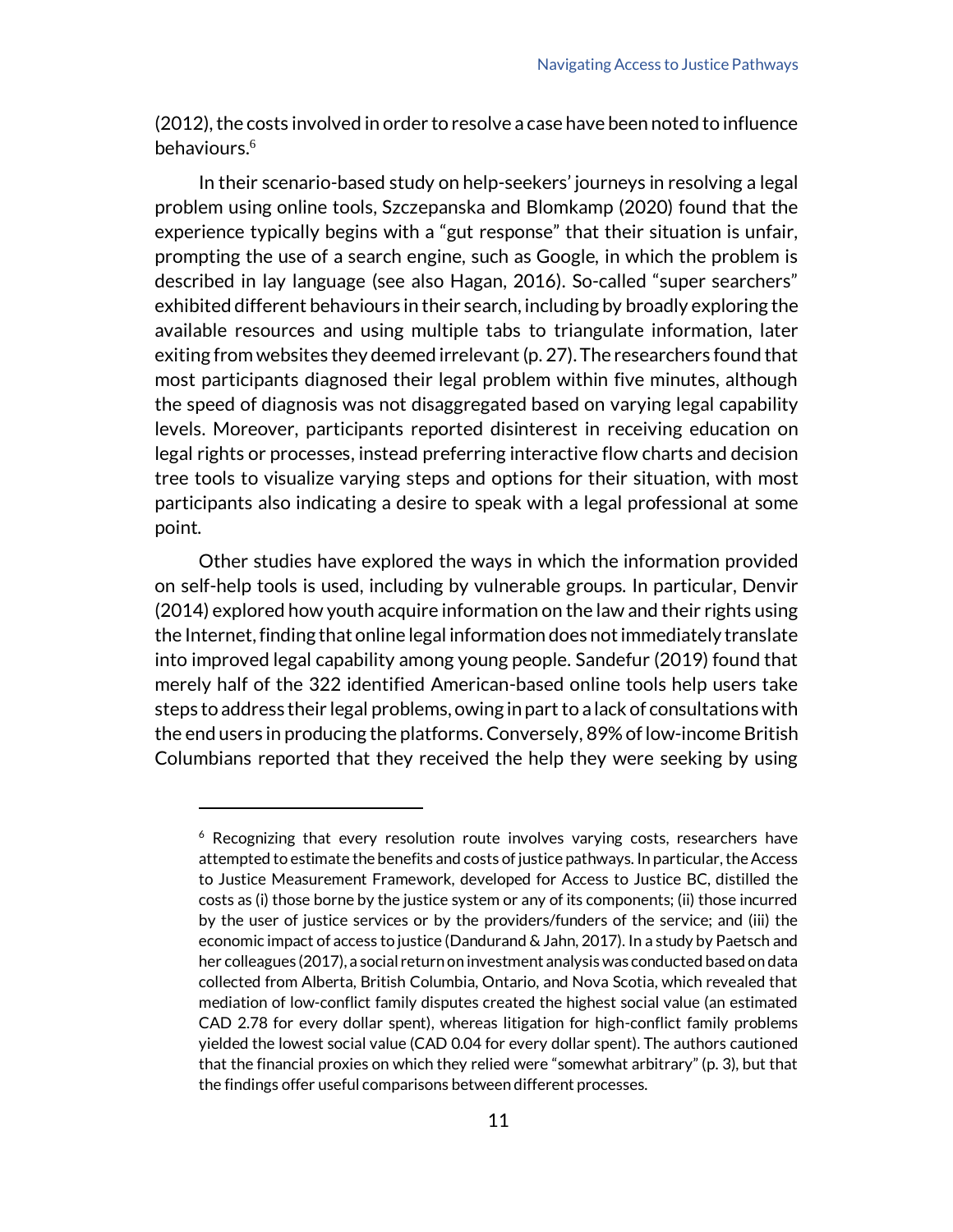(2012), the costs involved in order to resolve a case have been noted to influence behaviours.<sup>6</sup>

In their scenario-based study on help-seekers' journeys in resolving a legal problem using online tools, Szczepanska and Blomkamp (2020) found that the experience typically begins with a "gut response" that their situation is unfair, prompting the use of a search engine, such as Google, in which the problem is described in lay language (see also Hagan, 2016). So-called "super searchers" exhibited different behaviours in their search, including by broadly exploring the available resources and using multiple tabs to triangulate information, later exiting from websites they deemed irrelevant(p. 27). The researchers found that most participants diagnosed their legal problem within five minutes, although the speed of diagnosis was not disaggregated based on varying legal capability levels. Moreover, participants reported disinterest in receiving education on legal rights or processes, instead preferring interactive flow charts and decision tree tools to visualize varying steps and options for their situation, with most participants also indicating a desire to speak with a legal professional at some point.

Other studies have explored the ways in which the information provided on self-help tools is used, including by vulnerable groups. In particular, Denvir (2014) explored how youth acquire information on the law and their rights using the Internet, finding that online legal information does not immediately translate into improved legal capability among young people. Sandefur (2019) found that merely half of the 322 identified American-based online tools help users take steps to address their legal problems, owing in part to a lack of consultations with the end users in producing the platforms. Conversely, 89% of low-income British Columbians reported that they received the help they were seeking by using

<sup>&</sup>lt;sup>6</sup> Recognizing that every resolution route involves varying costs, researchers have attempted to estimate the benefits and costs of justice pathways. In particular, the Access to Justice Measurement Framework, developed for Access to Justice BC, distilled the costs as (i) those borne by the justice system or any of its components; (ii) those incurred by the user of justice services or by the providers/funders of the service; and (iii) the economic impact of access to justice (Dandurand & Jahn, 2017). In a study by Paetsch and her colleagues (2017), a social return on investment analysis was conducted based on data collected from Alberta, British Columbia, Ontario, and Nova Scotia, which revealed that mediation of low-conflict family disputes created the highest social value (an estimated CAD 2.78 for every dollar spent), whereas litigation for high-conflict family problems yielded the lowest social value (CAD 0.04 for every dollar spent). The authors cautioned that the financial proxies on which they relied were "somewhat arbitrary" (p. 3), but that the findings offer useful comparisons between different processes.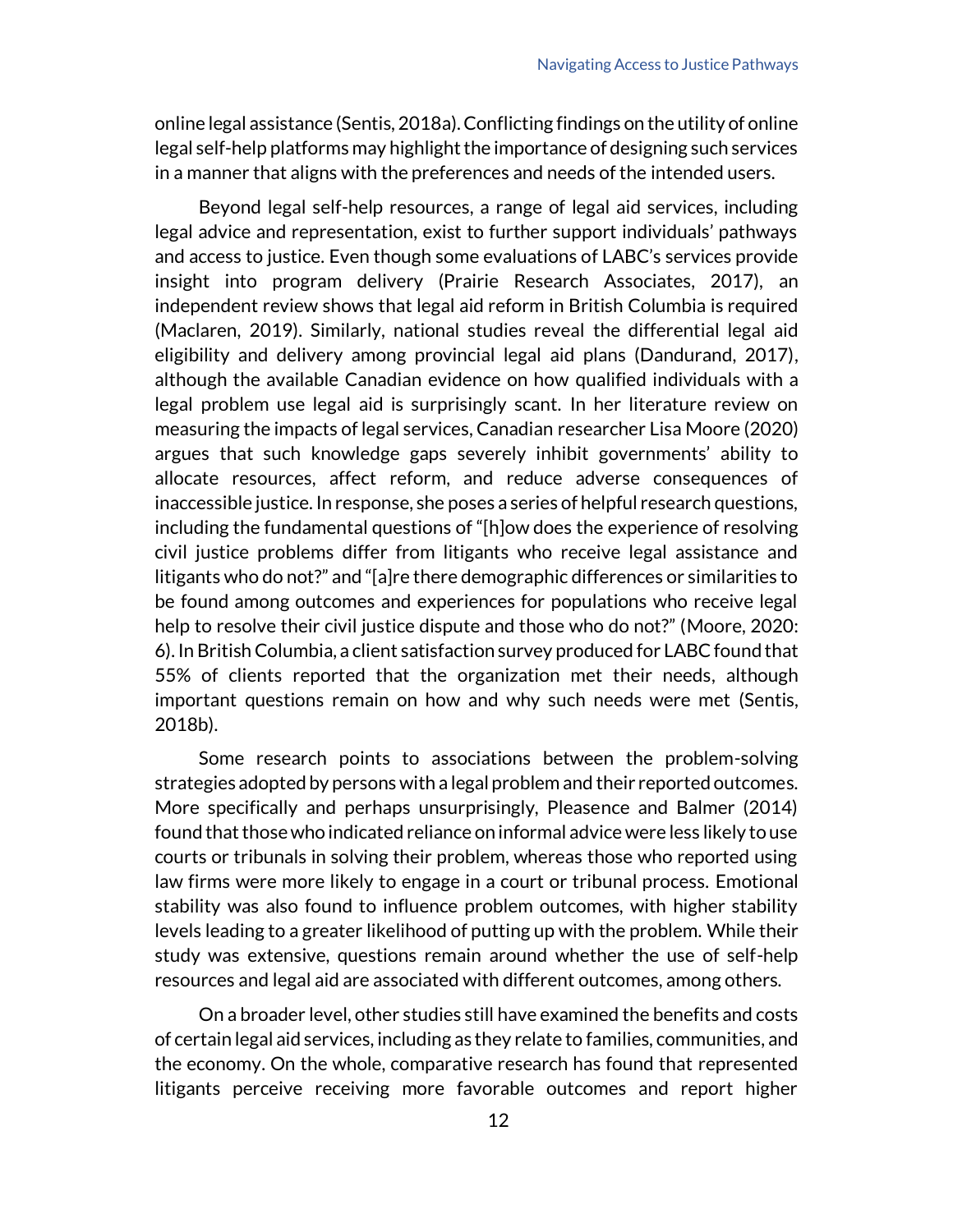online legal assistance (Sentis, 2018a). Conflicting findings on the utility of online legal self-help platforms may highlight the importance of designing such services in a manner that aligns with the preferences and needs of the intended users.

Beyond legal self-help resources, a range of legal aid services, including legal advice and representation, exist to further support individuals' pathways and access to justice. Even though some evaluations of LABC's services provide insight into program delivery (Prairie Research Associates, 2017), an independent review shows that legal aid reform in British Columbia is required (Maclaren, 2019). Similarly, national studies reveal the differential legal aid eligibility and delivery among provincial legal aid plans (Dandurand, 2017), although the available Canadian evidence on how qualified individuals with a legal problem use legal aid is surprisingly scant. In her literature review on measuring the impacts of legal services, Canadian researcher Lisa Moore (2020) argues that such knowledge gaps severely inhibit governments' ability to allocate resources, affect reform, and reduce adverse consequences of inaccessible justice. In response, she poses a series of helpful research questions, including the fundamental questions of "[h]ow does the experience of resolving civil justice problems differ from litigants who receive legal assistance and litigants who do not?" and "[a]re there demographic differences or similarities to be found among outcomes and experiences for populations who receive legal help to resolve their civil justice dispute and those who do not?" (Moore, 2020: 6). In British Columbia, a client satisfaction survey produced for LABCfound that 55% of clients reported that the organization met their needs, although important questions remain on how and why such needs were met (Sentis, 2018b).

Some research points to associations between the problem-solving strategies adopted by persons with a legal problem and their reported outcomes. More specifically and perhaps unsurprisingly, Pleasence and Balmer (2014) found that those who indicated reliance on informal advice were less likely to use courts or tribunals in solving their problem, whereas those who reported using law firms were more likely to engage in a court or tribunal process. Emotional stability was also found to influence problem outcomes, with higher stability levels leading to a greater likelihood of putting up with the problem. While their study was extensive, questions remain around whether the use of self-help resources and legal aid are associated with different outcomes, among others.

On a broader level, other studies still have examined the benefits and costs of certain legal aid services, including as they relate to families, communities, and the economy. On the whole, comparative research has found that represented litigants perceive receiving more favorable outcomes and report higher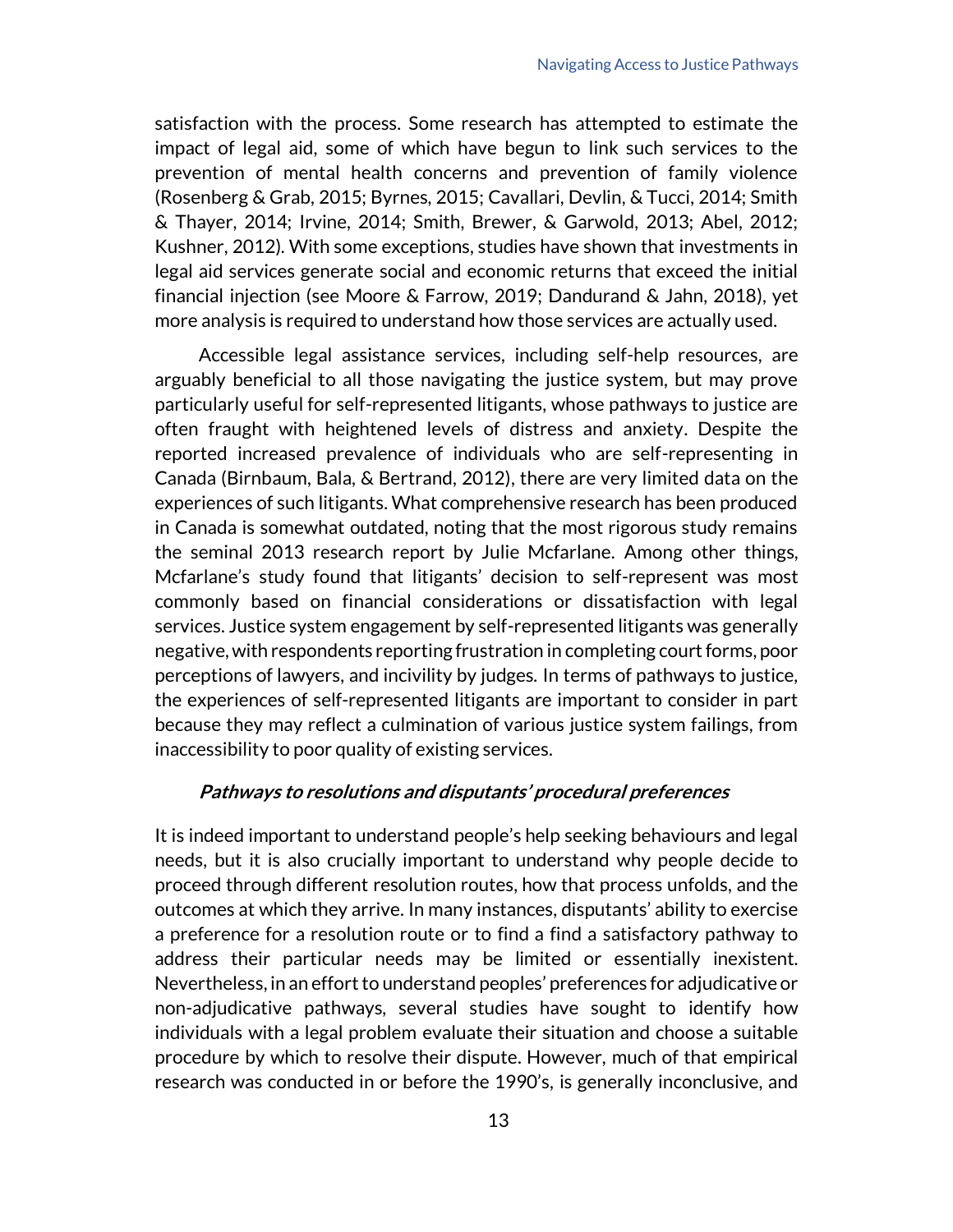satisfaction with the process. Some research has attempted to estimate the impact of legal aid, some of which have begun to link such services to the prevention of mental health concerns and prevention of family violence (Rosenberg & Grab, 2015; Byrnes, 2015; Cavallari, Devlin, & Tucci, 2014; Smith & Thayer, 2014; Irvine, 2014; Smith, Brewer, & Garwold, 2013; Abel, 2012; Kushner, 2012). With some exceptions, studies have shown that investments in legal aid services generate social and economic returns that exceed the initial financial injection (see Moore & Farrow, 2019; Dandurand & Jahn, 2018), yet more analysis is required to understand how those services are actually used.

Accessible legal assistance services, including self-help resources, are arguably beneficial to all those navigating the justice system, but may prove particularly useful for self-represented litigants, whose pathways to justice are often fraught with heightened levels of distress and anxiety. Despite the reported increased prevalence of individuals who are self-representing in Canada (Birnbaum, Bala, & Bertrand, 2012), there are very limited data on the experiences of such litigants. What comprehensive research has been produced in Canada is somewhat outdated, noting that the most rigorous study remains the seminal 2013 research report by Julie Mcfarlane. Among other things, Mcfarlane's study found that litigants' decision to self-represent was most commonly based on financial considerations or dissatisfaction with legal services. Justice system engagement by self-represented litigants was generally negative, with respondents reporting frustration in completing court forms, poor perceptions of lawyers, and incivility by judges. In terms of pathways to justice, the experiences of self-represented litigants are important to consider in part because they may reflect a culmination of various justice system failings, from inaccessibility to poor quality of existing services.

#### **Pathways to resolutions and disputants' procedural preferences**

It is indeed important to understand people's help seeking behaviours and legal needs, but it is also crucially important to understand why people decide to proceed through different resolution routes, how that process unfolds, and the outcomes at which they arrive. In many instances, disputants' ability to exercise a preference for a resolution route or to find a find a satisfactory pathway to address their particular needs may be limited or essentially inexistent. Nevertheless, in an effort to understand peoples' preferences for adjudicative or non-adjudicative pathways, several studies have sought to identify how individuals with a legal problem evaluate their situation and choose a suitable procedure by which to resolve their dispute. However, much of that empirical research was conducted in or before the 1990's, is generally inconclusive, and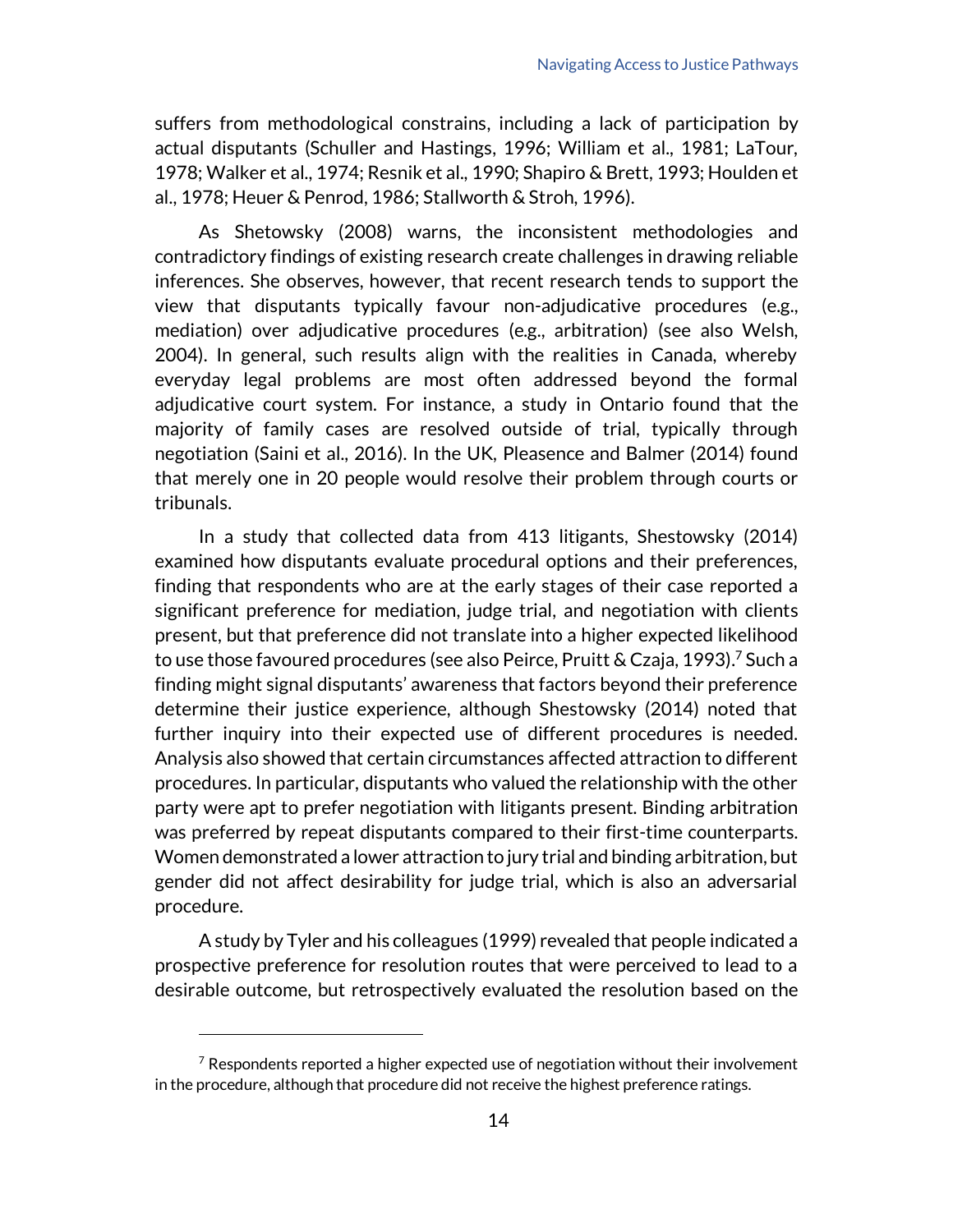suffers from methodological constrains, including a lack of participation by actual disputants (Schuller and Hastings, 1996; William et al., 1981; LaTour, 1978; Walker et al., 1974; Resnik et al., 1990; Shapiro & Brett, 1993; Houlden et al., 1978; Heuer & Penrod, 1986; Stallworth & Stroh, 1996).

As Shetowsky (2008) warns, the inconsistent methodologies and contradictory findings of existing research create challenges in drawing reliable inferences. She observes, however, that recent research tends to support the view that disputants typically favour non-adjudicative procedures (e.g., mediation) over adjudicative procedures (e.g., arbitration) (see also Welsh, 2004). In general, such results align with the realities in Canada, whereby everyday legal problems are most often addressed beyond the formal adjudicative court system. For instance, a study in Ontario found that the majority of family cases are resolved outside of trial, typically through negotiation (Saini et al., 2016). In the UK, Pleasence and Balmer (2014) found that merely one in 20 people would resolve their problem through courts or tribunals.

In a study that collected data from 413 litigants, Shestowsky (2014) examined how disputants evaluate procedural options and their preferences, finding that respondents who are at the early stages of their case reported a significant preference for mediation, judge trial, and negotiation with clients present, but that preference did not translate into a higher expected likelihood to use those favoured procedures (see also Peirce, Pruitt & Czaja, 1993). <sup>7</sup> Such a finding might signal disputants' awareness that factors beyond their preference determine their justice experience, although Shestowsky (2014) noted that further inquiry into their expected use of different procedures is needed. Analysis also showed that certain circumstances affected attraction to different procedures. In particular, disputants who valued the relationship with the other party were apt to prefer negotiation with litigants present. Binding arbitration was preferred by repeat disputants compared to their first-time counterparts. Women demonstrated a lower attraction to jury trial and binding arbitration, but gender did not affect desirability for judge trial, which is also an adversarial procedure.

A study by Tyler and his colleagues (1999) revealed that people indicated a prospective preference for resolution routes that were perceived to lead to a desirable outcome, but retrospectively evaluated the resolution based on the

 $7$  Respondents reported a higher expected use of negotiation without their involvement in the procedure, although that procedure did not receive the highest preference ratings.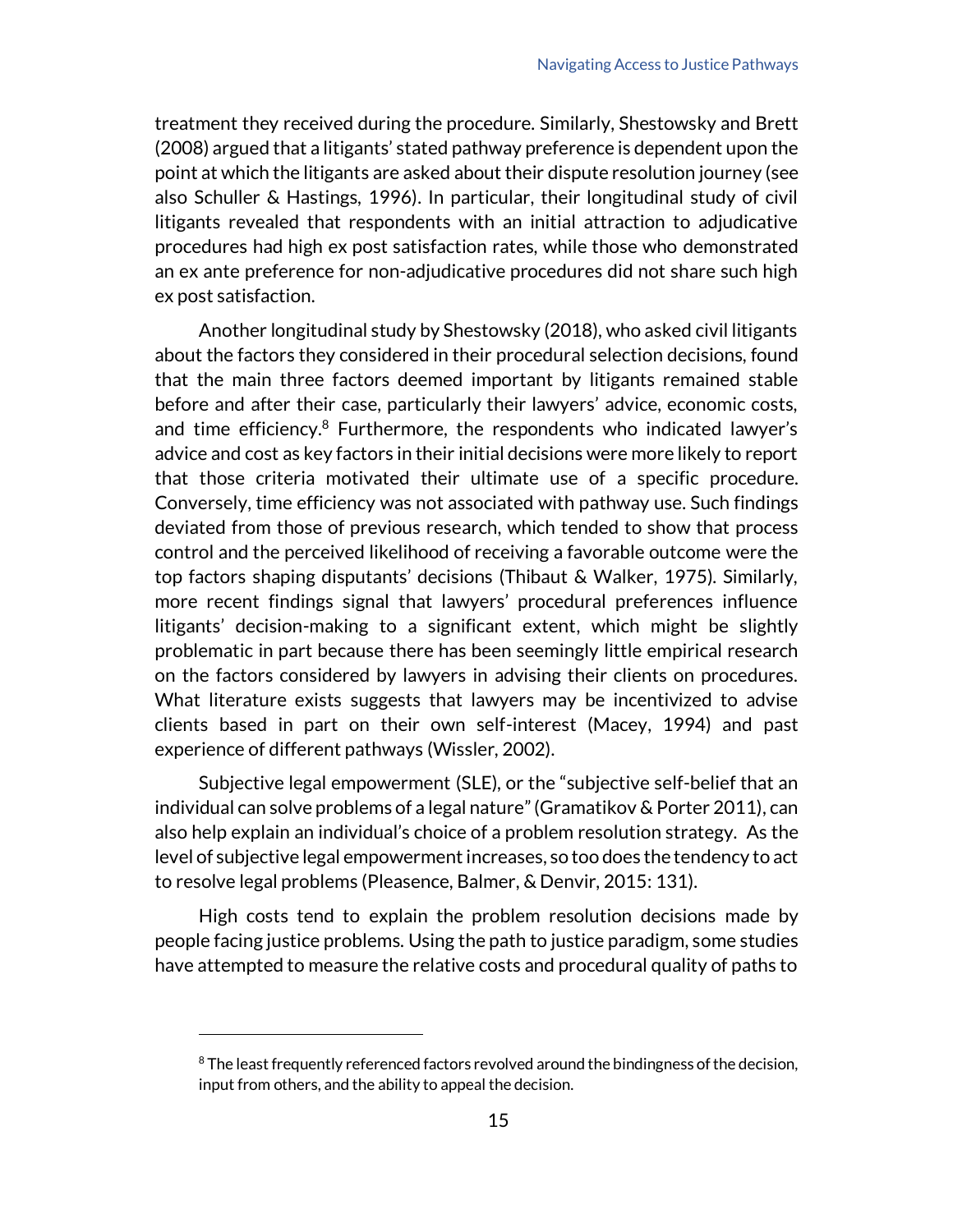treatment they received during the procedure. Similarly, Shestowsky and Brett (2008) argued that a litigants' stated pathway preference is dependent upon the point at which the litigants are asked about their dispute resolution journey (see also Schuller & Hastings, 1996). In particular, their longitudinal study of civil litigants revealed that respondents with an initial attraction to adjudicative procedures had high ex post satisfaction rates, while those who demonstrated an ex ante preference for non-adjudicative procedures did not share such high ex post satisfaction.

Another longitudinal study by Shestowsky (2018), who asked civil litigants about the factors they considered in their procedural selection decisions, found that the main three factors deemed important by litigants remained stable before and after their case, particularly their lawyers' advice, economic costs, and time efficiency.<sup>8</sup> Furthermore, the respondents who indicated lawyer's advice and cost as key factors in their initial decisions were more likely to report that those criteria motivated their ultimate use of a specific procedure. Conversely, time efficiency was not associated with pathway use. Such findings deviated from those of previous research, which tended to show that process control and the perceived likelihood of receiving a favorable outcome were the top factors shaping disputants' decisions (Thibaut & Walker, 1975). Similarly, more recent findings signal that lawyers' procedural preferences influence litigants' decision-making to a significant extent, which might be slightly problematic in part because there has been seemingly little empirical research on the factors considered by lawyers in advising their clients on procedures. What literature exists suggests that lawyers may be incentivized to advise clients based in part on their own self-interest (Macey, 1994) and past experience of different pathways (Wissler, 2002).

Subjective legal empowerment (SLE), or the "subjective self-belief that an individual can solve problems of a legal nature" (Gramatikov & Porter 2011), can also help explain an individual's choice of a problem resolution strategy. As the level of subjective legal empowerment increases, so too does the tendency to act to resolve legal problems (Pleasence, Balmer, & Denvir, 2015: 131).

High costs tend to explain the problem resolution decisions made by people facing justice problems. Using the path to justice paradigm, some studies have attempted to measure the relative costs and procedural quality of paths to

<sup>&</sup>lt;sup>8</sup> The least frequently referenced factors revolved around the bindingness of the decision, input from others, and the ability to appeal the decision.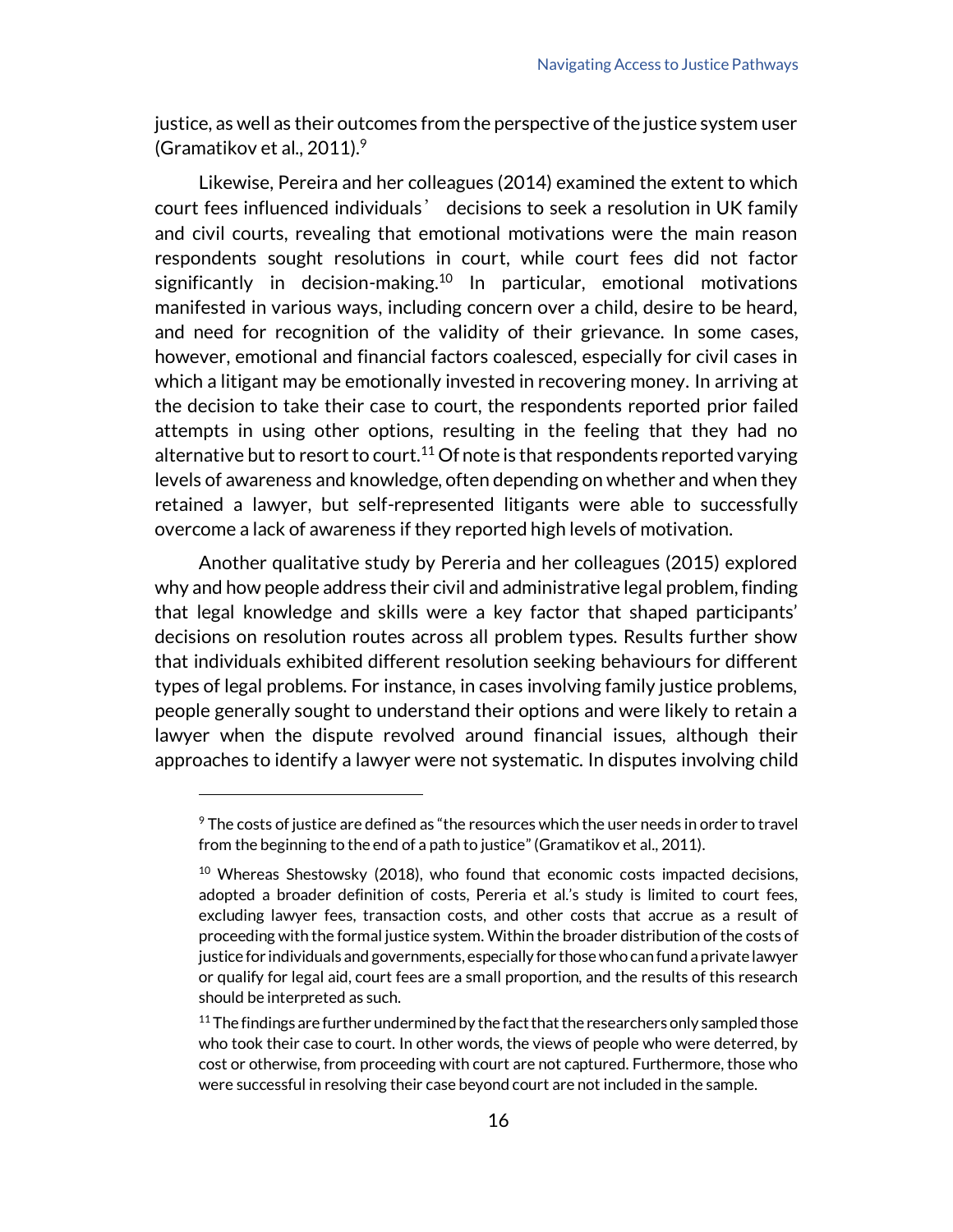justice, as well as their outcomes from the perspective of the justice system user (Gramatikov et al., 2011).<sup>9</sup>

Likewise, Pereira and her colleagues (2014) examined the extent to which court fees influenced individuals' decisions to seek a resolution in UK family and civil courts, revealing that emotional motivations were the main reason respondents sought resolutions in court, while court fees did not factor significantly in decision-making.<sup>10</sup> In particular, emotional motivations manifested in various ways, including concern over a child, desire to be heard, and need for recognition of the validity of their grievance. In some cases, however, emotional and financial factors coalesced, especially for civil cases in which a litigant may be emotionally invested in recovering money. In arriving at the decision to take their case to court, the respondents reported prior failed attempts in using other options, resulting in the feeling that they had no alternative but to resort to court.<sup>11</sup> Of note is that respondents reported varying levels of awareness and knowledge, often depending on whether and when they retained a lawyer, but self-represented litigants were able to successfully overcome a lack of awareness if they reported high levels of motivation.

Another qualitative study by Pereria and her colleagues (2015) explored why and how people address their civil and administrative legal problem, finding that legal knowledge and skills were a key factor that shaped participants' decisions on resolution routes across all problem types. Results further show that individuals exhibited different resolution seeking behaviours for different types of legal problems. For instance, in cases involving family justice problems, people generally sought to understand their options and were likely to retain a lawyer when the dispute revolved around financial issues, although their approaches to identify a lawyer were not systematic. In disputes involving child

<sup>9</sup> The costs of justice are defined as "the resources which the user needs in order to travel from the beginning to the end of a path to justice" (Gramatikov et al., 2011).

 $10$  Whereas Shestowsky (2018), who found that economic costs impacted decisions, adopted a broader definition of costs, Pereria et al.'s study is limited to court fees, excluding lawyer fees, transaction costs, and other costs that accrue as a result of proceeding with the formal justice system. Within the broader distribution of the costs of justice for individuals and governments, especially for those who can fund a private lawyer or qualify for legal aid, court fees are a small proportion, and the results of this research should be interpreted as such.

 $11$  The findings are further undermined by the fact that the researchers only sampled those who took their case to court. In other words, the views of people who were deterred, by cost or otherwise, from proceeding with court are not captured. Furthermore, those who were successful in resolving their case beyond court are not included in the sample.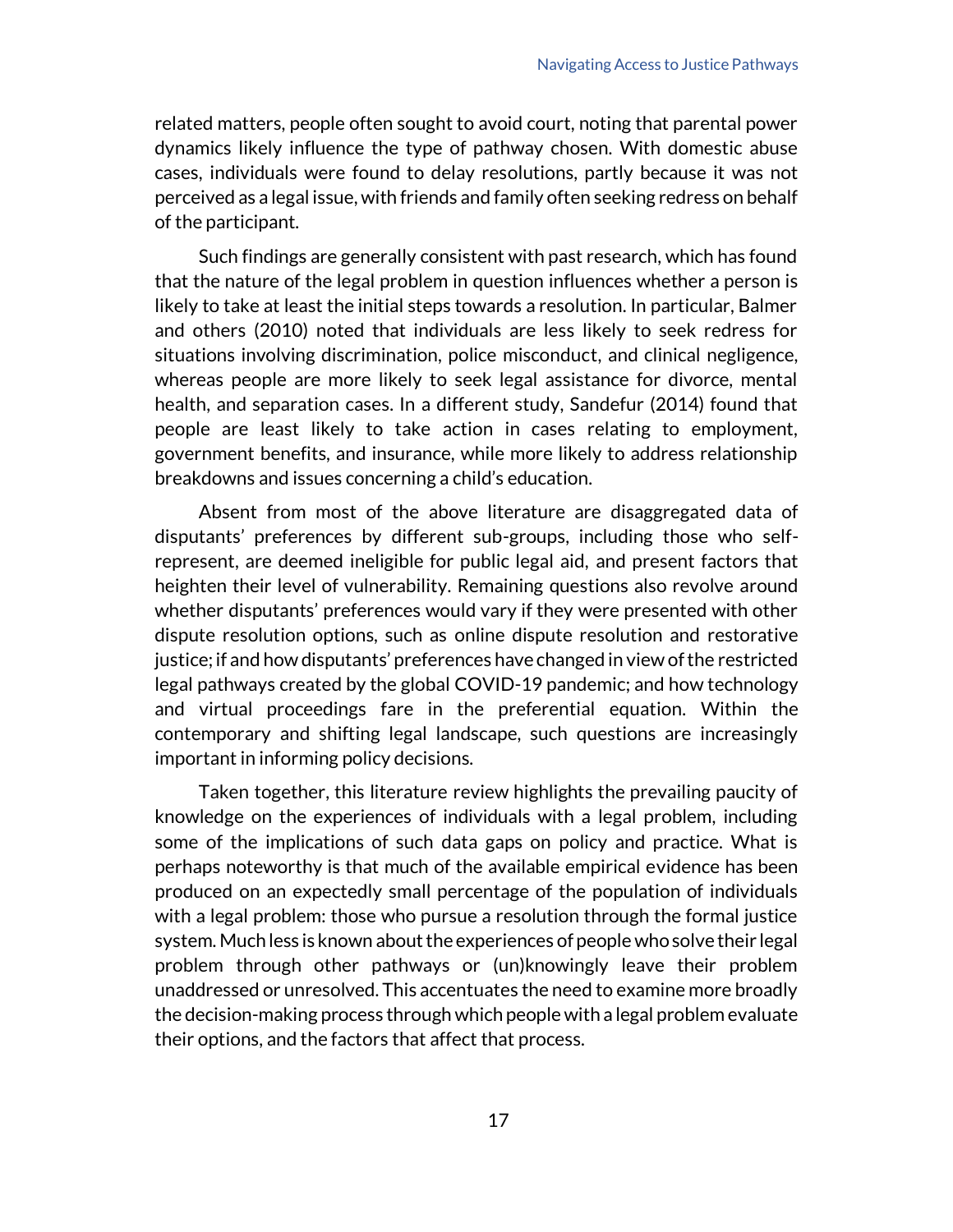related matters, people often sought to avoid court, noting that parental power dynamics likely influence the type of pathway chosen. With domestic abuse cases, individuals were found to delay resolutions, partly because it was not perceived as a legal issue, with friends and family often seeking redress on behalf of the participant.

Such findings are generally consistent with past research, which has found that the nature of the legal problem in question influences whether a person is likely to take at least the initial steps towards a resolution. In particular, Balmer and others (2010) noted that individuals are less likely to seek redress for situations involving discrimination, police misconduct, and clinical negligence, whereas people are more likely to seek legal assistance for divorce, mental health, and separation cases. In a different study, Sandefur (2014) found that people are least likely to take action in cases relating to employment, government benefits, and insurance, while more likely to address relationship breakdowns and issues concerning a child's education.

Absent from most of the above literature are disaggregated data of disputants' preferences by different sub-groups, including those who selfrepresent, are deemed ineligible for public legal aid, and present factors that heighten their level of vulnerability. Remaining questions also revolve around whether disputants' preferences would vary if they were presented with other dispute resolution options, such as online dispute resolution and restorative justice; if and how disputants' preferences have changed in view of the restricted legal pathways created by the global COVID-19 pandemic; and how technology and virtual proceedings fare in the preferential equation. Within the contemporary and shifting legal landscape, such questions are increasingly important in informing policy decisions.

Taken together, this literature review highlights the prevailing paucity of knowledge on the experiences of individuals with a legal problem, including some of the implications of such data gaps on policy and practice. What is perhaps noteworthy is that much of the available empirical evidence has been produced on an expectedly small percentage of the population of individuals with a legal problem: those who pursue a resolution through the formal justice system. Much less is known about the experiences of people who solve their legal problem through other pathways or (un)knowingly leave their problem unaddressed or unresolved. This accentuates the need to examine more broadly the decision-making process through which people with a legal problem evaluate their options, and the factors that affect that process.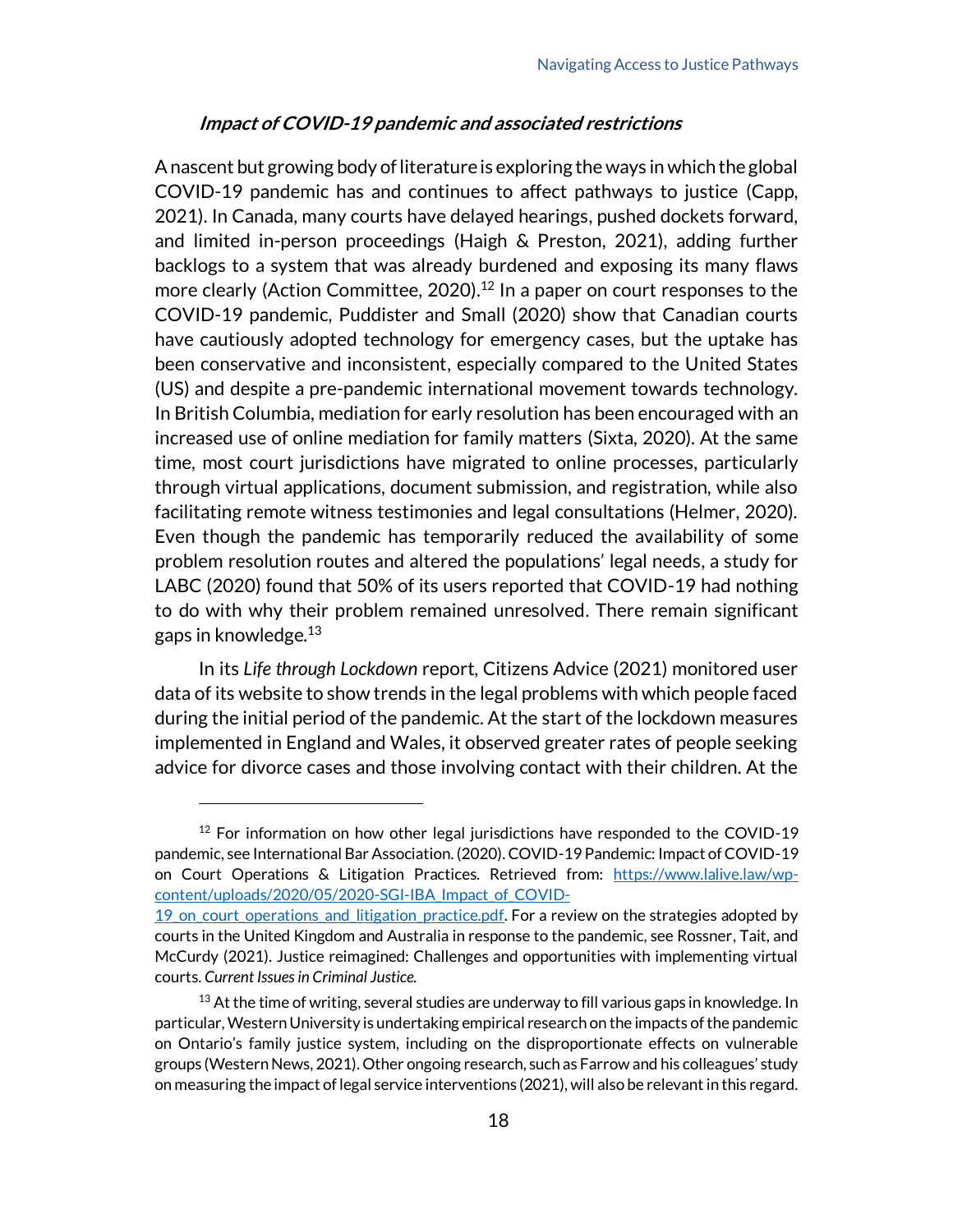## **Impact of COVID-19 pandemic and associated restrictions**

A nascent but growing body of literature is exploring the ways in which the global COVID-19 pandemic has and continues to affect pathways to justice (Capp, 2021). In Canada, many courts have delayed hearings, pushed dockets forward, and limited in-person proceedings (Haigh & Preston, 2021), adding further backlogs to a system that was already burdened and exposing its many flaws more clearly (Action Committee, 2020). <sup>12</sup> In a paper on court responses to the COVID-19 pandemic, Puddister and Small (2020) show that Canadian courts have cautiously adopted technology for emergency cases, but the uptake has been conservative and inconsistent, especially compared to the United States (US) and despite a pre-pandemic international movement towards technology. In British Columbia, mediation for early resolution has been encouraged with an increased use of online mediation for family matters (Sixta, 2020). At the same time, most court jurisdictions have migrated to online processes, particularly through virtual applications, document submission, and registration, while also facilitating remote witness testimonies and legal consultations (Helmer, 2020). Even though the pandemic has temporarily reduced the availability of some problem resolution routes and altered the populations' legal needs, a study for LABC (2020) found that 50% of its users reported that COVID-19 had nothing to do with why their problem remained unresolved. There remain significant gaps in knowledge. $13$ 

In its *Life through Lockdown* report, Citizens Advice (2021) monitored user data of its website to show trends in the legal problems with which people faced during the initial period of the pandemic. At the start of the lockdown measures implemented in England and Wales, it observed greater rates of people seeking advice for divorce cases and those involving contact with their children. At the

 $12$  For information on how other legal jurisdictions have responded to the COVID-19 pandemic, see International Bar Association. (2020). COVID-19 Pandemic: Impact of COVID-19 on Court Operations & Litigation Practices. Retrieved from: [https://www.lalive.law/wp](https://www.lalive.law/wp-content/uploads/2020/05/2020-SGI-IBA_Impact_of_COVID-19_on_court_operations_and_litigation_practice.pdf)[content/uploads/2020/05/2020-SGI-IBA\\_Impact\\_of\\_COVID-](https://www.lalive.law/wp-content/uploads/2020/05/2020-SGI-IBA_Impact_of_COVID-19_on_court_operations_and_litigation_practice.pdf)

<sup>19</sup> on court operations and litigation practice.pdf. For a review on the strategies adopted by courts in the United Kingdom and Australia in response to the pandemic, see Rossner, Tait, and McCurdy (2021). Justice reimagined: Challenges and opportunities with implementing virtual courts. *Current Issues in Criminal Justice.* 

 $13$  At the time of writing, several studies are underway to fill various gaps in knowledge. In particular, Western University is undertaking empirical research on the impacts of the pandemic on Ontario's family justice system, including on the disproportionate effects on vulnerable groups (Western News, 2021). Other ongoing research, such as Farrow and his colleagues' study on measuring the impact of legal service interventions (2021), will also be relevant in this regard.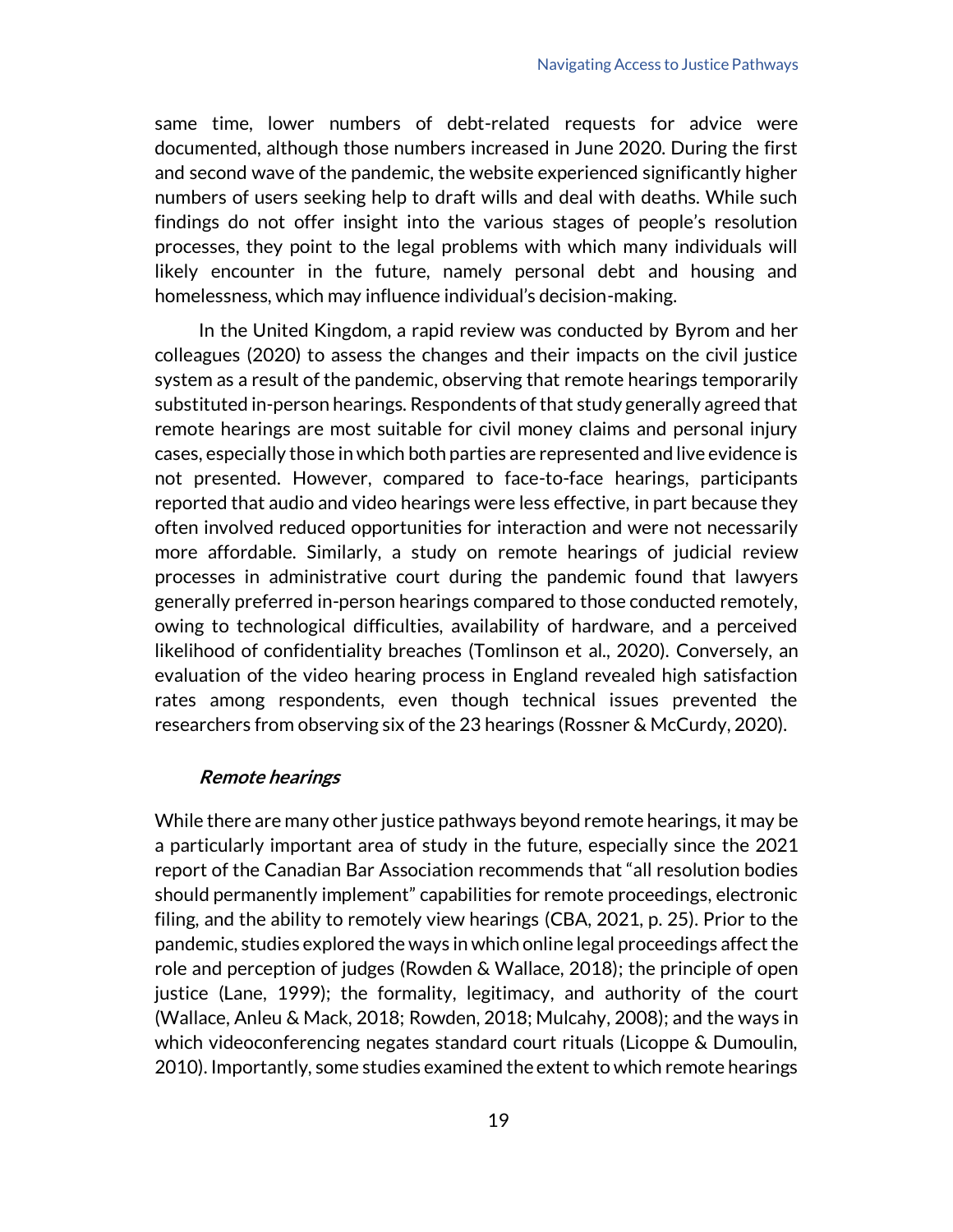same time, lower numbers of debt-related requests for advice were documented, although those numbers increased in June 2020. During the first and second wave of the pandemic, the website experienced significantly higher numbers of users seeking help to draft wills and deal with deaths. While such findings do not offer insight into the various stages of people's resolution processes, they point to the legal problems with which many individuals will likely encounter in the future, namely personal debt and housing and homelessness, which may influence individual's decision-making.

In the United Kingdom, a rapid review was conducted by Byrom and her colleagues (2020) to assess the changes and their impacts on the civil justice system as a result of the pandemic, observing that remote hearings temporarily substituted in-person hearings. Respondents of that study generally agreed that remote hearings are most suitable for civil money claims and personal injury cases, especially those in which both parties are represented and live evidence is not presented. However, compared to face-to-face hearings, participants reported that audio and video hearings were less effective, in part because they often involved reduced opportunities for interaction and were not necessarily more affordable. Similarly, a study on remote hearings of judicial review processes in administrative court during the pandemic found that lawyers generally preferred in-person hearings compared to those conducted remotely, owing to technological difficulties, availability of hardware, and a perceived likelihood of confidentiality breaches (Tomlinson et al., 2020). Conversely, an evaluation of the video hearing process in England revealed high satisfaction rates among respondents, even though technical issues prevented the researchers from observing six of the 23 hearings (Rossner & McCurdy, 2020).

#### **Remote hearings**

While there are many other justice pathways beyond remote hearings, it may be a particularly important area of study in the future, especially since the 2021 report of the Canadian Bar Association recommends that "all resolution bodies should permanently implement" capabilities for remote proceedings, electronic filing, and the ability to remotely view hearings (CBA, 2021, p. 25). Prior to the pandemic, studies explored the ways in which online legal proceedings affect the role and perception of judges (Rowden & Wallace, 2018); the principle of open justice (Lane, 1999); the formality, legitimacy, and authority of the court (Wallace, Anleu & Mack, 2018; Rowden, 2018; Mulcahy, 2008); and the ways in which videoconferencing negates standard court rituals (Licoppe & Dumoulin, 2010). Importantly, some studies examined the extent to which remote hearings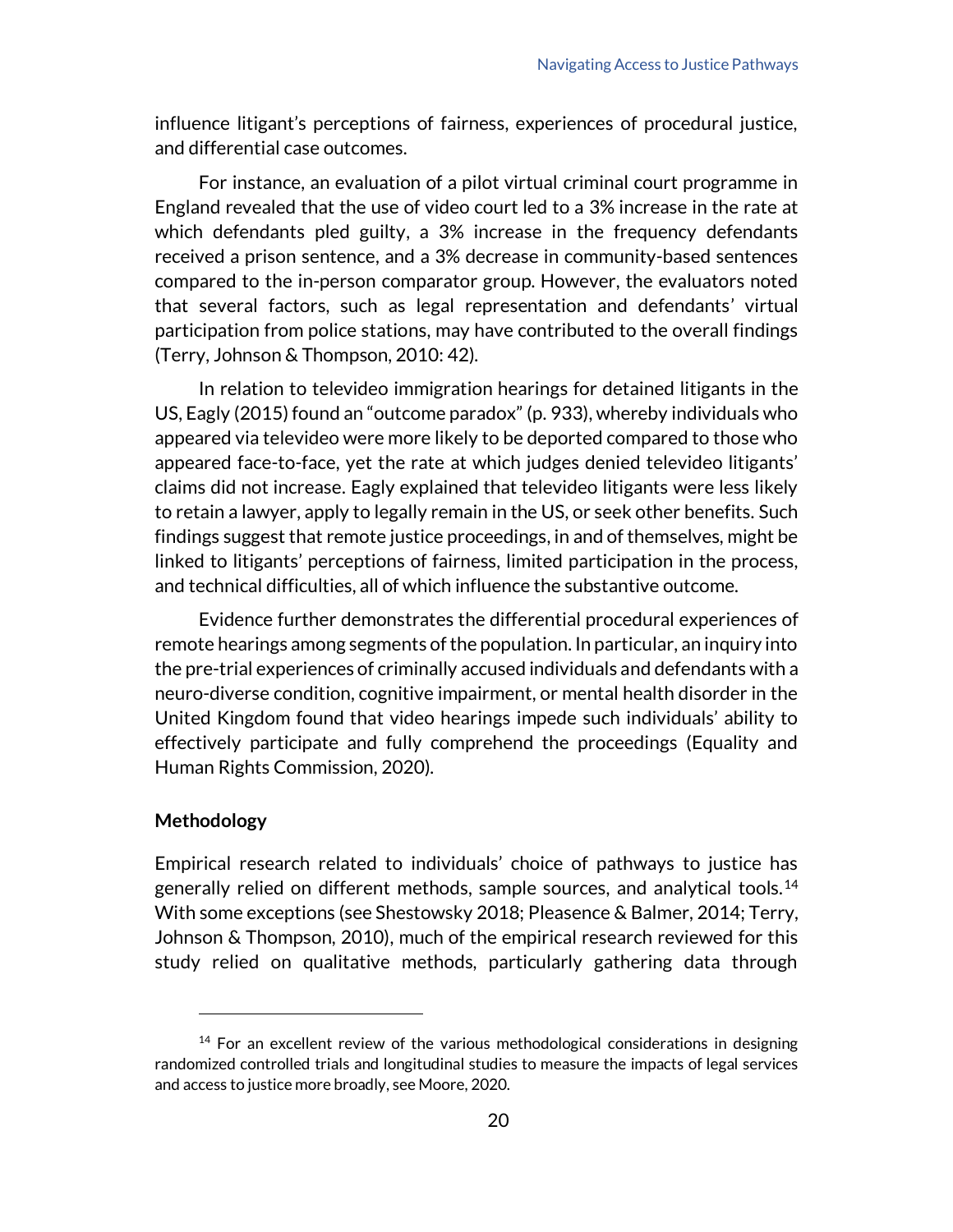influence litigant's perceptions of fairness, experiences of procedural justice, and differential case outcomes.

For instance, an evaluation of a pilot virtual criminal court programme in England revealed that the use of video court led to a 3% increase in the rate at which defendants pled guilty, a 3% increase in the frequency defendants received a prison sentence, and a 3% decrease in community-based sentences compared to the in-person comparator group. However, the evaluators noted that several factors, such as legal representation and defendants' virtual participation from police stations, may have contributed to the overall findings (Terry, Johnson & Thompson, 2010: 42).

In relation to televideo immigration hearings for detained litigants in the US, Eagly (2015) found an "outcome paradox" (p. 933), whereby individuals who appeared via televideo were more likely to be deported compared to those who appeared face-to-face, yet the rate at which judges denied televideo litigants' claims did not increase. Eagly explained that televideo litigants were less likely to retain a lawyer, apply to legally remain in the US, or seek other benefits. Such findings suggest that remote justice proceedings, in and of themselves, might be linked to litigants' perceptions of fairness, limited participation in the process, and technical difficulties, all of which influence the substantive outcome.

Evidence further demonstrates the differential procedural experiences of remote hearings among segments of the population. In particular, an inquiry into the pre-trial experiences of criminally accused individuals and defendants with a neuro-diverse condition, cognitive impairment, or mental health disorder in the United Kingdom found that video hearings impede such individuals' ability to effectively participate and fully comprehend the proceedings (Equality and Human Rights Commission, 2020).

#### <span id="page-19-0"></span>**Methodology**

Empirical research related to individuals' choice of pathways to justice has generally relied on different methods, sample sources, and analytical tools.<sup>14</sup> With some exceptions (see Shestowsky 2018; Pleasence & Balmer, 2014; Terry, Johnson & Thompson, 2010), much of the empirical research reviewed for this study relied on qualitative methods, particularly gathering data through

<sup>&</sup>lt;sup>14</sup> For an excellent review of the various methodological considerations in designing randomized controlled trials and longitudinal studies to measure the impacts of legal services and access to justice more broadly, see Moore, 2020.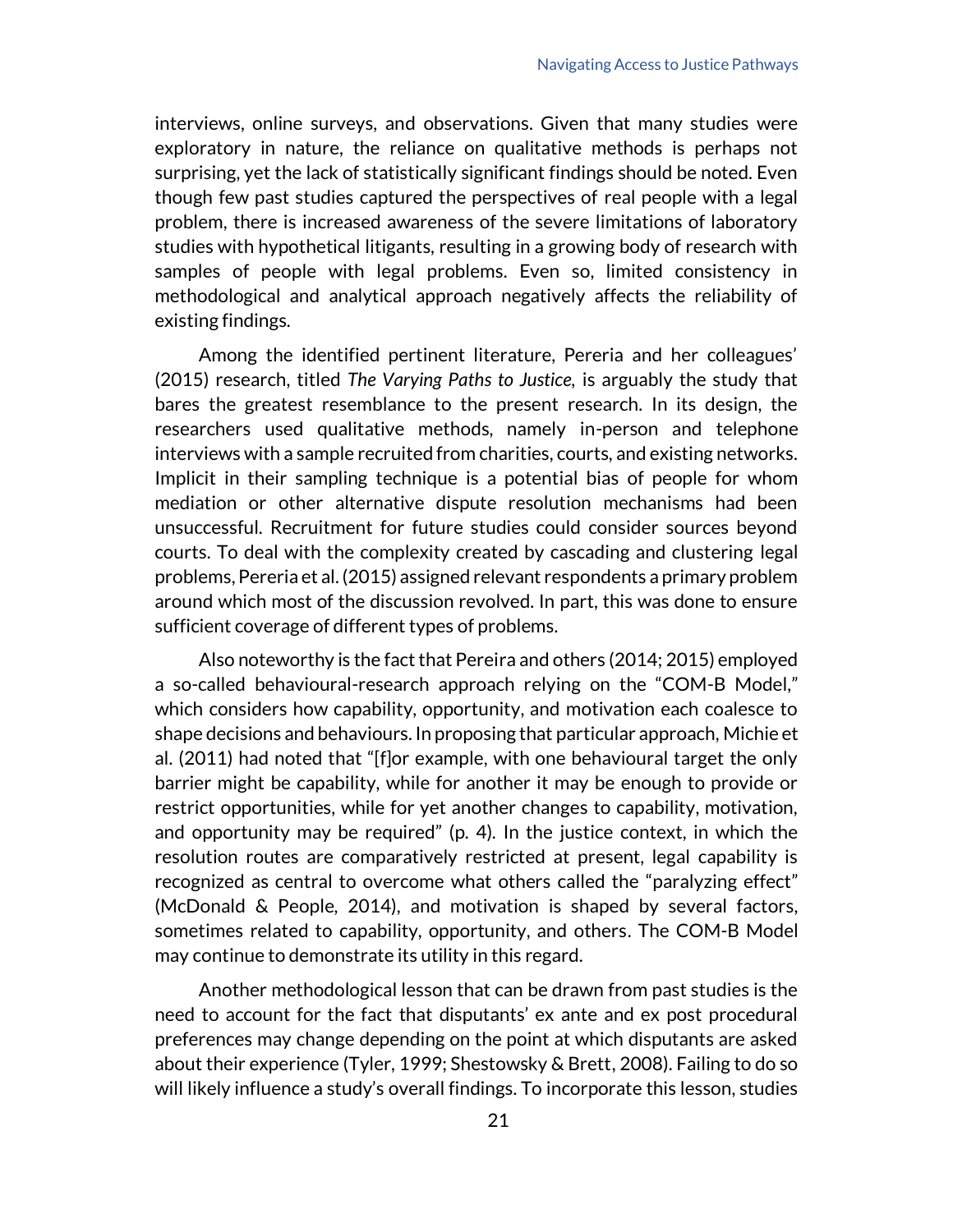interviews, online surveys, and observations. Given that many studies were exploratory in nature, the reliance on qualitative methods is perhaps not surprising, yet the lack of statistically significant findings should be noted. Even though few past studies captured the perspectives of real people with a legal problem, there is increased awareness of the severe limitations of laboratory studies with hypothetical litigants, resulting in a growing body of research with samples of people with legal problems. Even so, limited consistency in methodological and analytical approach negatively affects the reliability of existing findings.

Among the identified pertinent literature, Pereria and her colleagues' (2015) research, titled *The Varying Paths to Justice,* is arguably the study that bares the greatest resemblance to the present research. In its design, the researchers used qualitative methods, namely in-person and telephone interviews with a sample recruited from charities, courts, and existing networks. Implicit in their sampling technique is a potential bias of people for whom mediation or other alternative dispute resolution mechanisms had been unsuccessful. Recruitment for future studies could consider sources beyond courts. To deal with the complexity created by cascading and clustering legal problems, Pereria et al. (2015) assigned relevant respondents a primary problem around which most of the discussion revolved. In part, this was done to ensure sufficient coverage of different types of problems.

Also noteworthy is the fact that Pereira and others (2014; 2015) employed a so-called behavioural-research approach relying on the "COM-B Model," which considers how capability, opportunity, and motivation each coalesce to shape decisions and behaviours. In proposing that particular approach, Michie et al. (2011) had noted that "[f]or example, with one behavioural target the only barrier might be capability, while for another it may be enough to provide or restrict opportunities, while for yet another changes to capability, motivation, and opportunity may be required" (p. 4). In the justice context, in which the resolution routes are comparatively restricted at present, legal capability is recognized as central to overcome what others called the "paralyzing effect" (McDonald & People, 2014), and motivation is shaped by several factors, sometimes related to capability, opportunity, and others. The COM-B Model may continue to demonstrate its utility in this regard.

Another methodological lesson that can be drawn from past studies is the need to account for the fact that disputants' ex ante and ex post procedural preferences may change depending on the point at which disputants are asked about their experience (Tyler, 1999; Shestowsky & Brett, 2008). Failing to do so will likely influence a study's overall findings. To incorporate this lesson, studies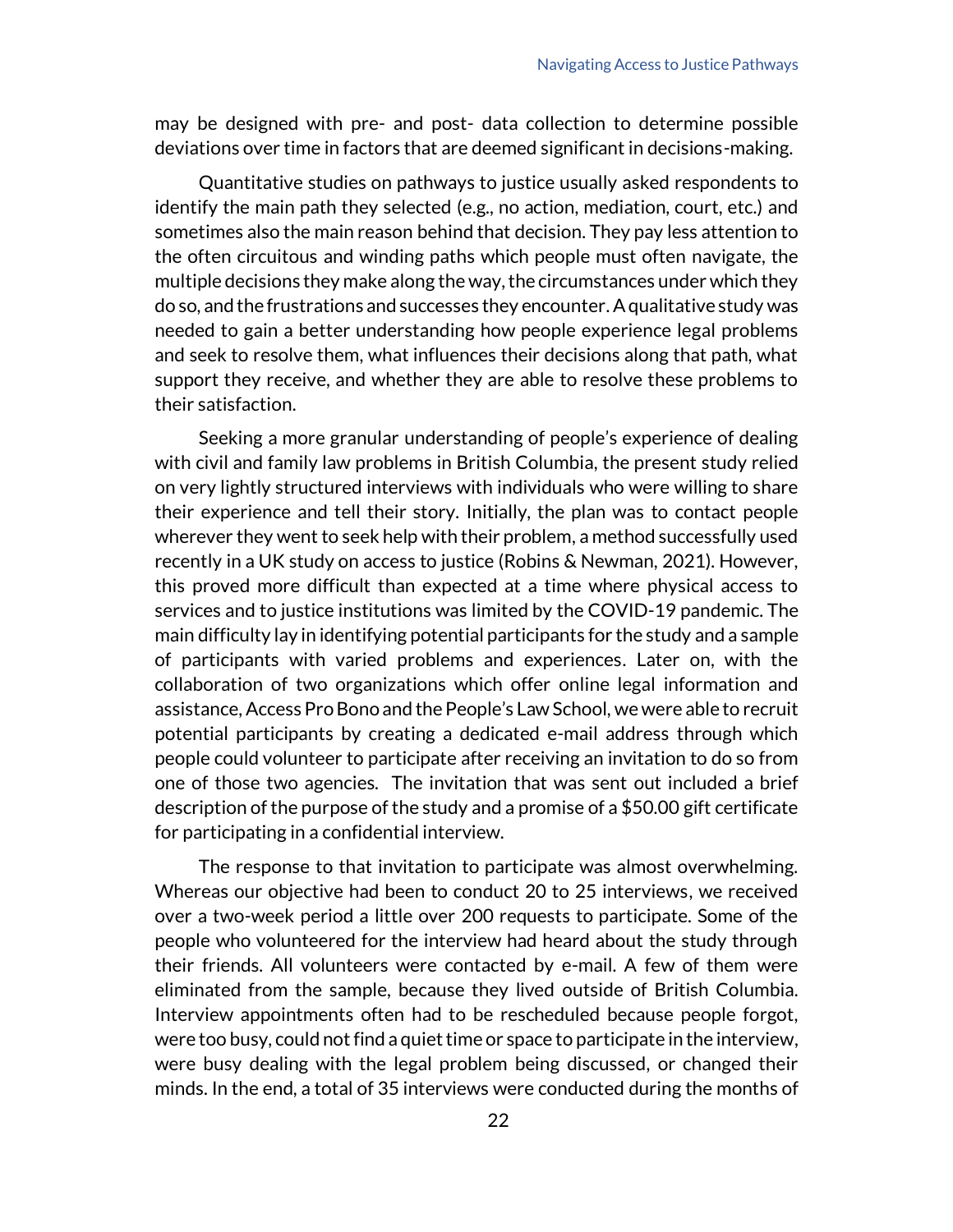may be designed with pre- and post- data collection to determine possible deviations over time in factors that are deemed significant in decisions-making.

Quantitative studies on pathways to justice usually asked respondents to identify the main path they selected (e.g., no action, mediation, court, etc.) and sometimes also the main reason behind that decision. They pay less attention to the often circuitous and winding paths which people must often navigate, the multiple decisions they make along the way, the circumstances under which they do so, and the frustrations and successes they encounter. A qualitative study was needed to gain a better understanding how people experience legal problems and seek to resolve them, what influences their decisions along that path, what support they receive, and whether they are able to resolve these problems to their satisfaction.

Seeking a more granular understanding of people's experience of dealing with civil and family law problems in British Columbia, the present study relied on very lightly structured interviews with individuals who were willing to share their experience and tell their story. Initially, the plan was to contact people wherever they went to seek help with their problem, a method successfully used recently in a UK study on access to justice (Robins & Newman, 2021). However, this proved more difficult than expected at a time where physical access to services and to justice institutions was limited by the COVID-19 pandemic. The main difficulty lay in identifying potential participants for the study and a sample of participants with varied problems and experiences. Later on, with the collaboration of two organizations which offer online legal information and assistance, Access Pro Bono and the People's Law School, we were able to recruit potential participants by creating a dedicated e-mail address through which people could volunteer to participate after receiving an invitation to do so from one of those two agencies. The invitation that was sent out included a brief description of the purpose of the study and a promise of a \$50.00 gift certificate for participating in a confidential interview.

The response to that invitation to participate was almost overwhelming. Whereas our objective had been to conduct 20 to 25 interviews, we received over a two-week period a little over 200 requests to participate. Some of the people who volunteered for the interview had heard about the study through their friends. All volunteers were contacted by e-mail. A few of them were eliminated from the sample, because they lived outside of British Columbia. Interview appointments often had to be rescheduled because people forgot, were too busy, could not find a quiet time or space to participate in the interview, were busy dealing with the legal problem being discussed, or changed their minds. In the end, a total of 35 interviews were conducted during the months of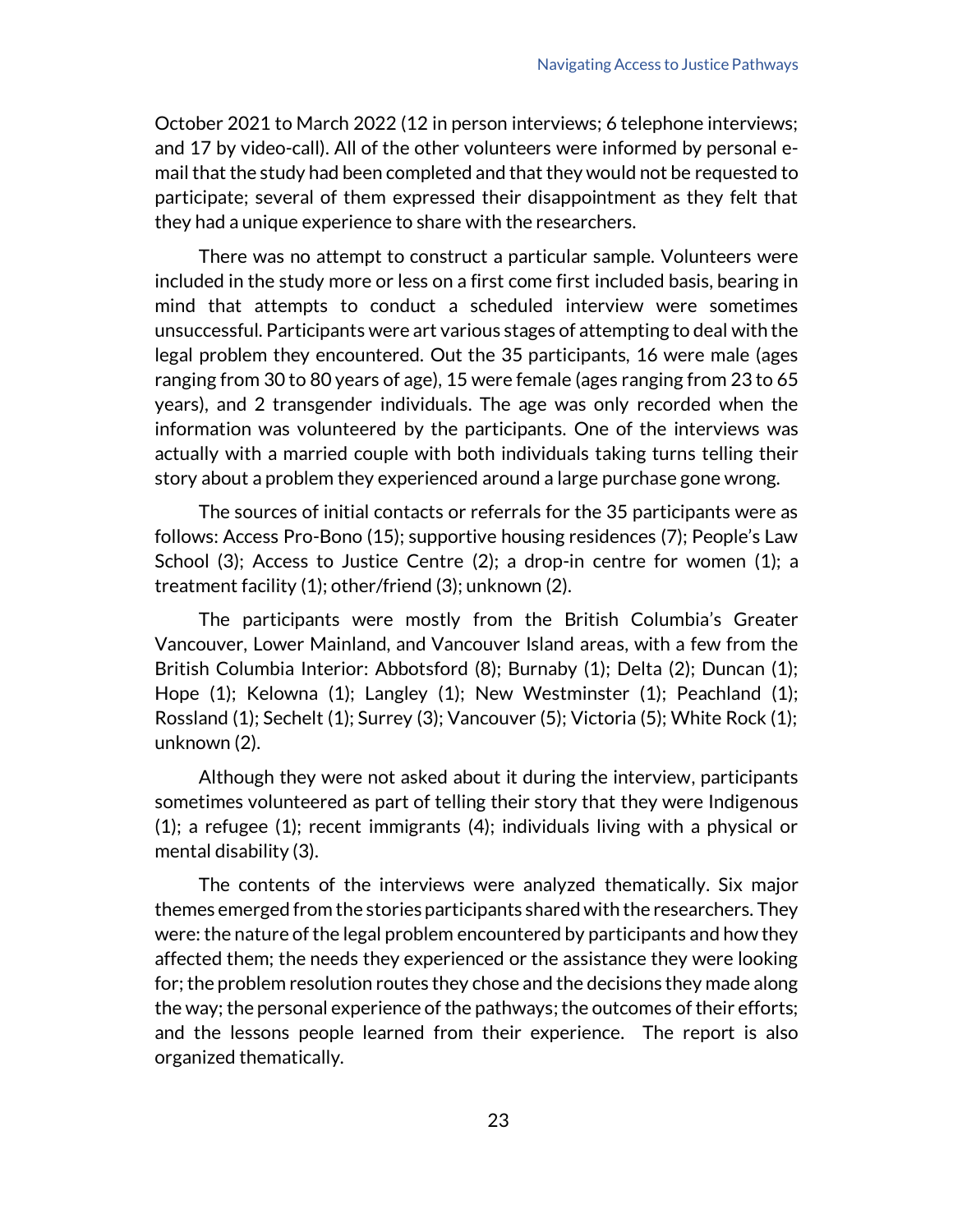October 2021 to March 2022 (12 in person interviews; 6 telephone interviews; and 17 by video-call). All of the other volunteers were informed by personal email that the study had been completed and that they would not be requested to participate; several of them expressed their disappointment as they felt that they had a unique experience to share with the researchers.

There was no attempt to construct a particular sample. Volunteers were included in the study more or less on a first come first included basis, bearing in mind that attempts to conduct a scheduled interview were sometimes unsuccessful. Participants were art various stages of attempting to deal with the legal problem they encountered. Out the 35 participants, 16 were male (ages ranging from 30 to 80 years of age), 15 were female (ages ranging from 23 to 65 years), and 2 transgender individuals. The age was only recorded when the information was volunteered by the participants. One of the interviews was actually with a married couple with both individuals taking turns telling their story about a problem they experienced around a large purchase gone wrong.

The sources of initial contacts or referrals for the 35 participants were as follows: Access Pro-Bono (15); supportive housing residences (7); People's Law School (3); Access to Justice Centre (2); a drop-in centre for women (1); a treatment facility (1); other/friend (3); unknown (2).

The participants were mostly from the British Columbia's Greater Vancouver, Lower Mainland, and Vancouver Island areas, with a few from the British Columbia Interior: Abbotsford (8); Burnaby (1); Delta (2); Duncan (1); Hope (1); Kelowna (1); Langley (1); New Westminster (1); Peachland (1); Rossland (1); Sechelt (1); Surrey (3); Vancouver (5); Victoria (5); White Rock (1); unknown (2).

Although they were not asked about it during the interview, participants sometimes volunteered as part of telling their story that they were Indigenous (1); a refugee (1); recent immigrants (4); individuals living with a physical or mental disability (3).

The contents of the interviews were analyzed thematically. Six major themes emerged from the stories participants shared with the researchers. They were: the nature of the legal problem encountered by participants and how they affected them; the needs they experienced or the assistance they were looking for; the problem resolution routes they chose and the decisions they made along the way; the personal experience of the pathways; the outcomes of their efforts; and the lessons people learned from their experience. The report is also organized thematically.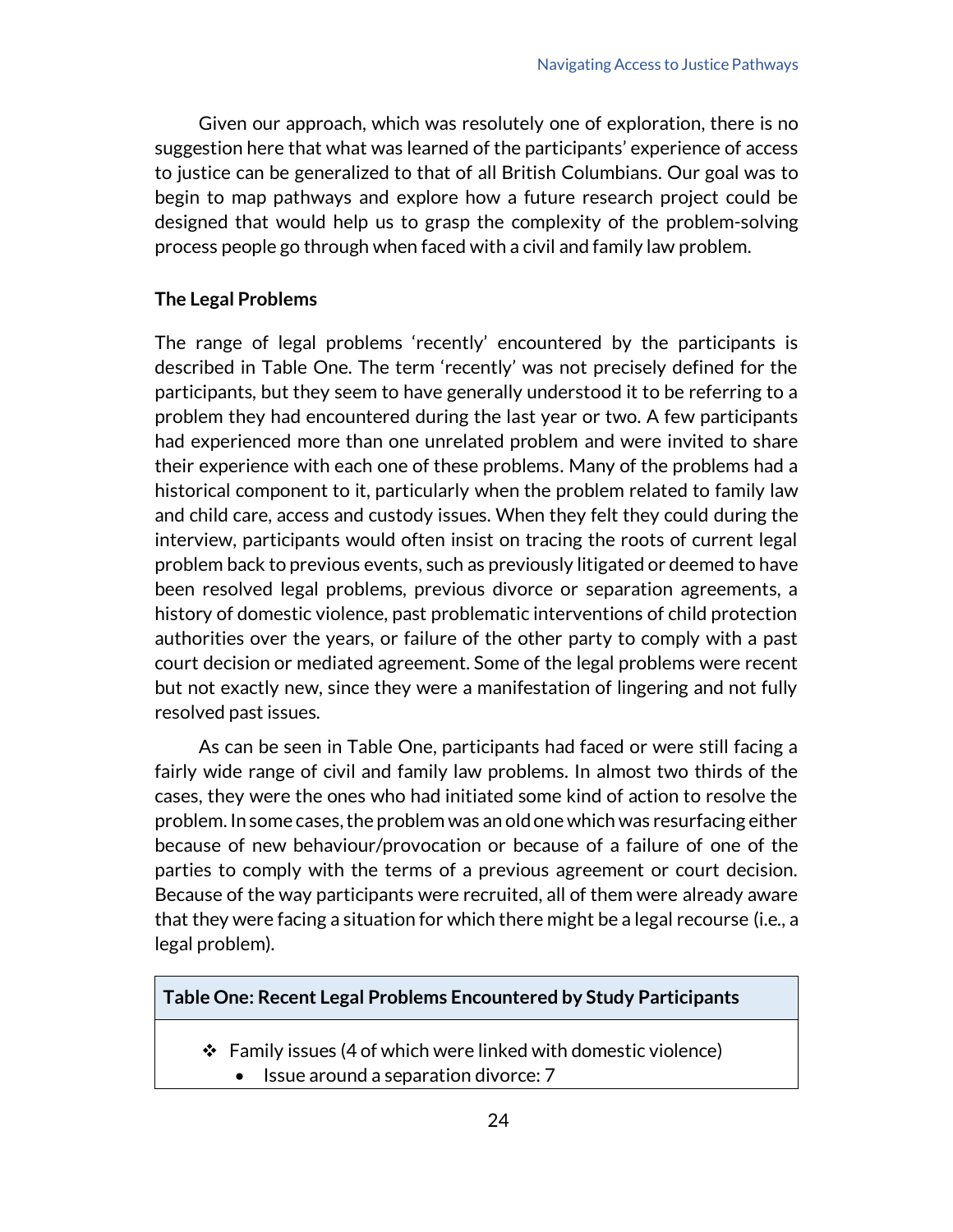Given our approach, which was resolutely one of exploration, there is no suggestion here that what was learned of the participants' experience of access to justice can be generalized to that of all British Columbians. Our goal was to begin to map pathways and explore how a future research project could be designed that would help us to grasp the complexity of the problem-solving process people go through when faced with a civil and family law problem.

## <span id="page-23-0"></span>**The Legal Problems**

The range of legal problems 'recently' encountered by the participants is described in Table One. The term 'recently' was not precisely defined for the participants, but they seem to have generally understood it to be referring to a problem they had encountered during the last year or two. A few participants had experienced more than one unrelated problem and were invited to share their experience with each one of these problems. Many of the problems had a historical component to it, particularly when the problem related to family law and child care, access and custody issues. When they felt they could during the interview, participants would often insist on tracing the roots of current legal problem back to previous events, such as previously litigated or deemed to have been resolved legal problems, previous divorce or separation agreements, a history of domestic violence, past problematic interventions of child protection authorities over the years, or failure of the other party to comply with a past court decision or mediated agreement. Some of the legal problems were recent but not exactly new, since they were a manifestation of lingering and not fully resolved past issues.

As can be seen in Table One, participants had faced or were still facing a fairly wide range of civil and family law problems. In almost two thirds of the cases, they were the ones who had initiated some kind of action to resolve the problem. In some cases, the problem was an old one which was resurfacing either because of new behaviour/provocation or because of a failure of one of the parties to comply with the terms of a previous agreement or court decision. Because of the way participants were recruited, all of them were already aware that they were facing a situation for which there might be a legal recourse (i.e., a legal problem).

#### **Table One: Recent Legal Problems Encountered by Study Participants**

- $\cdot \cdot$  Family issues (4 of which were linked with domestic violence)
	- Issue around a separation divorce: 7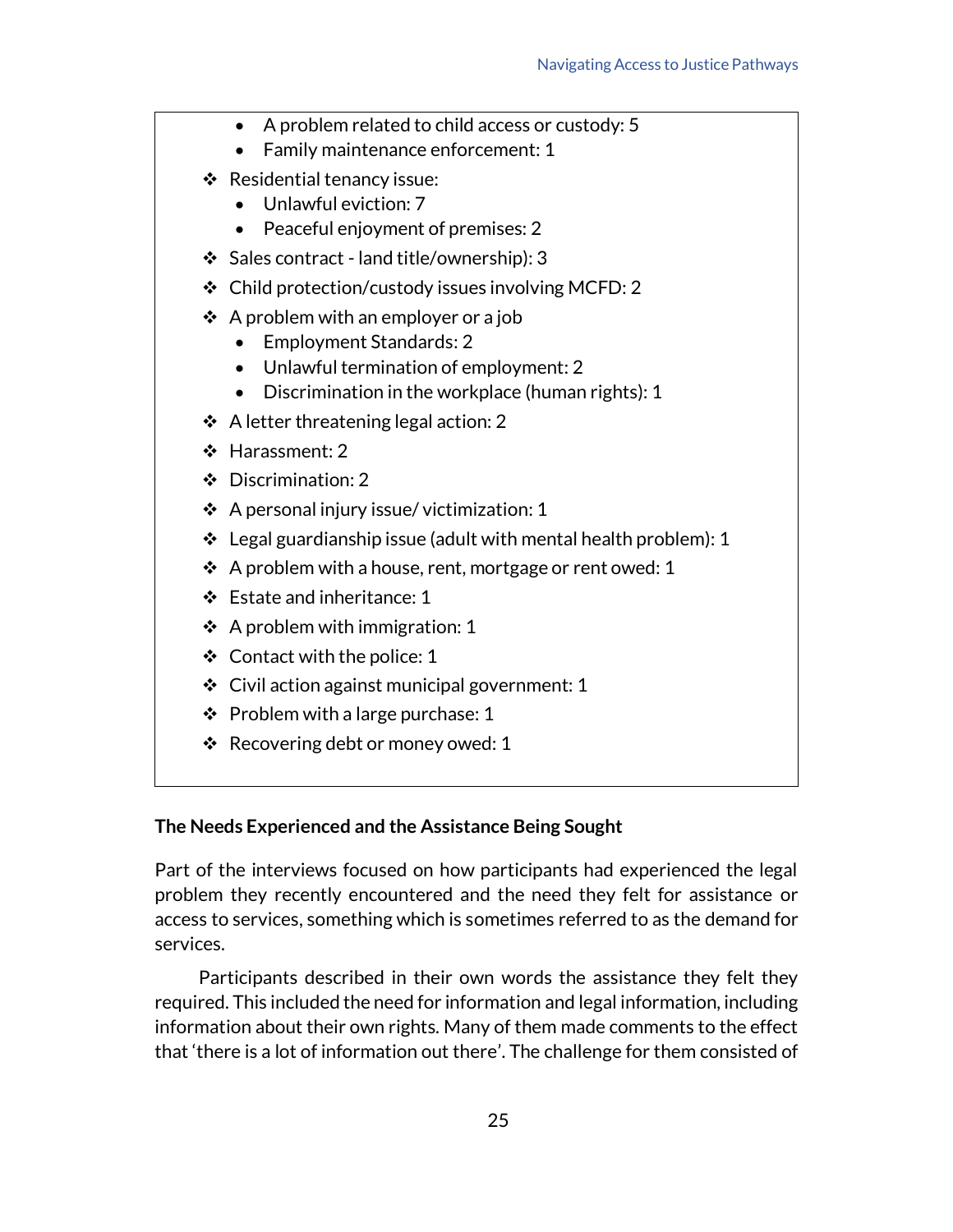- A problem related to child access or custody: 5
- Family maintenance enforcement: 1
- ❖ Residential tenancy issue:
	- Unlawful eviction: 7
	- Peaceful enjoyment of premises: 2
- ❖ Sales contract land title/ownership): 3
- ❖ Child protection/custody issues involving MCFD: 2
- ❖ A problem with an employer or a job
	- Employment Standards: 2
	- Unlawful termination of employment: 2
	- Discrimination in the workplace (human rights): 1
- ❖ A letter threatening legal action: 2
- ❖ Harassment: 2
- ❖ Discrimination: 2
- ❖ A personal injury issue/ victimization: 1
- ❖ Legal guardianship issue (adult with mental health problem): 1
- ❖ A problem with a house, rent, mortgage or rent owed: 1
- ❖ Estate and inheritance: 1
- ❖ A problem with immigration: 1
- ❖ Contact with the police: 1
- ❖ Civil action against municipal government: 1
- ❖ Problem with a large purchase: 1
- ❖ Recovering debt or money owed: 1

# <span id="page-24-0"></span>**The Needs Experienced and the Assistance Being Sought**

Part of the interviews focused on how participants had experienced the legal problem they recently encountered and the need they felt for assistance or access to services, something which is sometimes referred to as the demand for services.

Participants described in their own words the assistance they felt they required. This included the need for information and legal information, including information about their own rights. Many of them made comments to the effect that 'there is a lot of information out there'. The challenge for them consisted of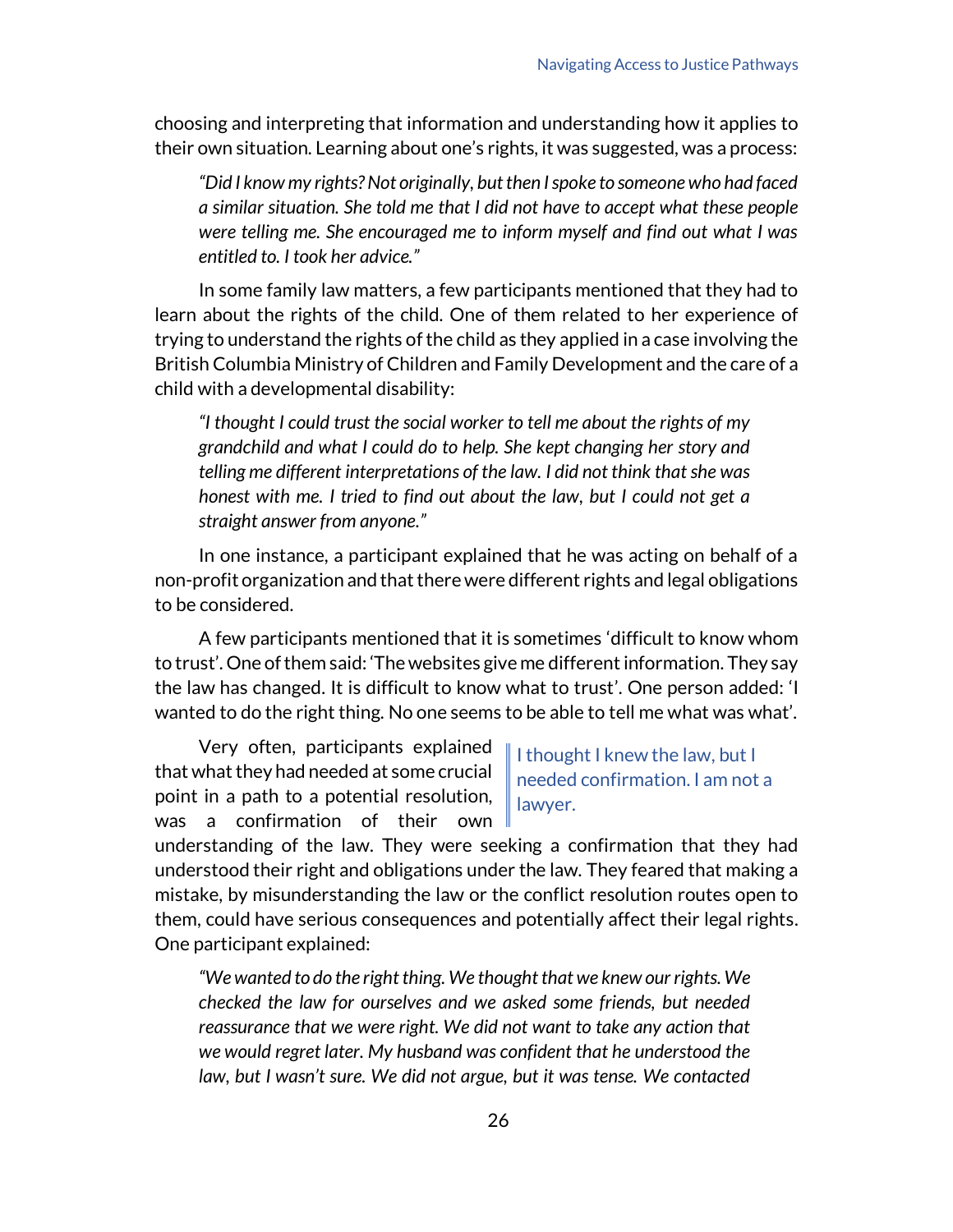choosing and interpreting that information and understanding how it applies to their own situation. Learning about one's rights, it was suggested, was a process:

*"Did I know my rights? Not originally, but then I spoke to someone who had faced a similar situation. She told me that I did not have to accept what these people were telling me. She encouraged me to inform myself and find out what I was entitled to. I took her advice."* 

In some family law matters, a few participants mentioned that they had to learn about the rights of the child. One of them related to her experience of trying to understand the rights of the child as they applied in a case involving the British Columbia Ministry of Children and Family Development and the care of a child with a developmental disability:

*"I thought I could trust the social worker to tell me about the rights of my grandchild and what I could do to help. She kept changing her story and telling me different interpretations of the law. I did not think that she was honest with me. I tried to find out about the law, but I could not get a straight answer from anyone."*

In one instance, a participant explained that he was acting on behalf of a non-profit organization and that there were different rights and legal obligations to be considered.

A few participants mentioned that it is sometimes 'difficult to know whom to trust'. One of them said: 'The websites give me different information. They say the law has changed. It is difficult to know what to trust'. One person added: 'I wanted to do the right thing. No one seems to be able to tell me what was what'.

Very often, participants explained that what they had needed at some crucial point in a path to a potential resolution, was a confirmation of their own

I thought I knew the law, but I needed confirmation. I am not a lawyer.

understanding of the law. They were seeking a confirmation that they had understood their right and obligations under the law. They feared that making a mistake, by misunderstanding the law or the conflict resolution routes open to them, could have serious consequences and potentially affect their legal rights. One participant explained:

*"We wanted to do the right thing. We thought that we knew ourrights. We checked the law for ourselves and we asked some friends, but needed reassurance that we were right. We did not want to take any action that we would regret later. My husband was confident that he understood the law, but I wasn't sure. We did not argue, but it was tense. We contacted*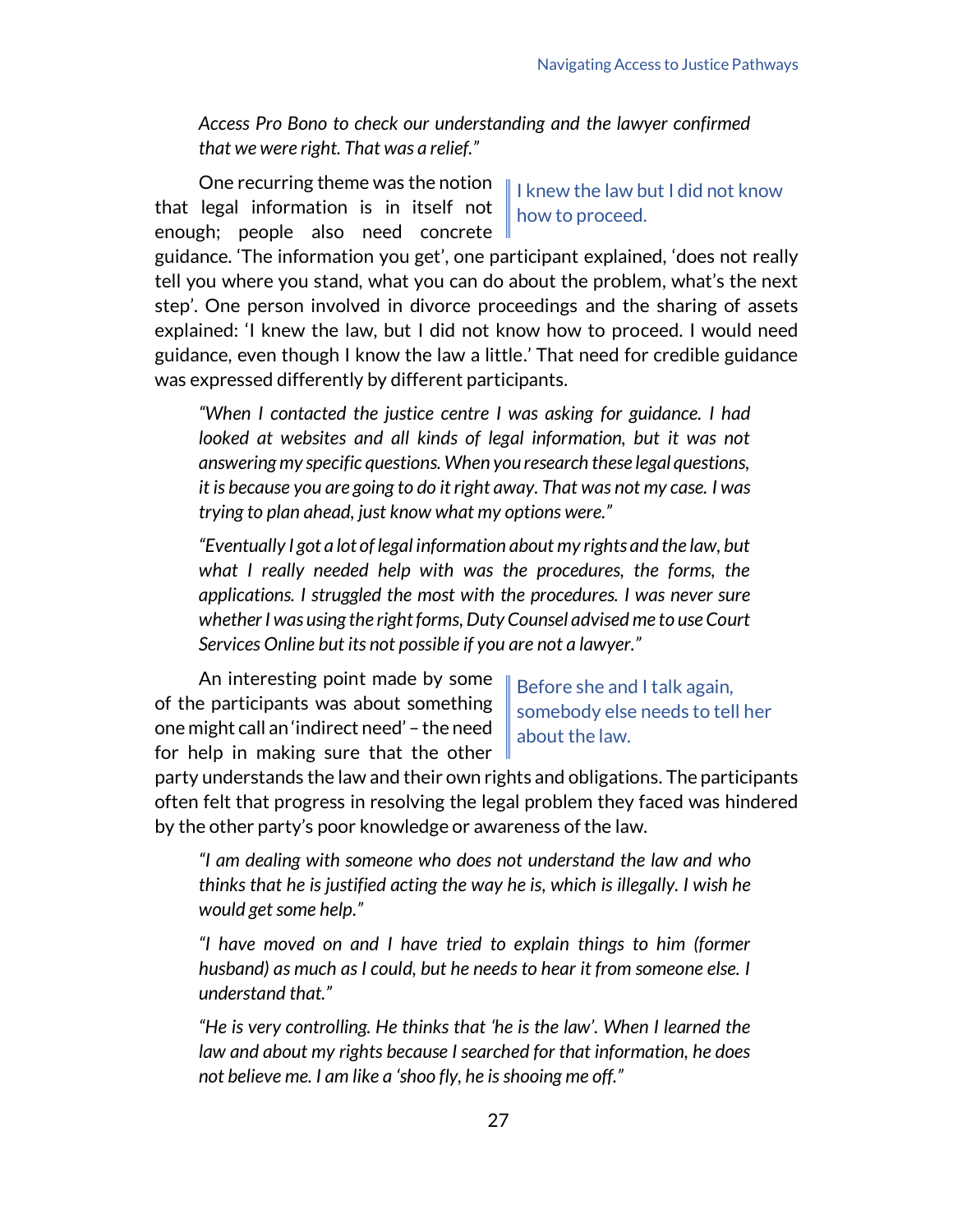*Access Pro Bono to check our understanding and the lawyer confirmed that we were right. That was a relief."*

One recurring theme was the notion that legal information is in itself not enough; people also need concrete

I knew the law but I did not know how to proceed.

guidance. 'The information you get', one participant explained, 'does not really tell you where you stand, what you can do about the problem, what's the next step'. One person involved in divorce proceedings and the sharing of assets explained: 'I knew the law, but I did not know how to proceed. I would need guidance, even though I know the law a little.' That need for credible guidance was expressed differently by different participants.

*"When I contacted the justice centre I was asking for guidance. I had*  looked at websites and all kinds of legal information, but it was not *answering my specific questions. When you research these legal questions, it is because you are going to do it right away. That was not my case. I was trying to plan ahead, just know what my options were."*

*"Eventually I got a lot of legal information about my rights and the law, but what I really needed help with was the procedures, the forms, the applications. I struggled the most with the procedures. I was never sure whether I was using the right forms, Duty Counsel advised me to use Court Services Online but its not possible if you are not a lawyer."*

An interesting point made by some of the participants was about something one might call an 'indirect need' – the need for help in making sure that the other

Before she and I talk again, somebody else needs to tell her about the law.

party understands the law and their own rights and obligations. The participants often felt that progress in resolving the legal problem they faced was hindered by the other party's poor knowledge or awareness of the law.

*"I am dealing with someone who does not understand the law and who thinks that he is justified acting the way he is, which is illegally. I wish he would get some help."*

*"I have moved on and I have tried to explain things to him (former husband) as much as I could, but he needs to hear it from someone else. I understand that."*

*"He is very controlling. He thinks that 'he is the law'. When I learned the law and about my rights because I searched for that information, he does not believe me. I am like a 'shoo fly, he is shooing me off."*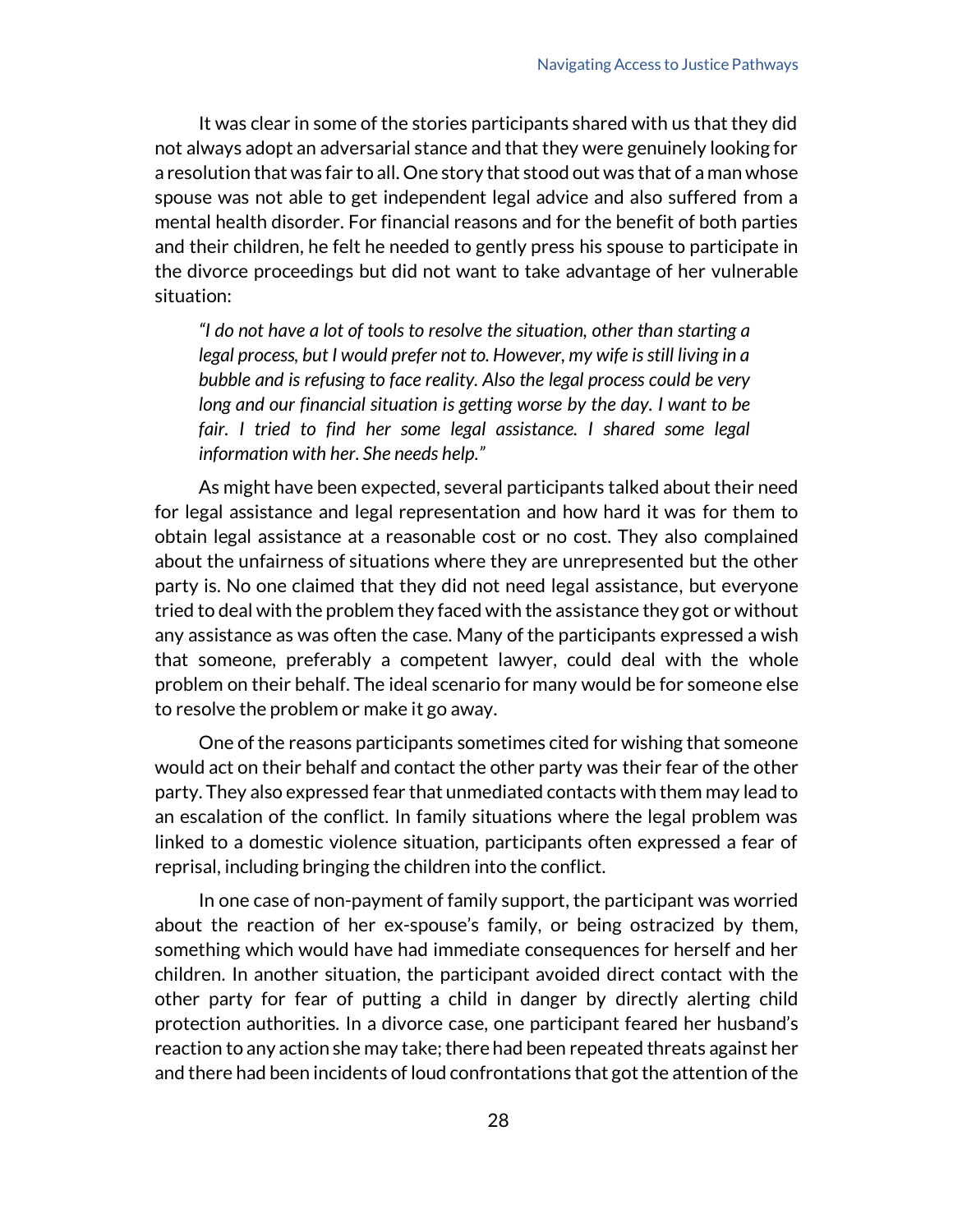It was clear in some of the stories participants shared with us that they did not always adopt an adversarial stance and that they were genuinely looking for a resolution that was fair to all. One story that stood out was that of a man whose spouse was not able to get independent legal advice and also suffered from a mental health disorder. For financial reasons and for the benefit of both parties and their children, he felt he needed to gently press his spouse to participate in the divorce proceedings but did not want to take advantage of her vulnerable situation:

*"I do not have a lot of tools to resolve the situation, other than starting a legal process, but I would prefer not to. However, my wife is still living in a bubble and is refusing to face reality. Also the legal process could be very long and our financial situation is getting worse by the day. I want to be fair. I tried to find her some legal assistance. I shared some legal information with her. She needs help."*

As might have been expected, several participants talked about their need for legal assistance and legal representation and how hard it was for them to obtain legal assistance at a reasonable cost or no cost. They also complained about the unfairness of situations where they are unrepresented but the other party is. No one claimed that they did not need legal assistance, but everyone tried to deal with the problem they faced with the assistance they got or without any assistance as was often the case. Many of the participants expressed a wish that someone, preferably a competent lawyer, could deal with the whole problem on their behalf. The ideal scenario for many would be for someone else to resolve the problem or make it go away.

One of the reasons participants sometimes cited for wishing that someone would act on their behalf and contact the other party was their fear of the other party. They also expressed fear that unmediated contacts with them may lead to an escalation of the conflict. In family situations where the legal problem was linked to a domestic violence situation, participants often expressed a fear of reprisal, including bringing the children into the conflict.

In one case of non-payment of family support, the participant was worried about the reaction of her ex-spouse's family, or being ostracized by them, something which would have had immediate consequences for herself and her children. In another situation, the participant avoided direct contact with the other party for fear of putting a child in danger by directly alerting child protection authorities. In a divorce case, one participant feared her husband's reaction to any action she may take; there had been repeated threats against her and there had been incidents of loud confrontations that got the attention of the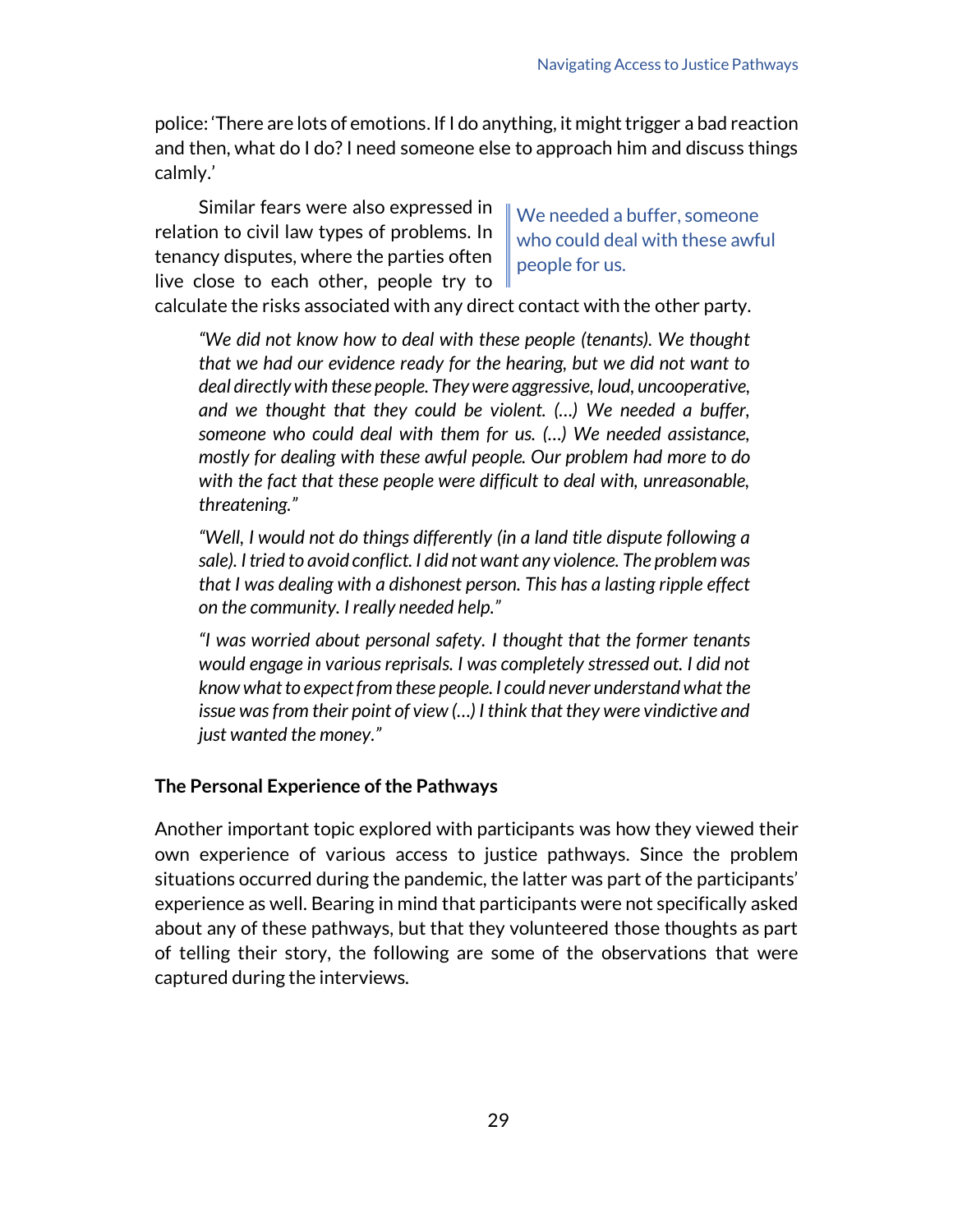police: 'There are lots of emotions. If I do anything, it might trigger a bad reaction and then, what do I do? I need someone else to approach him and discuss things calmly.'

Similar fears were also expressed in relation to civil law types of problems. In tenancy disputes, where the parties often live close to each other, people try to

We needed a buffer, someone who could deal with these awful people for us.

calculate the risks associated with any direct contact with the other party.

*"We did not know how to deal with these people (tenants). We thought that we had our evidence ready for the hearing, but we did not want to deal directly with these people. They were aggressive, loud, uncooperative, and we thought that they could be violent. (…) We needed a buffer, someone who could deal with them for us. (…) We needed assistance, mostly for dealing with these awful people. Our problem had more to do with the fact that these people were difficult to deal with, unreasonable, threatening."* 

*"Well, I would not do things differently (in a land title dispute following a sale). I tried to avoid conflict. I did not want any violence. The problem was that I was dealing with a dishonest person. This has a lasting ripple effect on the community. I really needed help."*

*"I was worried about personal safety. I thought that the former tenants would engage in various reprisals. I was completely stressed out. I did not know what to expect from these people. I could never understand what the issue was from their point of view (…) I think that they were vindictive and just wanted the money."*

# <span id="page-28-0"></span>**The Personal Experience of the Pathways**

Another important topic explored with participants was how they viewed their own experience of various access to justice pathways. Since the problem situations occurred during the pandemic, the latter was part of the participants' experience as well. Bearing in mind that participants were not specifically asked about any of these pathways, but that they volunteered those thoughts as part of telling their story, the following are some of the observations that were captured during the interviews.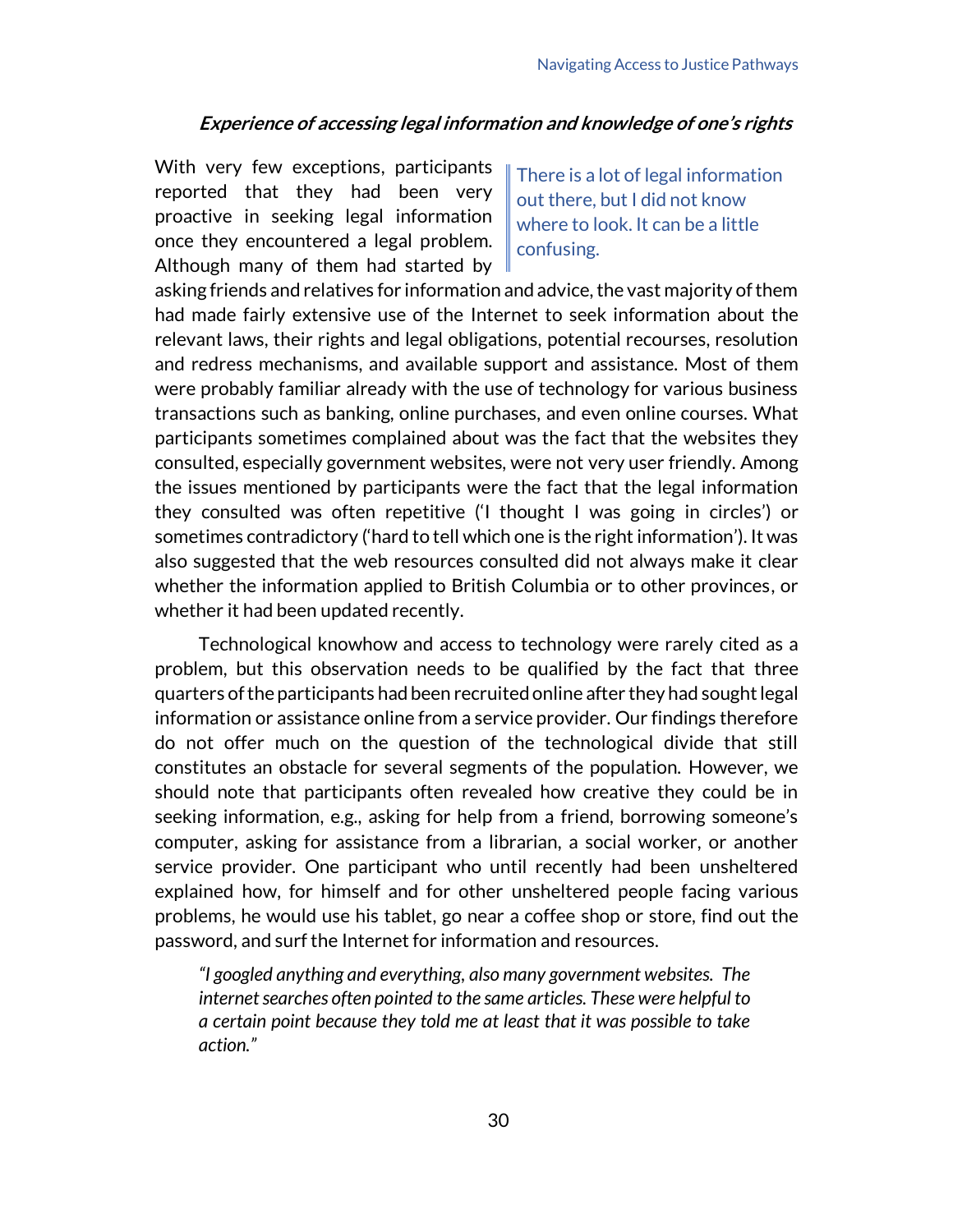## **Experience of accessing legal information and knowledge of one's rights**

With very few exceptions, participants reported that they had been very proactive in seeking legal information once they encountered a legal problem. Although many of them had started by

There is a lot of legal information out there, but I did not know where to look. It can be a little confusing.

asking friends and relatives for information and advice, the vast majority of them had made fairly extensive use of the Internet to seek information about the relevant laws, their rights and legal obligations, potential recourses, resolution and redress mechanisms, and available support and assistance. Most of them were probably familiar already with the use of technology for various business transactions such as banking, online purchases, and even online courses. What participants sometimes complained about was the fact that the websites they consulted, especially government websites, were not very user friendly. Among the issues mentioned by participants were the fact that the legal information they consulted was often repetitive ('I thought I was going in circles') or sometimes contradictory ('hard to tell which one is the right information'). It was also suggested that the web resources consulted did not always make it clear whether the information applied to British Columbia or to other provinces, or whether it had been updated recently.

Technological knowhow and access to technology were rarely cited as a problem, but this observation needs to be qualified by the fact that three quarters of the participants had been recruited online after they had sought legal information or assistance online from a service provider. Our findings therefore do not offer much on the question of the technological divide that still constitutes an obstacle for several segments of the population. However, we should note that participants often revealed how creative they could be in seeking information, e.g., asking for help from a friend, borrowing someone's computer, asking for assistance from a librarian, a social worker, or another service provider. One participant who until recently had been unsheltered explained how, for himself and for other unsheltered people facing various problems, he would use his tablet, go near a coffee shop or store, find out the password, and surf the Internet for information and resources.

*"I googled anything and everything, also many government websites. The internet searches often pointed to the same articles. These were helpful to a certain point because they told me at least that it was possible to take action."*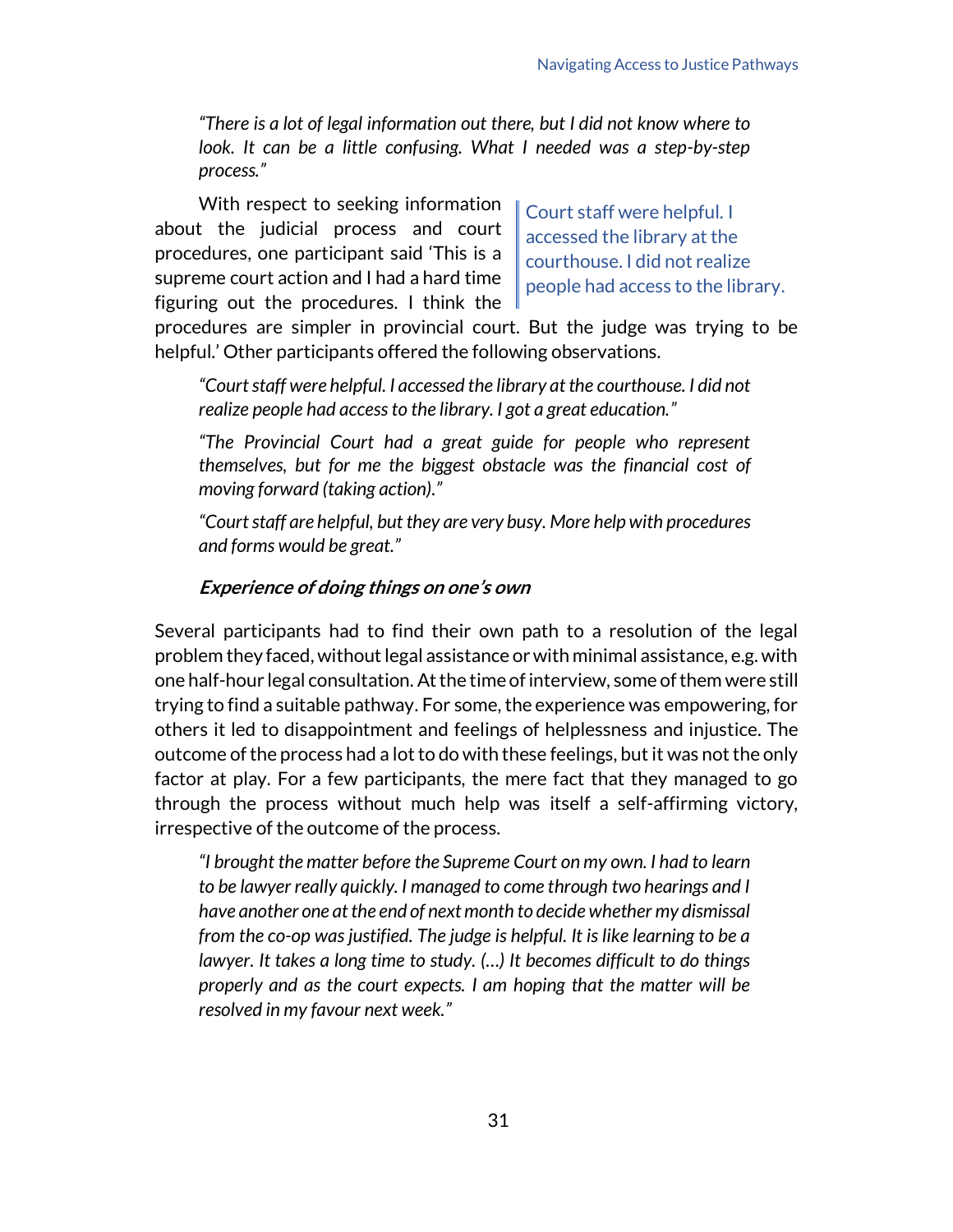*"There is a lot of legal information out there, but I did not know where to*  look. It can be a little confusing. What I needed was a step-by-step *process."*

With respect to seeking information about the judicial process and court procedures, one participant said 'This is a supreme court action and I had a hard time figuring out the procedures. I think the

Court staff were helpful. I accessed the library at the courthouse. I did not realize people had access to the library.

procedures are simpler in provincial court. But the judge was trying to be helpful.' Other participants offered the following observations.

*"Court staff were helpful. I accessed the library at the courthouse. I did not realize people had access to the library. I got a great education."*

*"The Provincial Court had a great guide for people who represent themselves, but for me the biggest obstacle was the financial cost of moving forward (taking action)."*

*"Court staff are helpful, but they are very busy. More help with procedures and forms would be great."*

# **Experience of doing things on one's own**

Several participants had to find their own path to a resolution of the legal problem they faced, without legal assistance or with minimal assistance, e.g. with one half-hour legal consultation. At the time of interview, some of them were still trying to find a suitable pathway. For some, the experience was empowering, for others it led to disappointment and feelings of helplessness and injustice. The outcome of the process had a lot to do with these feelings, but it was not the only factor at play. For a few participants, the mere fact that they managed to go through the process without much help was itself a self-affirming victory, irrespective of the outcome of the process.

*"I brought the matter before the Supreme Court on my own. I had to learn to be lawyer really quickly. I managed to come through two hearings and I have another one at the end of next month to decide whether my dismissal from the co-op was justified. The judge is helpful. It is like learning to be a lawyer. It takes a long time to study. (…) It becomes difficult to do things properly and as the court expects. I am hoping that the matter will be resolved in my favour next week."*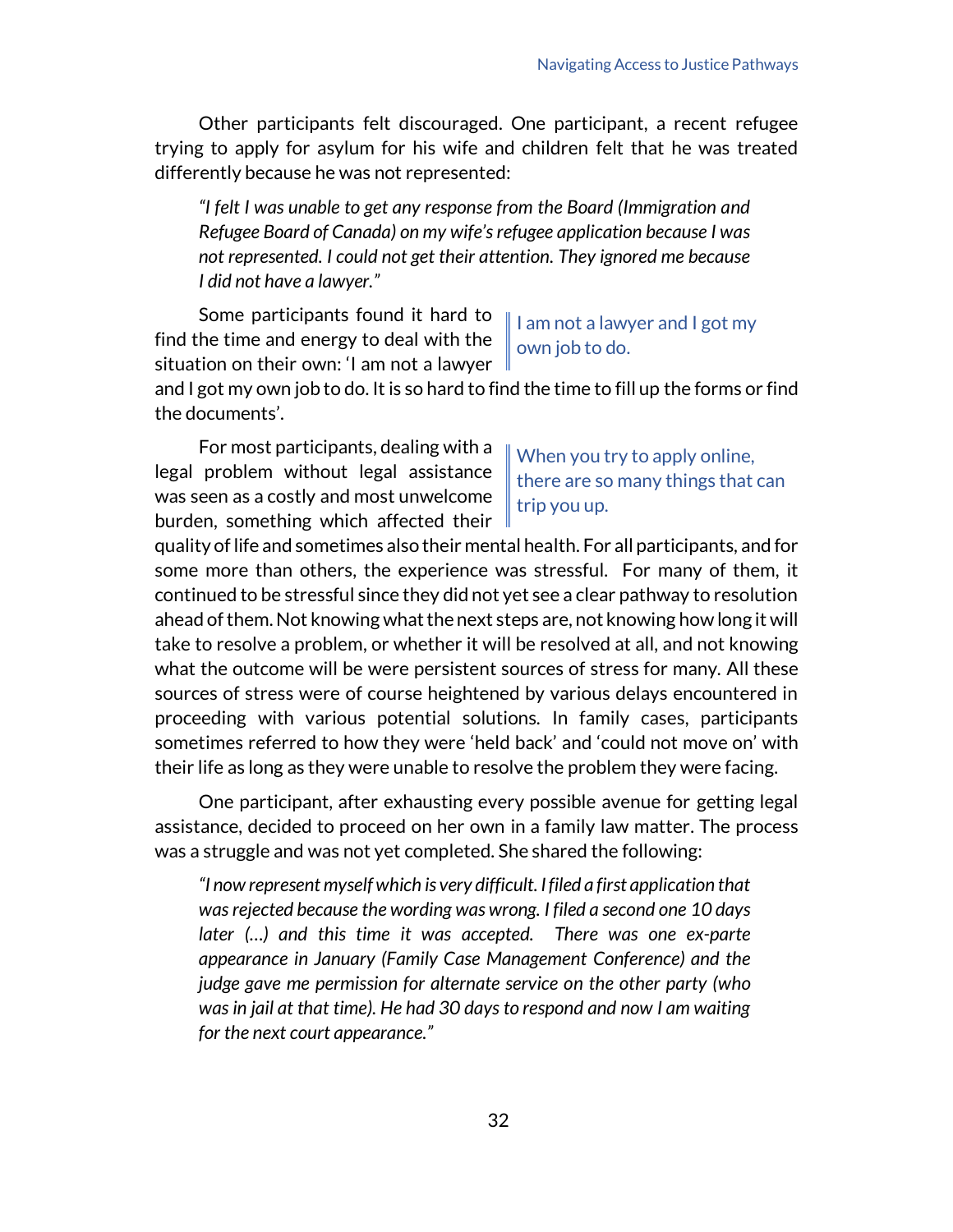Other participants felt discouraged. One participant, a recent refugee trying to apply for asylum for his wife and children felt that he was treated differently because he was not represented:

*"I felt I was unable to get any response from the Board (Immigration and Refugee Board of Canada) on my wife's refugee application because I was not represented. I could not get their attention. They ignored me because I did not have a lawyer."*

Some participants found it hard to find the time and energy to deal with the situation on their own: 'I am not a lawyer

# I am not a lawyer and I got my own job to do.

and I got my own job to do. It is so hard to find the time to fill up the forms or find the documents'.

For most participants, dealing with a legal problem without legal assistance was seen as a costly and most unwelcome burden, something which affected their

# When you try to apply online, there are so many things that can trip you up.

quality of life and sometimes also their mental health. For all participants, and for some more than others, the experience was stressful. For many of them, it continued to be stressful since they did not yet see a clear pathway to resolution ahead of them. Not knowing what the next steps are, not knowing how long it will take to resolve a problem, or whether it will be resolved at all, and not knowing what the outcome will be were persistent sources of stress for many. All these sources of stress were of course heightened by various delays encountered in proceeding with various potential solutions. In family cases, participants sometimes referred to how they were 'held back' and 'could not move on' with their life as long as they were unable to resolve the problem they were facing.

One participant, after exhausting every possible avenue for getting legal assistance, decided to proceed on her own in a family law matter. The process was a struggle and was not yet completed. She shared the following:

*"I now represent myself which is very difficult. Ifiled a first application that was rejected because the wording was wrong. I filed a second one 10 days later (…) and this time it was accepted. There was one ex-parte appearance in January (Family Case Management Conference) and the judge gave me permission for alternate service on the other party (who was in jail at that time). He had 30 days to respond and now I am waiting for the next court appearance."*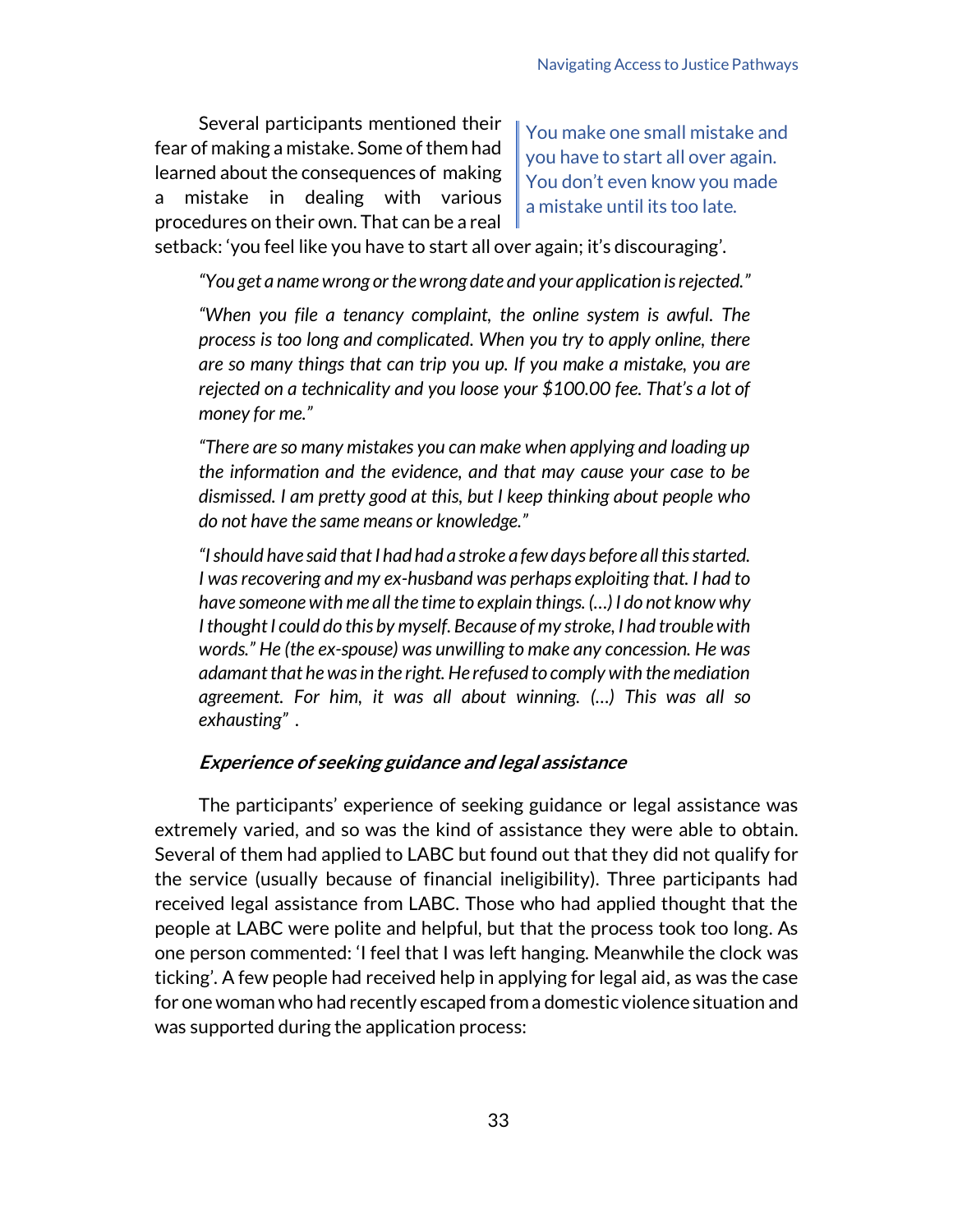Several participants mentioned their fear of making a mistake. Some of them had learned about the consequences of making a mistake in dealing with various procedures on their own. That can be a real

You make one small mistake and you have to start all over again. You don't even know you made a mistake until its too late.

setback: 'you feel like you have to start all over again; it's discouraging'.

*"You get a name wrong or the wrong date and your application is rejected."*

*"When you file a tenancy complaint, the online system is awful. The process is too long and complicated. When you try to apply online, there are so many things that can trip you up. If you make a mistake, you are rejected on a technicality and you loose your \$100.00 fee. That's a lot of money for me."*

*"There are so many mistakes you can make when applying and loading up the information and the evidence, and that may cause your case to be dismissed. I am pretty good at this, but I keep thinking about people who do not have the same means or knowledge."*

*"I should have said that I had had a stroke a few days before all this started. I was recovering and my ex-husband was perhaps exploiting that. I had to have someone with me all the time to explain things. (…) I do not know why I thought I could do this by myself. Because of my stroke, I had trouble with words." He (the ex-spouse) was unwilling to make any concession. He was adamant that he was in the right. He refused to comply with the mediation agreement. For him, it was all about winning. (…) This was all so exhausting" .*

## **Experience of seeking guidance and legal assistance**

The participants' experience of seeking guidance or legal assistance was extremely varied, and so was the kind of assistance they were able to obtain. Several of them had applied to LABC but found out that they did not qualify for the service (usually because of financial ineligibility). Three participants had received legal assistance from LABC. Those who had applied thought that the people at LABC were polite and helpful, but that the process took too long. As one person commented: 'I feel that I was left hanging. Meanwhile the clock was ticking'. A few people had received help in applying for legal aid, as was the case for one woman who had recently escaped from a domestic violence situation and was supported during the application process: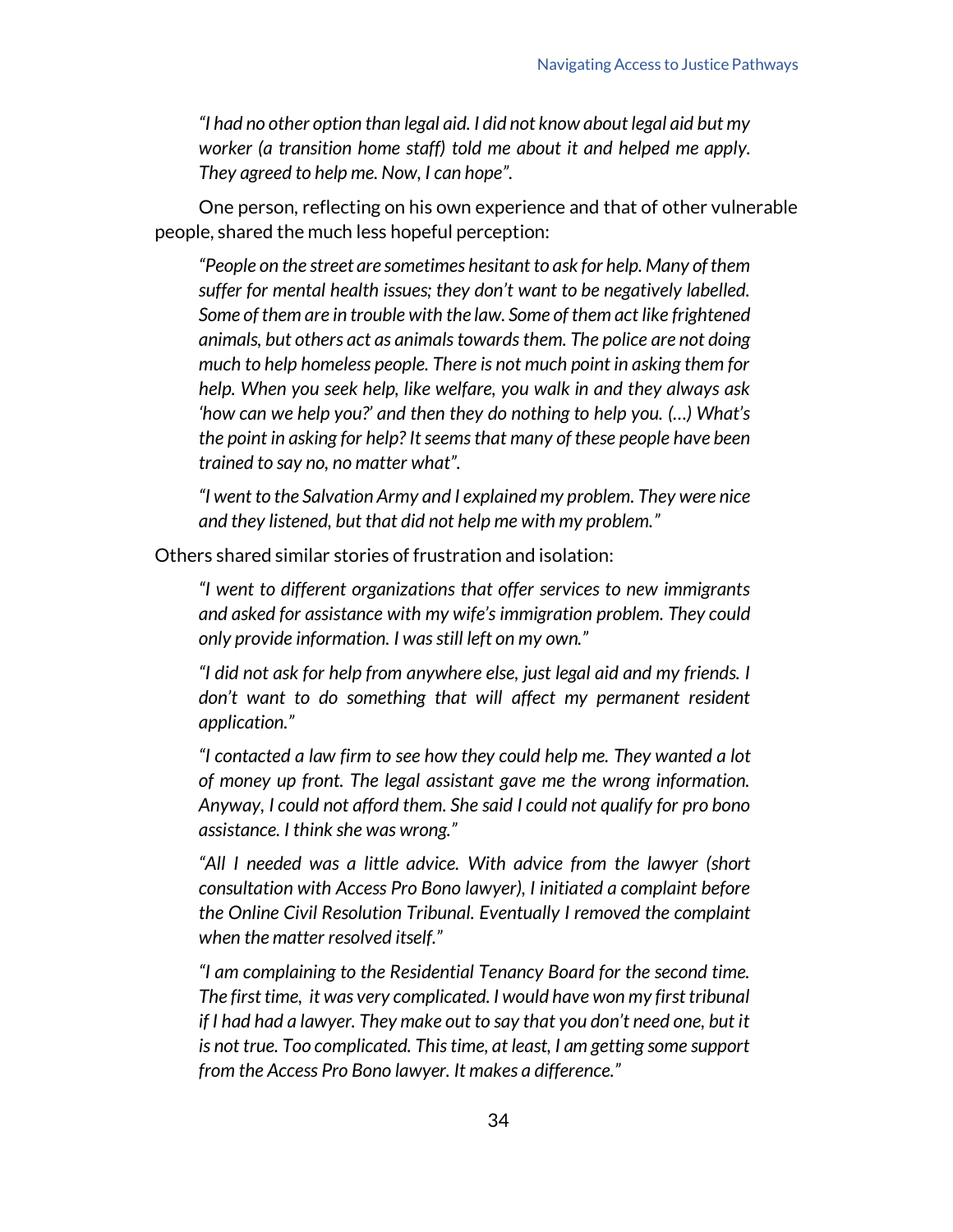*"I had no other option than legal aid. I did not know about legal aid but my worker (a transition home staff) told me about it and helped me apply. They agreed to help me. Now, I can hope".*

One person, reflecting on his own experience and that of other vulnerable people, shared the much less hopeful perception:

*"People on the street are sometimes hesitant to ask for help. Many of them suffer for mental health issues; they don't want to be negatively labelled. Some of them are in trouble with the law. Some of them act like frightened animals, but others act as animals towards them. The police are not doing much to help homeless people. There is not much point in asking them for help. When you seek help, like welfare, you walk in and they always ask 'how can we help you?' and then they do nothing to help you. (…) What's the point in asking for help? It seems that many of these people have been trained to say no, no matter what".* 

*"I went to the Salvation Army and I explained my problem. They were nice and they listened, but that did not help me with my problem."*

Others shared similar stories of frustration and isolation:

*"I went to different organizations that offer services to new immigrants and asked for assistance with my wife's immigration problem. They could only provide information. I was still left on my own."* 

*"I did not ask for help from anywhere else, just legal aid and my friends. I don't want to do something that will affect my permanent resident application."*

*"I contacted a law firm to see how they could help me. They wanted a lot of money up front. The legal assistant gave me the wrong information. Anyway, I could not afford them. She said I could not qualify for pro bono assistance. I think she was wrong."* 

*"All I needed was a little advice. With advice from the lawyer (short consultation with Access Pro Bono lawyer), I initiated a complaint before the Online Civil Resolution Tribunal. Eventually I removed the complaint when the matter resolved itself."* 

*"I am complaining to the Residential Tenancy Board for the second time. The first time, it was very complicated. I would have won my first tribunal if I had had a lawyer. They make out to say that you don't need one, but it is not true. Too complicated. This time, at least, I am getting some support from the Access Pro Bono lawyer. It makes a difference."*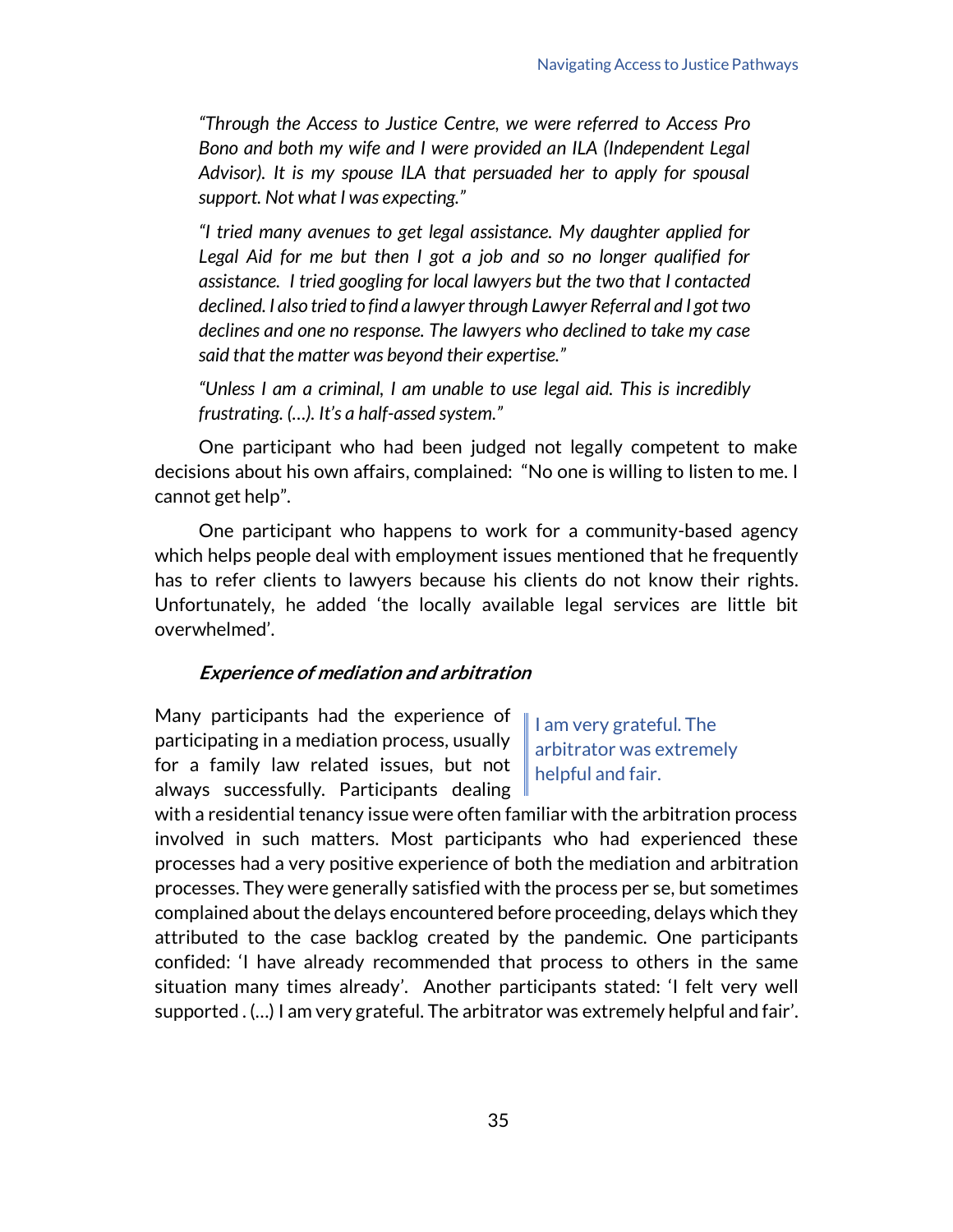*"Through the Access to Justice Centre, we were referred to Access Pro Bono and both my wife and I were provided an ILA (Independent Legal Advisor). It is my spouse ILA that persuaded her to apply for spousal support. Not what I was expecting."*

*"I tried many avenues to get legal assistance. My daughter applied for Legal Aid for me but then I got a job and so no longer qualified for assistance. I tried googling for local lawyers but the two that I contacted declined. I also tried to find a lawyer through Lawyer Referral and I got two declines and one no response. The lawyers who declined to take my case said that the matter was beyond their expertise."* 

*"Unless I am a criminal, I am unable to use legal aid. This is incredibly frustrating. (…). It's a half-assed system."* 

One participant who had been judged not legally competent to make decisions about his own affairs, complained: "No one is willing to listen to me. I cannot get help".

One participant who happens to work for a community-based agency which helps people deal with employment issues mentioned that he frequently has to refer clients to lawyers because his clients do not know their rights. Unfortunately, he added 'the locally available legal services are little bit overwhelmed'.

#### **Experience of mediation and arbitration**

Many participants had the experience of participating in a mediation process, usually for a family law related issues, but not always successfully. Participants dealing

I am very grateful. The arbitrator was extremely helpful and fair.

with a residential tenancy issue were often familiar with the arbitration process involved in such matters. Most participants who had experienced these processes had a very positive experience of both the mediation and arbitration processes. They were generally satisfied with the process per se, but sometimes complained about the delays encountered before proceeding, delays which they attributed to the case backlog created by the pandemic. One participants confided: 'I have already recommended that process to others in the same situation many times already'. Another participants stated: 'I felt very well supported . (…) I am very grateful. The arbitrator was extremely helpful and fair'.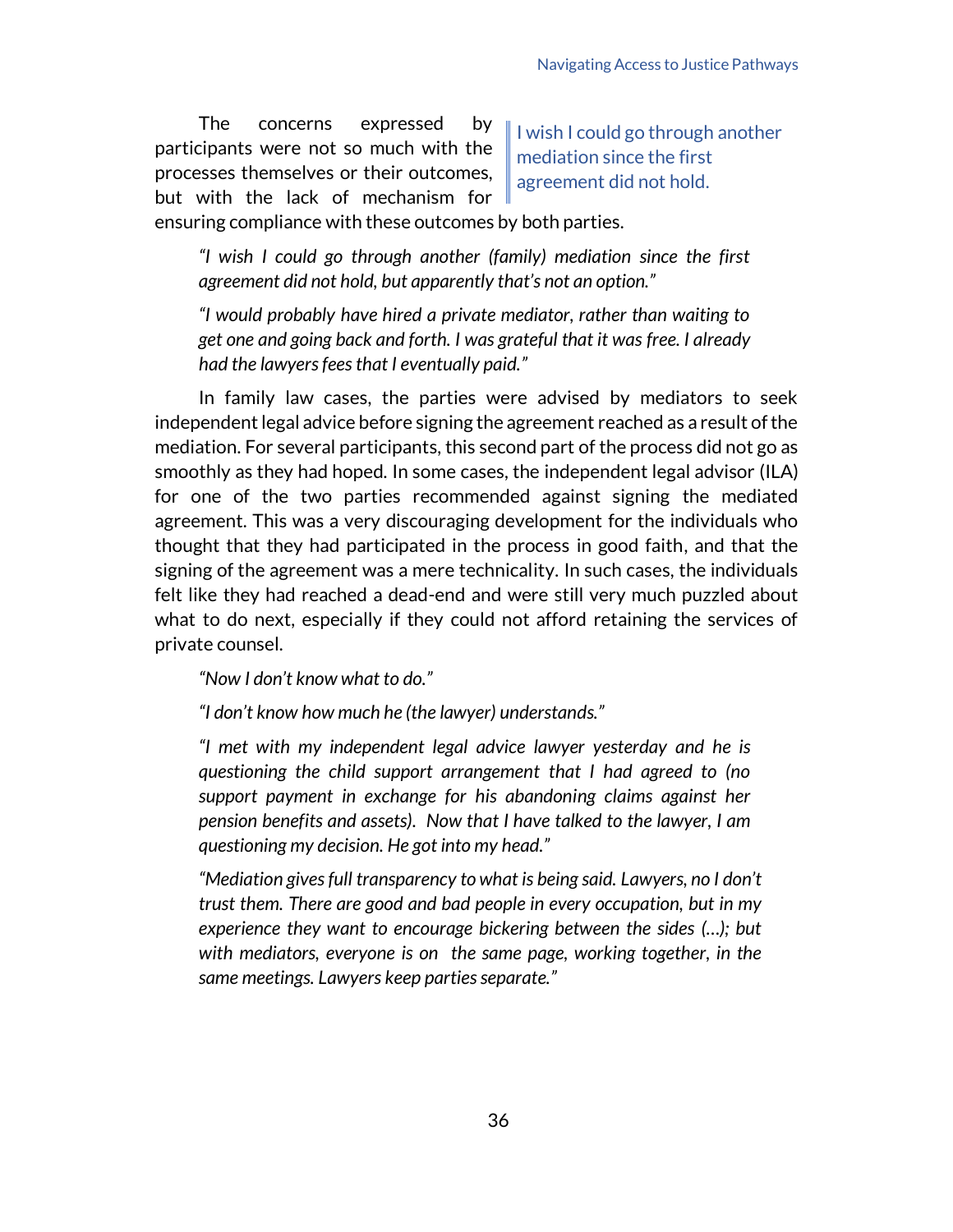The concerns expressed by participants were not so much with the processes themselves or their outcomes, but with the lack of mechanism for

I wish I could go through another mediation since the first agreement did not hold.

ensuring compliance with these outcomes by both parties.

*"I wish I could go through another (family) mediation since the first agreement did not hold, but apparently that's not an option."*

*"I would probably have hired a private mediator, rather than waiting to get one and going back and forth. I was grateful that it was free. I already had the lawyers fees that I eventually paid."* 

In family law cases, the parties were advised by mediators to seek independent legal advice before signing the agreement reached as a result of the mediation. For several participants, this second part of the process did not go as smoothly as they had hoped. In some cases, the independent legal advisor (ILA) for one of the two parties recommended against signing the mediated agreement. This was a very discouraging development for the individuals who thought that they had participated in the process in good faith, and that the signing of the agreement was a mere technicality. In such cases, the individuals felt like they had reached a dead-end and were still very much puzzled about what to do next, especially if they could not afford retaining the services of private counsel.

*"Now I don't know what to do."*

*"I don't know how much he (the lawyer) understands."*

*"I met with my independent legal advice lawyer yesterday and he is questioning the child support arrangement that I had agreed to (no support payment in exchange for his abandoning claims against her pension benefits and assets). Now that I have talked to the lawyer, I am questioning my decision. He got into my head."*

*"Mediation gives full transparency to what is being said. Lawyers, no I don't trust them. There are good and bad people in every occupation, but in my experience they want to encourage bickering between the sides (…); but with mediators, everyone is on the same page, working together, in the same meetings. Lawyers keep parties separate."*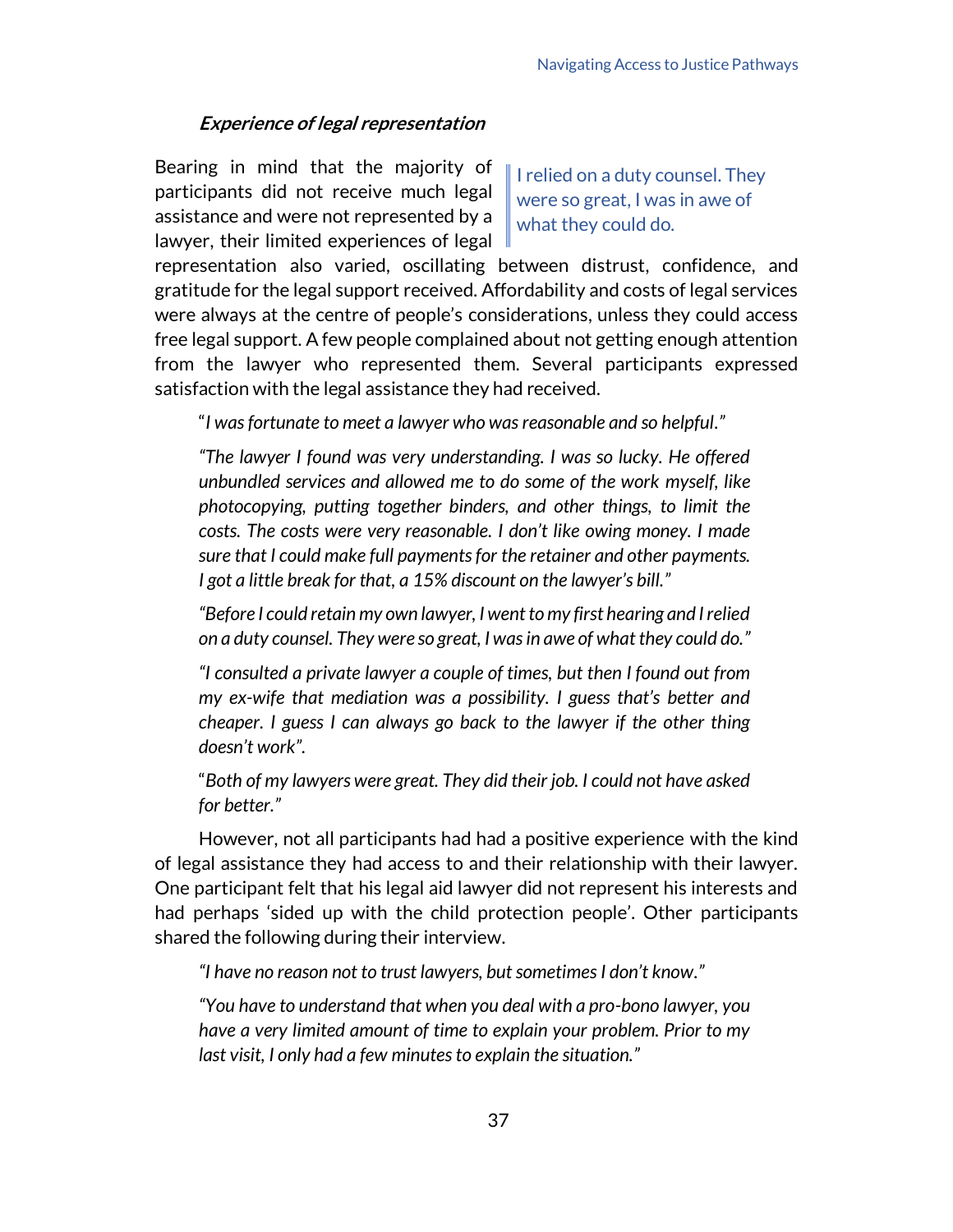# **Experience of legal representation**

Bearing in mind that the majority of participants did not receive much legal assistance and were not represented by a lawyer, their limited experiences of legal

I relied on a duty counsel. They were so great, I was in awe of what they could do.

representation also varied, oscillating between distrust, confidence, and gratitude for the legal support received. Affordability and costs of legal services were always at the centre of people's considerations, unless they could access free legal support. A few people complained about not getting enough attention from the lawyer who represented them. Several participants expressed satisfaction with the legal assistance they had received.

"*I was fortunate to meet a lawyer who was reasonable and so helpful."*

*"The lawyer I found was very understanding. I was so lucky. He offered unbundled services and allowed me to do some of the work myself, like photocopying, putting together binders, and other things, to limit the costs. The costs were very reasonable. I don't like owing money. I made sure that I could make full payments for the retainer and other payments. I got a little break for that, a 15% discount on the lawyer's bill."*

*"Before I could retain my own lawyer, I went to my first hearing and I relied on a duty counsel. They were so great, I was in awe of what they could do."*

*"I consulted a private lawyer a couple of times, but then I found out from my ex-wife that mediation was a possibility. I guess that's better and cheaper. I guess I can always go back to the lawyer if the other thing doesn't work".*

"*Both of my lawyers were great. They did their job. I could not have asked for better."*

However, not all participants had had a positive experience with the kind of legal assistance they had access to and their relationship with their lawyer. One participant felt that his legal aid lawyer did not represent his interests and had perhaps 'sided up with the child protection people'. Other participants shared the following during their interview.

*"I have no reason not to trust lawyers, but sometimes I don't know."* 

*"You have to understand that when you deal with a pro-bono lawyer, you have a very limited amount of time to explain your problem. Prior to my last visit, I only had a few minutes to explain the situation."*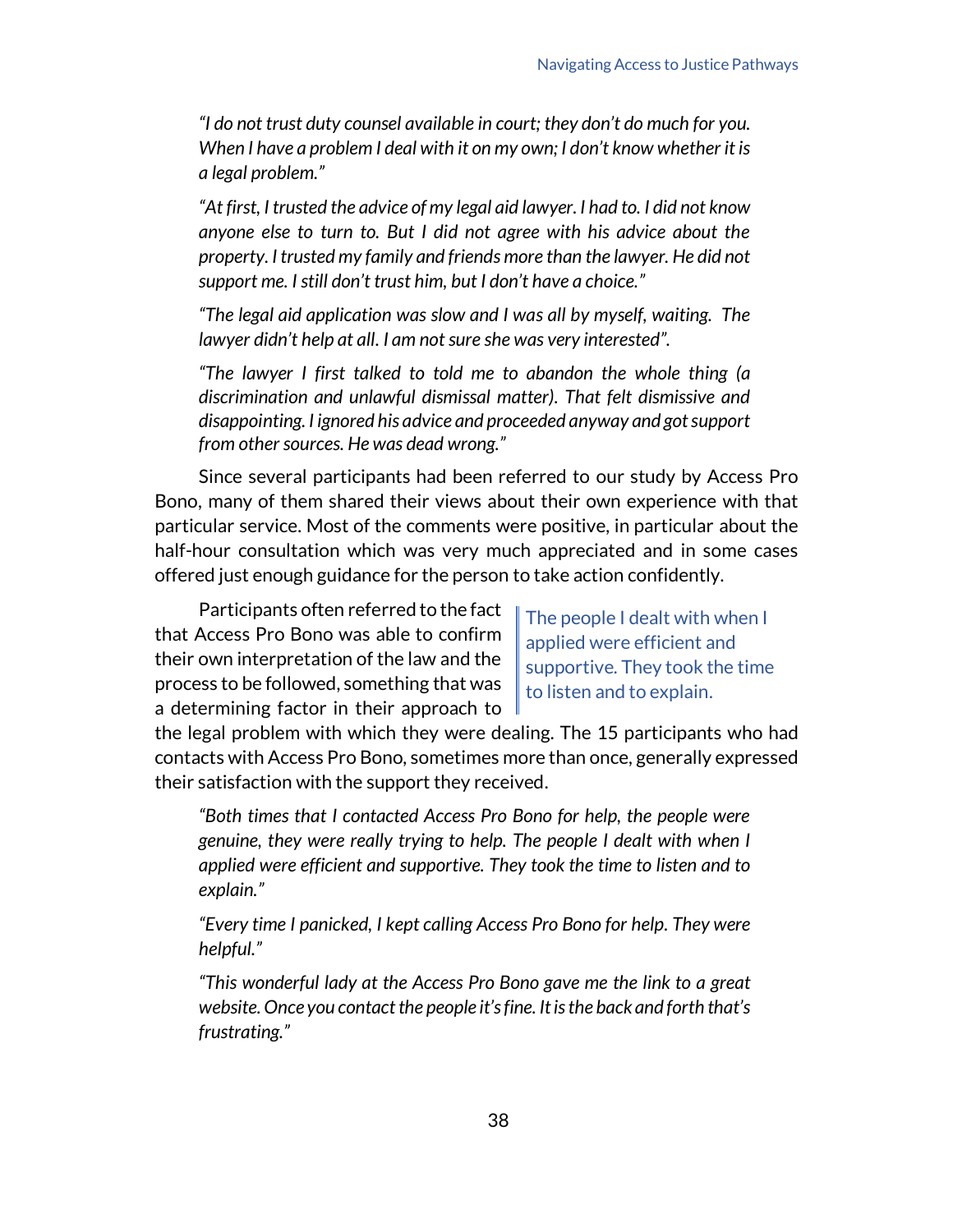*"I do not trust duty counsel available in court; they don't do much for you. When I have a problem I deal with it on my own; I don't know whether it is a legal problem."*

*"At first, I trusted the advice of my legal aid lawyer. I had to. I did not know anyone else to turn to. But I did not agree with his advice about the property. I trusted my family and friends more than the lawyer. He did not support me. I still don't trust him, but I don't have a choice."*

*"The legal aid application was slow and I was all by myself, waiting. The lawyer didn't help at all. I am not sure she was very interested".* 

*"The lawyer I first talked to told me to abandon the whole thing (a discrimination and unlawful dismissal matter). That felt dismissive and disappointing. I ignored his advice and proceeded anyway and got support from other sources. He was dead wrong."*

Since several participants had been referred to our study by Access Pro Bono, many of them shared their views about their own experience with that particular service. Most of the comments were positive, in particular about the half-hour consultation which was very much appreciated and in some cases offered just enough guidance for the person to take action confidently.

Participants often referred to the fact that Access Pro Bono was able to confirm their own interpretation of the law and the process to be followed, something that was a determining factor in their approach to

The people I dealt with when I applied were efficient and supportive. They took the time to listen and to explain.

the legal problem with which they were dealing. The 15 participants who had contacts with Access Pro Bono, sometimes more than once, generally expressed their satisfaction with the support they received.

*"Both times that I contacted Access Pro Bono for help, the people were genuine, they were really trying to help. The people I dealt with when I applied were efficient and supportive. They took the time to listen and to explain."*

*"Every time I panicked, I kept calling Access Pro Bono for help. They were helpful."*

*"This wonderful lady at the Access Pro Bono gave me the link to a great website. Once you contact the people it's fine. It is the back and forth that's frustrating."*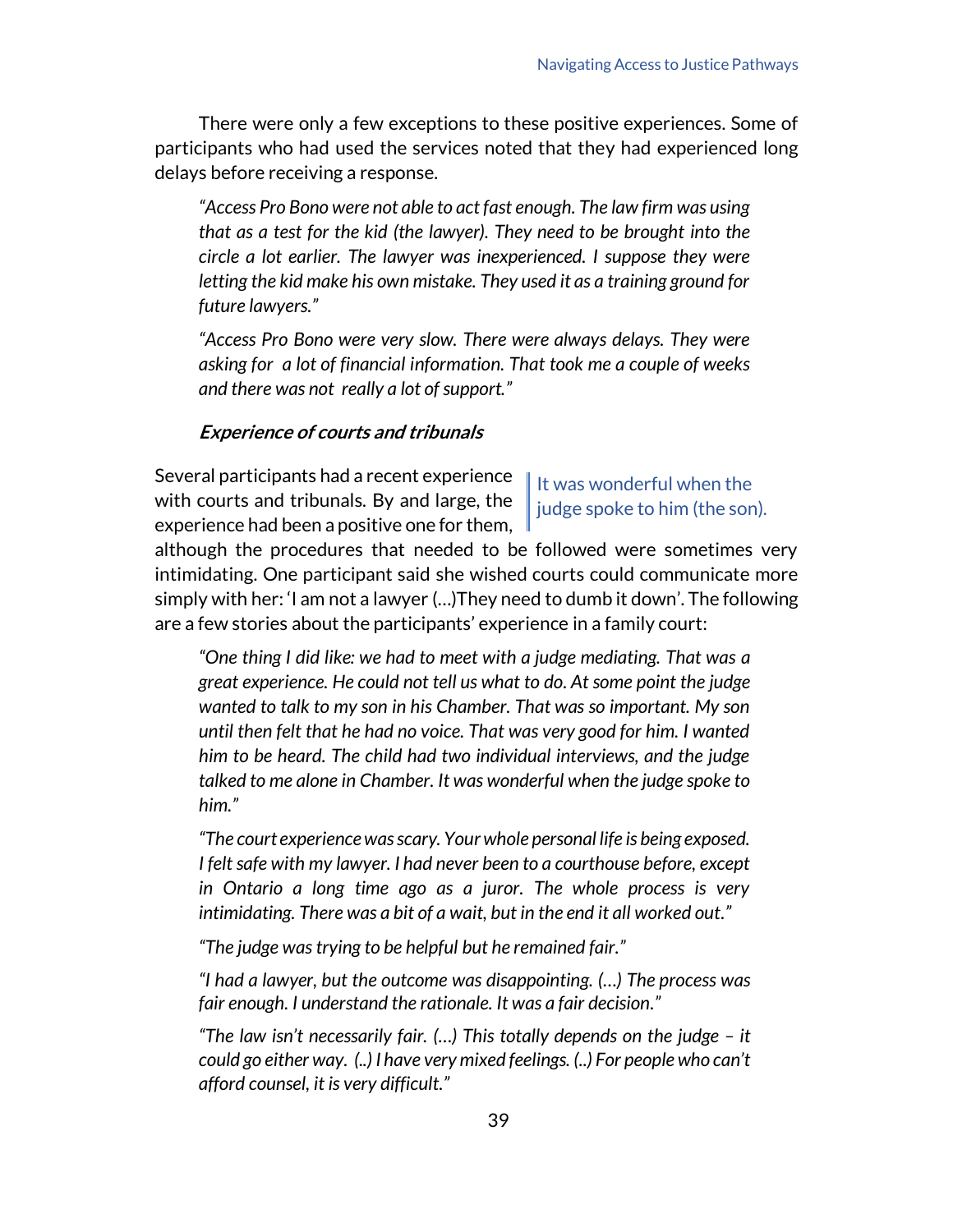There were only a few exceptions to these positive experiences. Some of participants who had used the services noted that they had experienced long delays before receiving a response.

*"Access Pro Bono were not able to act fast enough. The law firm was using that as a test for the kid (the lawyer). They need to be brought into the circle a lot earlier. The lawyer was inexperienced. I suppose they were letting the kid make his own mistake. They used it as a training ground for future lawyers."*

*"Access Pro Bono were very slow. There were always delays. They were asking for a lot of financial information. That took me a couple of weeks and there was not really a lot of support."*

#### **Experience of courts and tribunals**

Several participants had a recent experience with courts and tribunals. By and large, the experience had been a positive one for them, It was wonderful when the judge spoke to him (the son).

although the procedures that needed to be followed were sometimes very intimidating. One participant said she wished courts could communicate more simply with her: 'I am not a lawyer (…)They need to dumb it down'. The following are a few stories about the participants' experience in a family court:

*"One thing I did like: we had to meet with a judge mediating. That was a great experience. He could not tell us what to do. At some point the judge wanted to talk to my son in his Chamber. That was so important. My son until then felt that he had no voice. That was very good for him. I wanted him to be heard. The child had two individual interviews, and the judge talked to me alone in Chamber. It was wonderful when the judge spoke to him."*

*"The court experience was scary. Your whole personal life is being exposed. I felt safe with my lawyer. I had never been to a courthouse before, except in Ontario a long time ago as a juror. The whole process is very intimidating. There was a bit of a wait, but in the end it all worked out."*

*"The judge was trying to be helpful but he remained fair."*

*"I had a lawyer, but the outcome was disappointing. (…) The process was fair enough. I understand the rationale. It was a fair decision."*

*"The law isn't necessarily fair. (…) This totally depends on the judge – it could go either way. (..) I have very mixed feelings. (..) For people who can't afford counsel, it is very difficult."*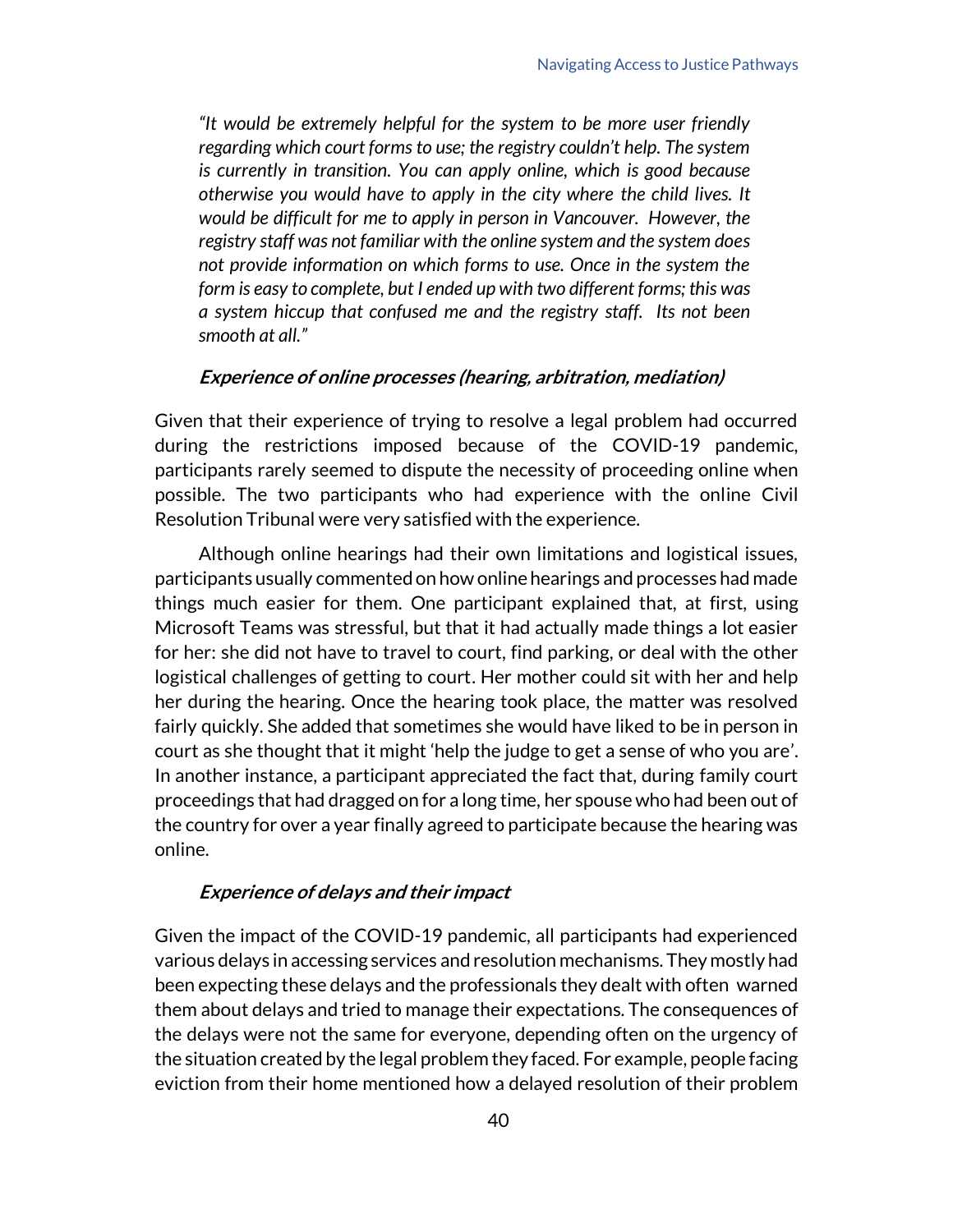*"It would be extremely helpful for the system to be more user friendly regarding which court forms to use; the registry couldn't help. The system is currently in transition. You can apply online, which is good because otherwise you would have to apply in the city where the child lives. It would be difficult for me to apply in person in Vancouver. However, the registry staff was not familiar with the online system and the system does not provide information on which forms to use. Once in the system the form is easy to complete, but I ended up with two different forms; this was a system hiccup that confused me and the registry staff. Its not been smooth at all."*

## **Experience of online processes (hearing, arbitration, mediation)**

Given that their experience of trying to resolve a legal problem had occurred during the restrictions imposed because of the COVID-19 pandemic, participants rarely seemed to dispute the necessity of proceeding online when possible. The two participants who had experience with the online Civil Resolution Tribunal were very satisfied with the experience.

Although online hearings had their own limitations and logistical issues, participants usually commented on how online hearings and processes had made things much easier for them. One participant explained that, at first, using Microsoft Teams was stressful, but that it had actually made things a lot easier for her: she did not have to travel to court, find parking, or deal with the other logistical challenges of getting to court. Her mother could sit with her and help her during the hearing. Once the hearing took place, the matter was resolved fairly quickly. She added that sometimes she would have liked to be in person in court as she thought that it might 'help the judge to get a sense of who you are'. In another instance, a participant appreciated the fact that, during family court proceedings that had dragged on for a long time, her spouse who had been out of the country for over a year finally agreed to participate because the hearing was online.

## **Experience of delays and their impact**

Given the impact of the COVID-19 pandemic, all participants had experienced various delays in accessing services and resolution mechanisms. They mostly had been expecting these delays and the professionals they dealt with often warned them about delays and tried to manage their expectations. The consequences of the delays were not the same for everyone, depending often on the urgency of the situation created by the legal problem they faced. For example, people facing eviction from their home mentioned how a delayed resolution of their problem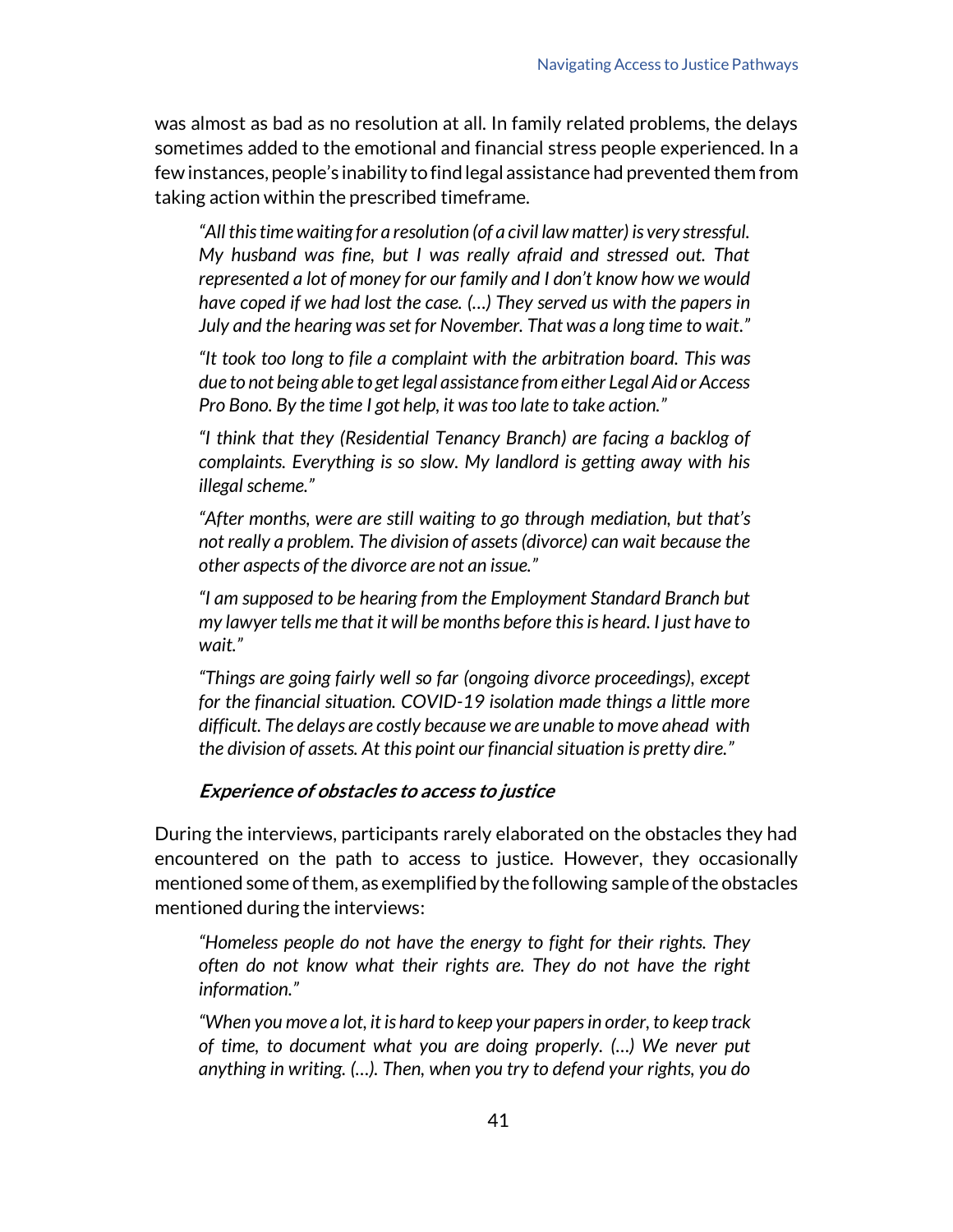was almost as bad as no resolution at all. In family related problems, the delays sometimes added to the emotional and financial stress people experienced. In a few instances, people's inability to find legal assistance had prevented them from taking action within the prescribed timeframe.

*"All this time waiting for a resolution (of a civil law matter) is very stressful. My husband was fine, but I was really afraid and stressed out. That represented a lot of money for our family and I don't know how we would have coped if we had lost the case. (…) They served us with the papers in July and the hearing was set for November. That was a long time to wait."* 

*"It took too long to file a complaint with the arbitration board. This was due to not being able to get legal assistance from either Legal Aid or Access Pro Bono. By the time I got help, it was too late to take action."* 

*"I think that they (Residential Tenancy Branch) are facing a backlog of complaints. Everything is so slow. My landlord is getting away with his illegal scheme."*

*"After months, were are still waiting to go through mediation, but that's not really a problem. The division of assets (divorce) can wait because the other aspects of the divorce are not an issue."* 

*"I am supposed to be hearing from the Employment Standard Branch but my lawyer tells me that it will be months before this is heard. I just have to wait."* 

*"Things are going fairly well so far (ongoing divorce proceedings), except for the financial situation. COVID-19 isolation made things a little more difficult. The delays are costly because we are unable to move ahead with the division of assets. At this point our financial situation is pretty dire."*

## **Experience of obstacles to access to justice**

During the interviews, participants rarely elaborated on the obstacles they had encountered on the path to access to justice. However, they occasionally mentioned some of them, as exemplified by the following sample of the obstacles mentioned during the interviews:

*"Homeless people do not have the energy to fight for their rights. They often do not know what their rights are. They do not have the right information."*

*"When you move a lot, it is hard to keep your papers in order, to keep track of time, to document what you are doing properly. (…) We never put anything in writing. (…). Then, when you try to defend your rights, you do*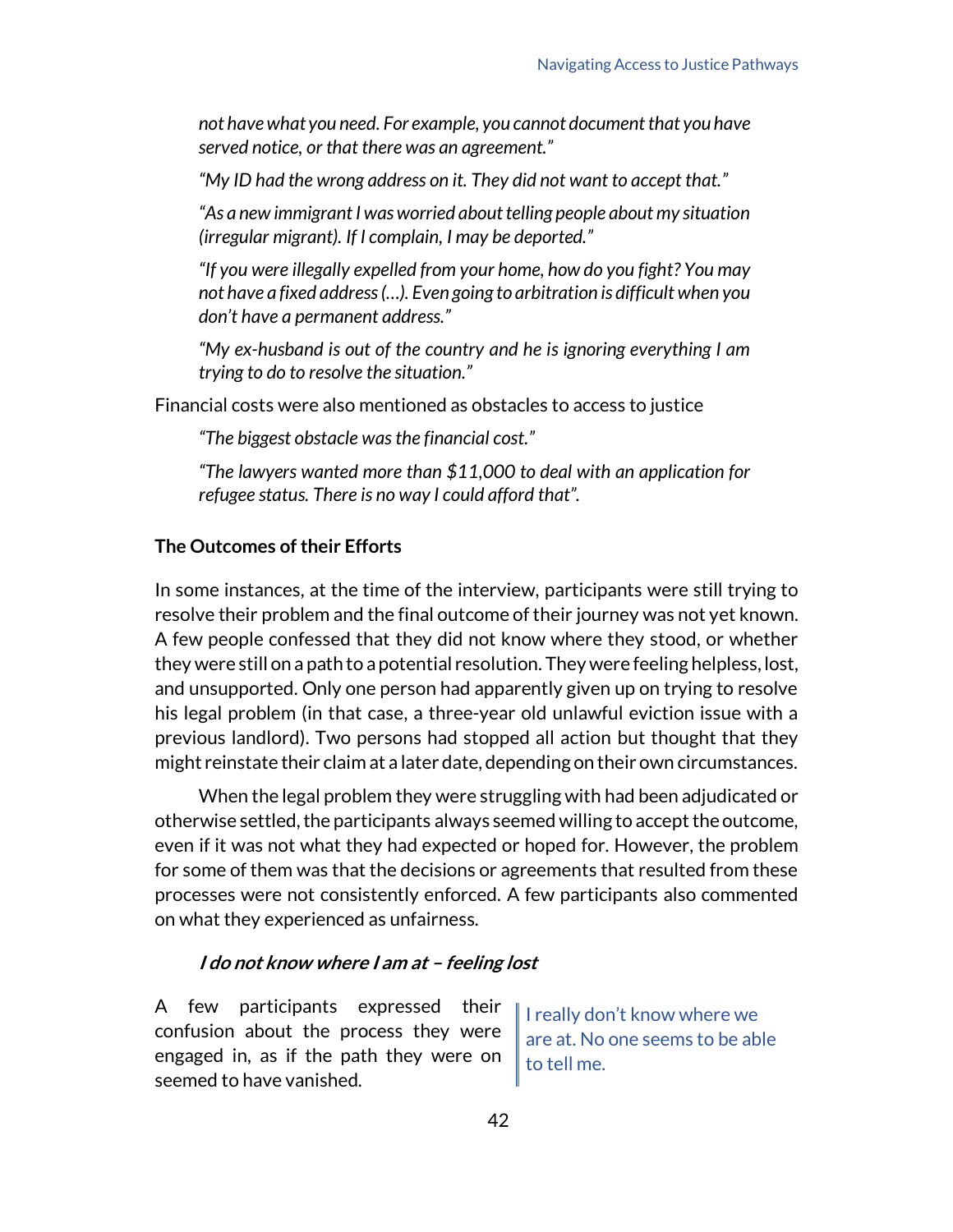*not have what you need. For example, you cannot document that you have served notice, or that there was an agreement."* 

*"My ID had the wrong address on it. They did not want to accept that."*

*"As a new immigrant I was worried about telling people about my situation (irregular migrant). If I complain, I may be deported."*

*"If you were illegally expelled from your home, how do you fight? You may not have a fixed address(…). Even going to arbitration is difficult when you don't have a permanent address."* 

*"My ex-husband is out of the country and he is ignoring everything I am trying to do to resolve the situation."* 

Financial costs were also mentioned as obstacles to access to justice

*"The biggest obstacle was the financial cost."*

*"The lawyers wanted more than \$11,000 to deal with an application for refugee status. There is no way I could afford that".* 

## <span id="page-41-0"></span>**The Outcomes of their Efforts**

In some instances, at the time of the interview, participants were still trying to resolve their problem and the final outcome of their journey was not yet known. A few people confessed that they did not know where they stood, or whether they were still on a path to a potential resolution. They were feeling helpless, lost, and unsupported. Only one person had apparently given up on trying to resolve his legal problem (in that case, a three-year old unlawful eviction issue with a previous landlord). Two persons had stopped all action but thought that they might reinstate their claim at a later date, depending on their own circumstances.

When the legal problem they were struggling with had been adjudicated or otherwise settled, the participants always seemed willing to accept the outcome, even if it was not what they had expected or hoped for. However, the problem for some of them was that the decisions or agreements that resulted from these processes were not consistently enforced. A few participants also commented on what they experienced as unfairness.

#### **I do not know where I am at – feeling lost**

A few participants expressed their confusion about the process they were engaged in, as if the path they were on seemed to have vanished.

I really don't know where we are at. No one seems to be able to tell me.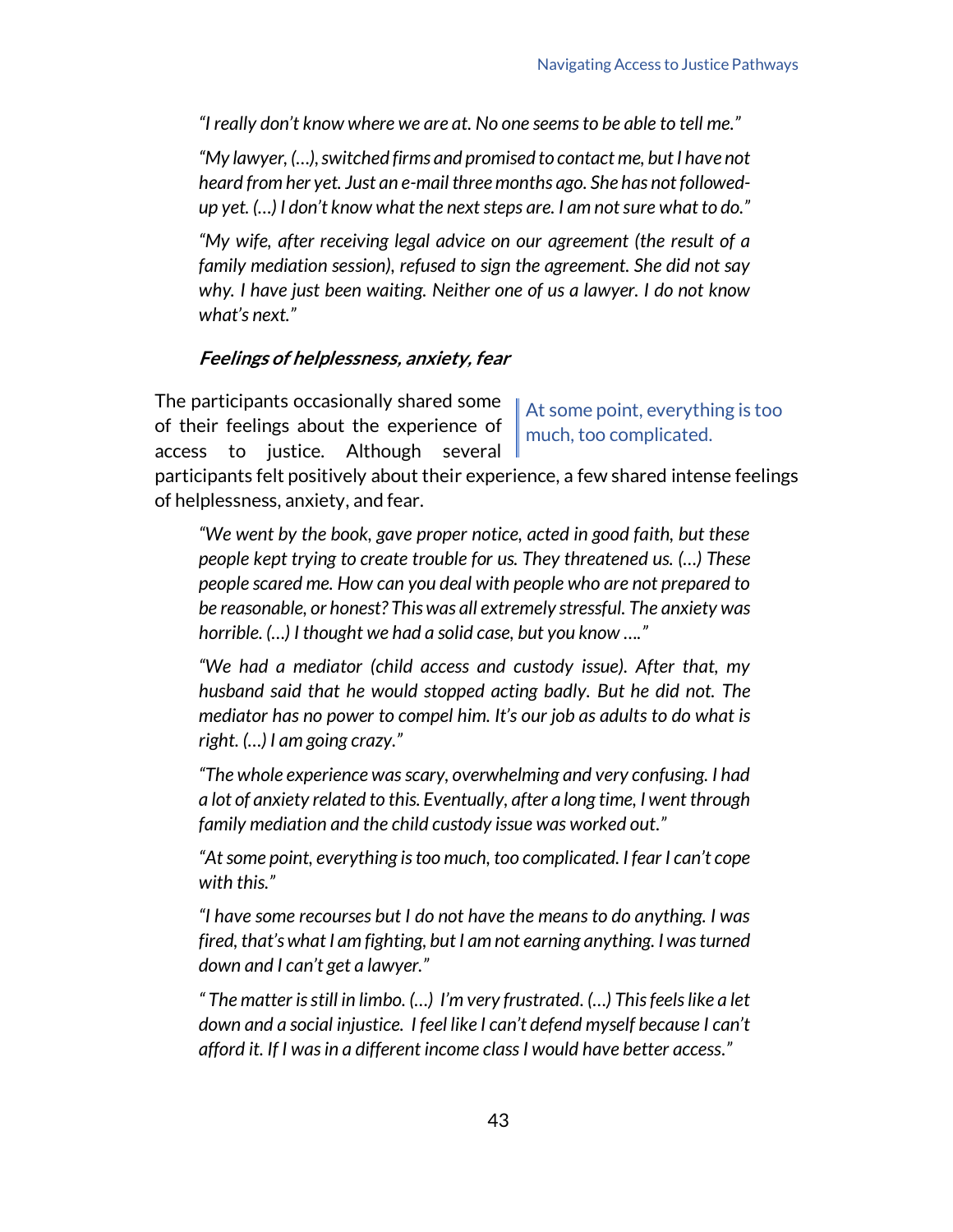*"I really don't know where we are at. No one seems to be able to tell me."* 

*"My lawyer, (…), switched firms and promised to contact me, but I have not heard from her yet. Just an e-mail three months ago. She has not followedup yet. (…) I don't know what the next steps are. I am not sure what to do."*

*"My wife, after receiving legal advice on our agreement (the result of a family mediation session), refused to sign the agreement. She did not say why. I have just been waiting. Neither one of us a lawyer. I do not know what's next."*

# **Feelings of helplessness, anxiety, fear**

The participants occasionally shared some of their feelings about the experience of access to justice. Although several

At some point, everything is too much, too complicated.

participants felt positively about their experience, a few shared intense feelings of helplessness, anxiety, and fear.

*"We went by the book, gave proper notice, acted in good faith, but these people kept trying to create trouble for us. They threatened us. (…) These people scared me. How can you deal with people who are not prepared to be reasonable, or honest? This was all extremely stressful. The anxiety was horrible. (…) I thought we had a solid case, but you know …."* 

*"We had a mediator (child access and custody issue). After that, my husband said that he would stopped acting badly. But he did not. The mediator has no power to compel him. It's our job as adults to do what is right. (…) I am going crazy."* 

*"The whole experience was scary, overwhelming and very confusing. I had a lot of anxiety related to this. Eventually, after a long time, I went through family mediation and the child custody issue was worked out."*

*"At some point, everything is too much, too complicated. I fear I can't cope with this."*

*"I have some recourses but I do not have the means to do anything. I was fired, that's what I am fighting, but I am not earning anything. I was turned down and I can't get a lawyer."*

*" The matter is still in limbo. (…) I'm very frustrated. (…) This feels like a let down and a social injustice. I feel like I can't defend myself because I can't afford it. If I was in a different income class I would have better access."*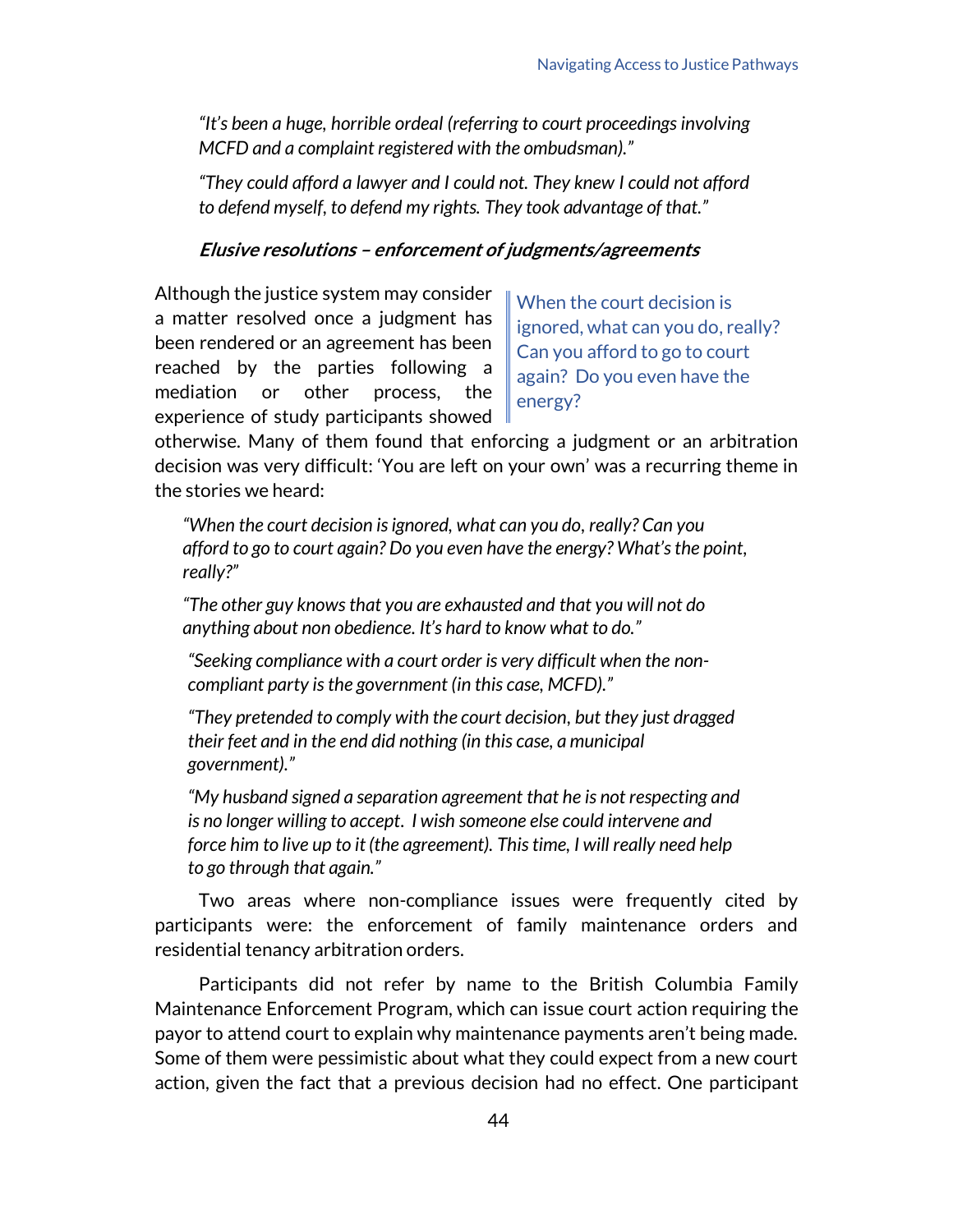*"It's been a huge, horrible ordeal (referring to court proceedings involving MCFD and a complaint registered with the ombudsman)."*

*"They could afford a lawyer and I could not. They knew I could not afford to defend myself, to defend my rights. They took advantage of that."*

#### **Elusive resolutions – enforcement of judgments/agreements**

Although the justice system may consider a matter resolved once a judgment has been rendered or an agreement has been reached by the parties following a mediation or other process, the experience of study participants showed

When the court decision is ignored, what can you do, really? Can you afford to go to court again? Do you even have the energy?

otherwise. Many of them found that enforcing a judgment or an arbitration decision was very difficult: 'You are left on your own' was a recurring theme in the stories we heard:

*"When the court decision is ignored, what can you do, really? Can you afford to go to court again? Do you even have the energy? What's the point, really?"*

*"The other guy knows that you are exhausted and that you will not do anything about non obedience. It's hard to know what to do."*

*"Seeking compliance with a court order is very difficult when the noncompliant party is the government (in this case, MCFD)."*

*"They pretended to comply with the court decision, but they just dragged their feet and in the end did nothing (in this case, a municipal government)."* 

*"My husband signed a separation agreement that he is not respecting and is no longer willing to accept*. *I wish someone else could intervene and force him to live up to it (the agreement). This time, I will really need help to go through that again."*

Two areas where non-compliance issues were frequently cited by participants were: the enforcement of family maintenance orders and residential tenancy arbitration orders.

Participants did not refer by name to the British Columbia Family Maintenance Enforcement Program, which can issue court action requiring the payor to attend court to explain why maintenance payments aren't being made. Some of them were pessimistic about what they could expect from a new court action, given the fact that a previous decision had no effect. One participant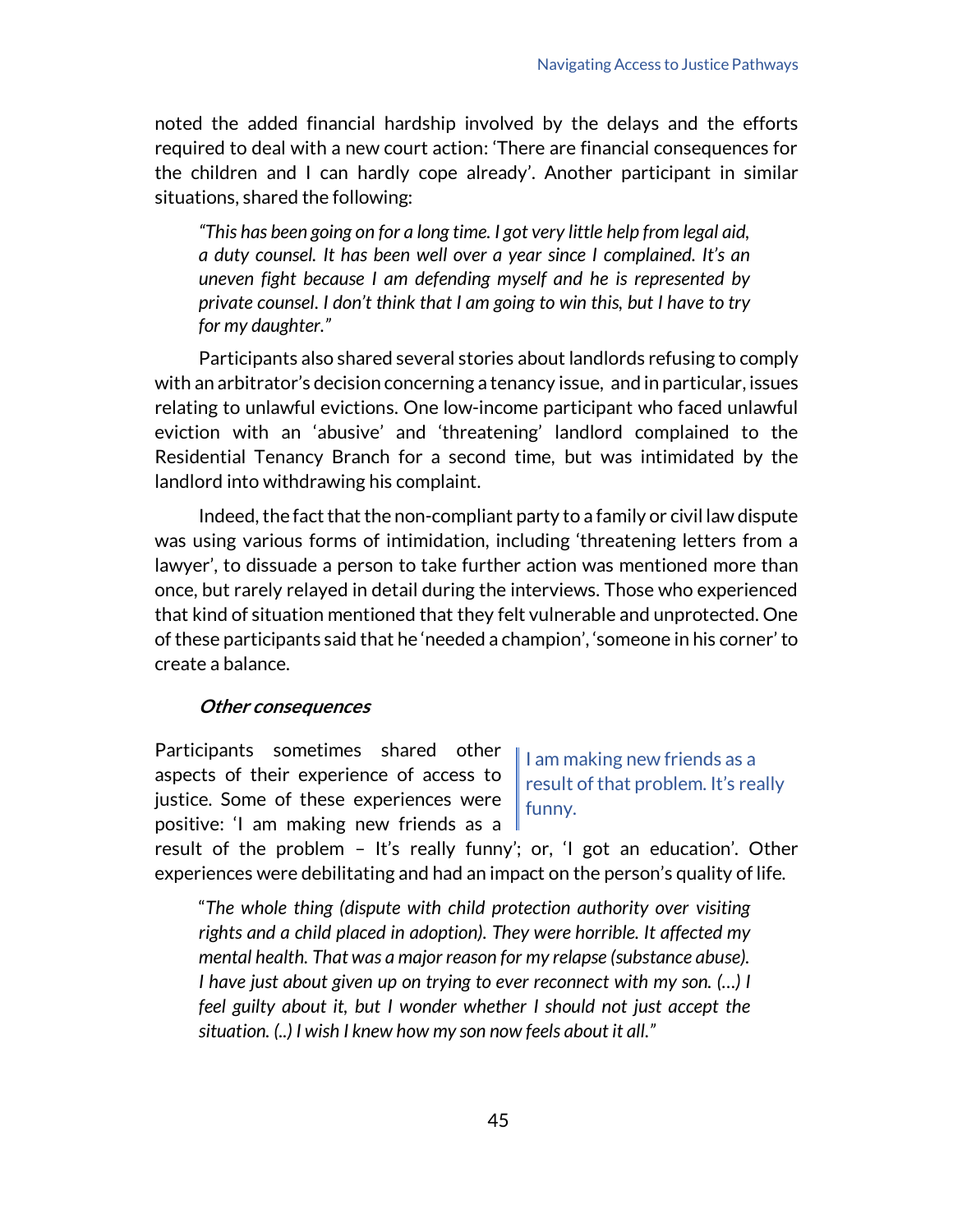noted the added financial hardship involved by the delays and the efforts required to deal with a new court action: 'There are financial consequences for the children and I can hardly cope already'. Another participant in similar situations, shared the following:

*"This has been going on for a long time. I got very little help from legal aid, a duty counsel. It has been well over a year since I complained. It's an uneven fight because I am defending myself and he is represented by private counsel*. *I don't think that I am going to win this, but I have to try for my daughter."*

Participants also shared several stories about landlords refusing to comply with an arbitrator's decision concerning a tenancy issue, and in particular, issues relating to unlawful evictions. One low-income participant who faced unlawful eviction with an 'abusive' and 'threatening' landlord complained to the Residential Tenancy Branch for a second time, but was intimidated by the landlord into withdrawing his complaint.

Indeed, the fact that the non-compliant party to a family or civil law dispute was using various forms of intimidation, including 'threatening letters from a lawyer', to dissuade a person to take further action was mentioned more than once, but rarely relayed in detail during the interviews. Those who experienced that kind of situation mentioned that they felt vulnerable and unprotected. One of these participants said that he 'needed a champion', 'someone in his corner' to create a balance.

#### **Other consequences**

Participants sometimes shared other aspects of their experience of access to justice. Some of these experiences were positive: 'I am making new friends as a

I am making new friends as a result of that problem. It's really funny.

result of the problem – It's really funny'; or, 'I got an education'. Other experiences were debilitating and had an impact on the person's quality of life.

"*The whole thing (dispute with child protection authority over visiting rights and a child placed in adoption). They were horrible. It affected my mental health. That was a major reason for my relapse (substance abuse). I have just about given up on trying to ever reconnect with my son. (…) I feel guilty about it, but I wonder whether I should not just accept the situation. (..) I wish I knew how my son now feels about it all."*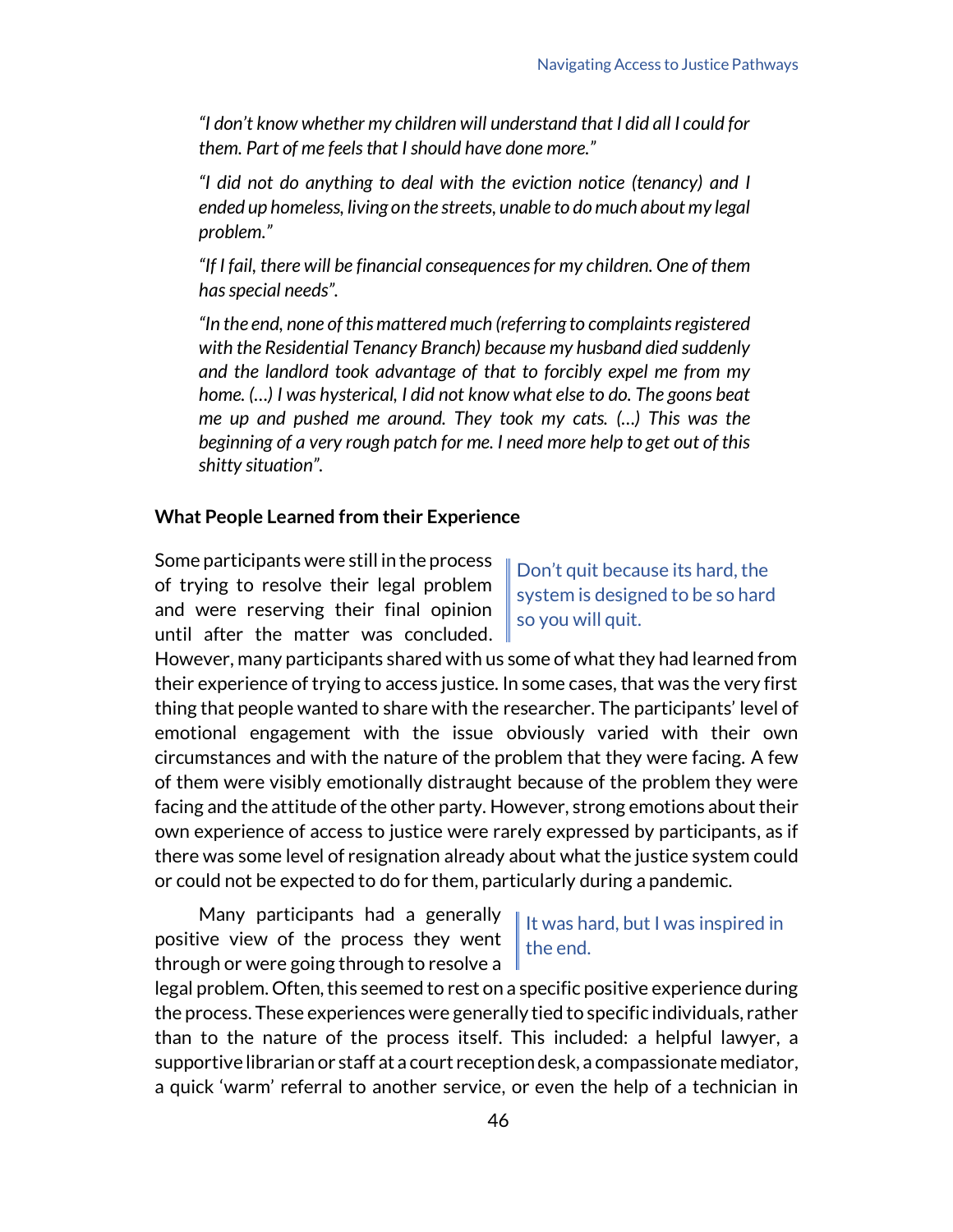*"I don't know whether my children will understand that I did all I could for them. Part of me feels that I should have done more."*

*"I did not do anything to deal with the eviction notice (tenancy) and I ended up homeless, living on the streets, unable to do much about my legal problem."* 

*"If I fail, there will be financial consequences for my children. One of them has special needs".*

*"In the end, none of this mattered much (referring to complaints registered with the Residential Tenancy Branch) because my husband died suddenly and the landlord took advantage of that to forcibly expel me from my home. (…) I was hysterical, I did not know what else to do. The goons beat me up and pushed me around. They took my cats. (…) This was the beginning of a very rough patch for me. I need more help to get out of this shitty situation".*

## <span id="page-45-0"></span>**What People Learned from their Experience**

Some participants were still in the process of trying to resolve their legal problem and were reserving their final opinion until after the matter was concluded.

Don't quit because its hard, the system is designed to be so hard so you will quit.

However, many participants shared with us some of what they had learned from their experience of trying to access justice. In some cases, that was the very first thing that people wanted to share with the researcher. The participants' level of emotional engagement with the issue obviously varied with their own circumstances and with the nature of the problem that they were facing. A few of them were visibly emotionally distraught because of the problem they were facing and the attitude of the other party. However, strong emotions about their own experience of access to justice were rarely expressed by participants, as if there was some level of resignation already about what the justice system could or could not be expected to do for them, particularly during a pandemic.

Many participants had a generally positive view of the process they went through or were going through to resolve a

# It was hard, but I was inspired in the end.

legal problem. Often, this seemed to rest on a specific positive experience during the process. These experiences were generally tied to specific individuals, rather than to the nature of the process itself. This included: a helpful lawyer, a supportive librarian or staff at a court reception desk, a compassionate mediator, a quick 'warm' referral to another service, or even the help of a technician in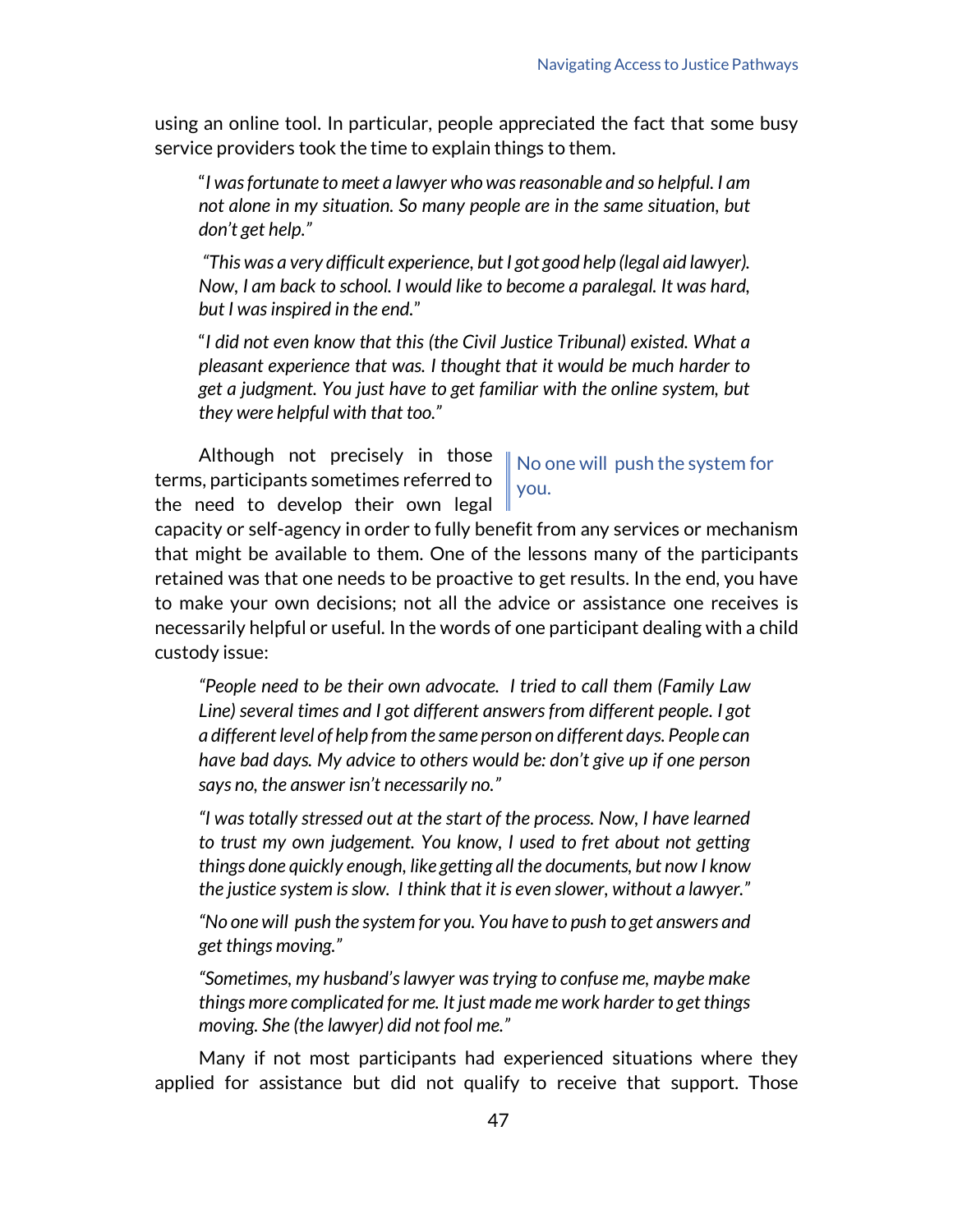using an online tool. In particular, people appreciated the fact that some busy service providers took the time to explain things to them.

"*I was fortunate to meet a lawyer who was reasonable and so helpful. I am not alone in my situation. So many people are in the same situation, but don't get help."*

*"This was a very difficult experience, but I got good help (legal aid lawyer). Now, I am back to school. I would like to become a paralegal. It was hard, but I was inspired in the end.*"

"*I did not even know that this (the Civil Justice Tribunal) existed. What a pleasant experience that was. I thought that it would be much harder to get a judgment. You just have to get familiar with the online system, but they were helpful with that too."*

Although not precisely in those terms, participants sometimes referred to the need to develop their own legal No one will push the system for you.

capacity or self-agency in order to fully benefit from any services or mechanism that might be available to them. One of the lessons many of the participants retained was that one needs to be proactive to get results. In the end, you have to make your own decisions; not all the advice or assistance one receives is necessarily helpful or useful. In the words of one participant dealing with a child custody issue:

*"People need to be their own advocate. I tried to call them (Family Law Line) several times and I got different answers from different people. I got a different level of help from the same person on different days. People can have bad days. My advice to others would be: don't give up if one person says no, the answer isn't necessarily no."*

*"I was totally stressed out at the start of the process. Now, I have learned to trust my own judgement. You know, I used to fret about not getting things done quickly enough, like getting all the documents, but now I know the justice system is slow. I think that it is even slower, without a lawyer."*

*"No one will push the system for you. You have to push to get answers and get things moving."* 

*"Sometimes, my husband's lawyer was trying to confuse me, maybe make things more complicated for me. It just made me work harder to get things moving. She (the lawyer) did not fool me."*

Many if not most participants had experienced situations where they applied for assistance but did not qualify to receive that support. Those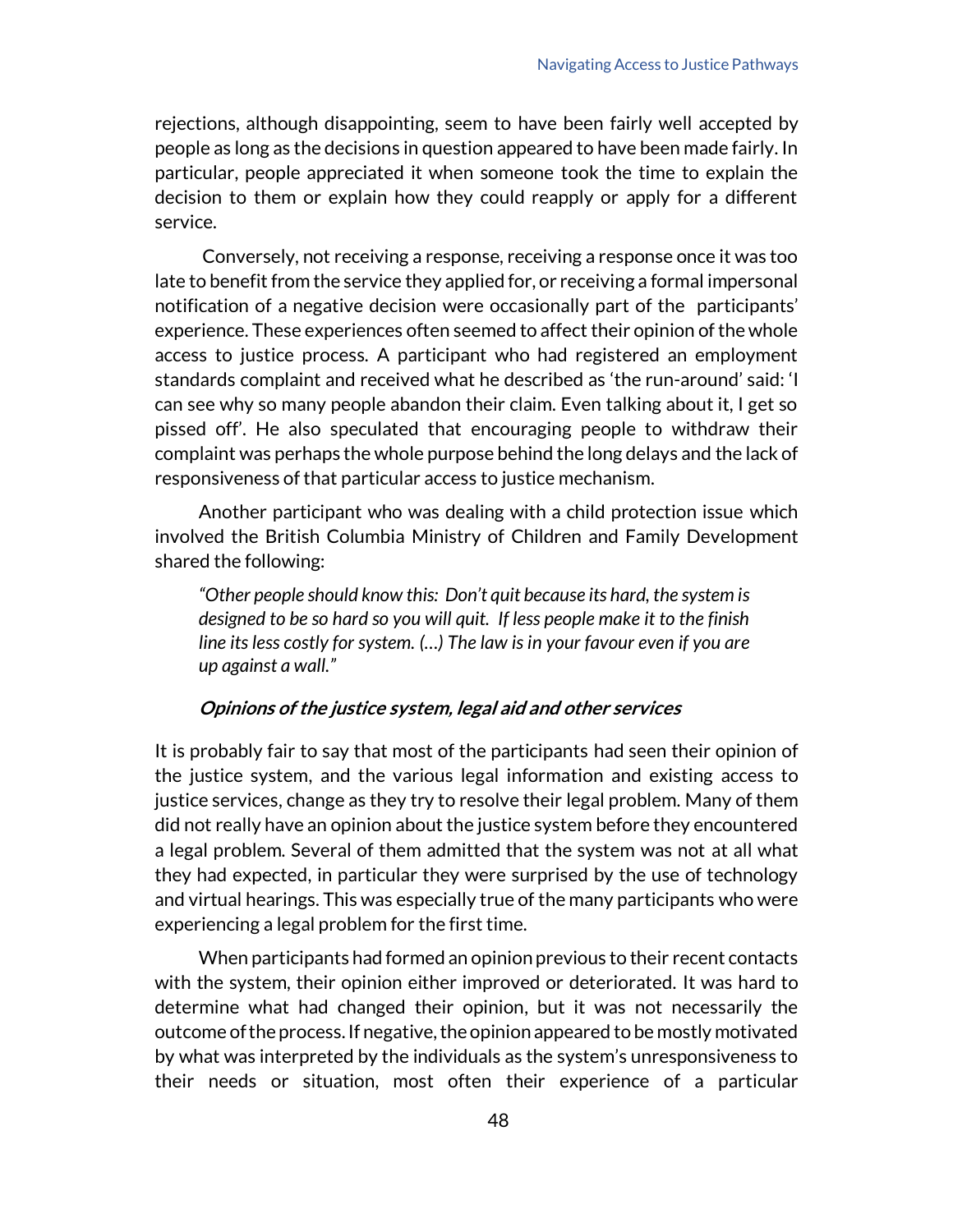rejections, although disappointing, seem to have been fairly well accepted by people as long as the decisions in question appeared to have been made fairly. In particular, people appreciated it when someone took the time to explain the decision to them or explain how they could reapply or apply for a different service.

Conversely, not receiving a response, receiving a response once it was too late to benefit from the service they applied for, or receiving a formal impersonal notification of a negative decision were occasionally part of the participants' experience. These experiences often seemed to affect their opinion of the whole access to justice process. A participant who had registered an employment standards complaint and received what he described as 'the run-around' said: 'I can see why so many people abandon their claim. Even talking about it, I get so pissed off'. He also speculated that encouraging people to withdraw their complaint was perhaps the whole purpose behind the long delays and the lack of responsiveness of that particular access to justice mechanism.

Another participant who was dealing with a child protection issue which involved the British Columbia Ministry of Children and Family Development shared the following:

*"Other people should know this: Don't quit because its hard, the system is designed to be so hard so you will quit. If less people make it to the finish line its less costly for system. (…) The law is in your favour even if you are up against a wall."* 

## **Opinions of the justice system, legal aid and other services**

It is probably fair to say that most of the participants had seen their opinion of the justice system, and the various legal information and existing access to justice services, change as they try to resolve their legal problem. Many of them did not really have an opinion about the justice system before they encountered a legal problem. Several of them admitted that the system was not at all what they had expected, in particular they were surprised by the use of technology and virtual hearings. This was especially true of the many participants who were experiencing a legal problem for the first time.

When participants had formed an opinion previous to their recent contacts with the system, their opinion either improved or deteriorated. It was hard to determine what had changed their opinion, but it was not necessarily the outcome of the process. If negative, the opinion appeared to be mostly motivated by what was interpreted by the individuals as the system's unresponsiveness to their needs or situation, most often their experience of a particular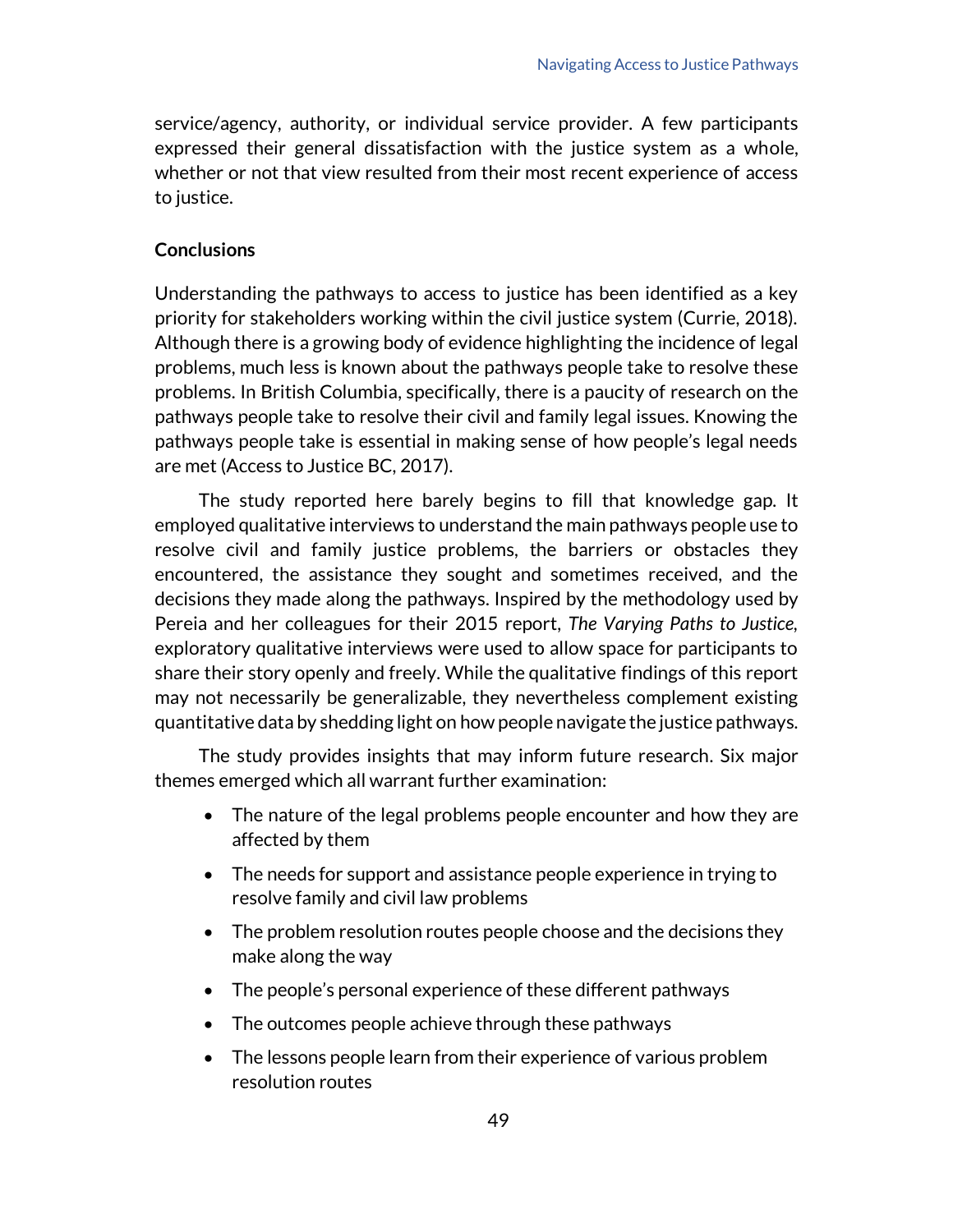service/agency, authority, or individual service provider. A few participants expressed their general dissatisfaction with the justice system as a whole, whether or not that view resulted from their most recent experience of access to justice.

## <span id="page-48-0"></span>**Conclusions**

Understanding the pathways to access to justice has been identified as a key priority for stakeholders working within the civil justice system (Currie, 2018). Although there is a growing body of evidence highlighting the incidence of legal problems, much less is known about the pathways people take to resolve these problems. In British Columbia, specifically, there is a paucity of research on the pathways people take to resolve their civil and family legal issues. Knowing the pathways people take is essential in making sense of how people's legal needs are met (Access to Justice BC, 2017).

The study reported here barely begins to fill that knowledge gap. It employed qualitative interviews to understand the main pathways people use to resolve civil and family justice problems, the barriers or obstacles they encountered, the assistance they sought and sometimes received, and the decisions they made along the pathways. Inspired by the methodology used by Pereia and her colleagues for their 2015 report, *The Varying Paths to Justice,*  exploratory qualitative interviews were used to allow space for participants to share their story openly and freely. While the qualitative findings of this report may not necessarily be generalizable, they nevertheless complement existing quantitative data by shedding light on how people navigate the justice pathways.

The study provides insights that may inform future research. Six major themes emerged which all warrant further examination:

- The nature of the legal problems people encounter and how they are affected by them
- The needs for support and assistance people experience in trying to resolve family and civil law problems
- The problem resolution routes people choose and the decisions they make along the way
- The people's personal experience of these different pathways
- The outcomes people achieve through these pathways
- The lessons people learn from their experience of various problem resolution routes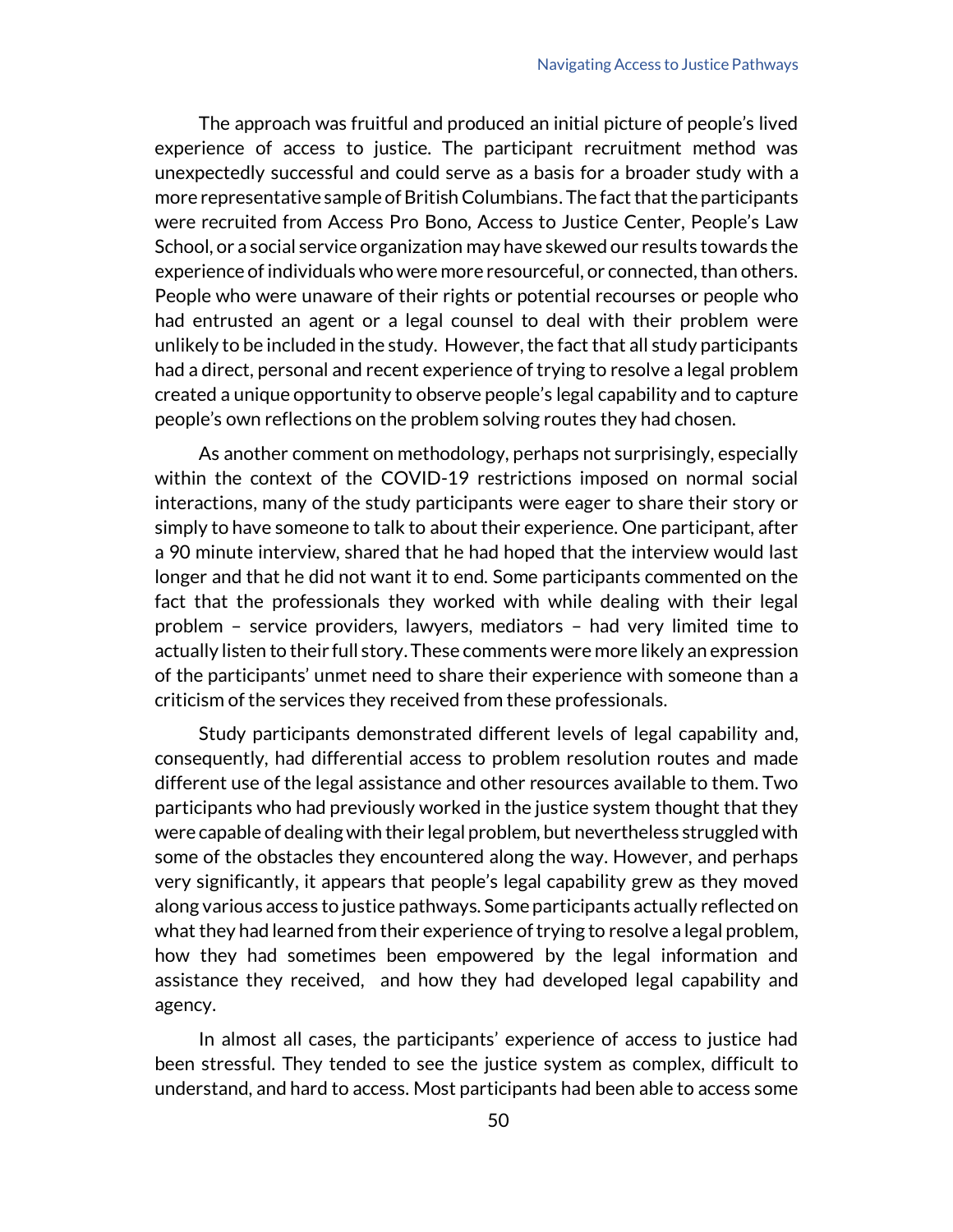The approach was fruitful and produced an initial picture of people's lived experience of access to justice. The participant recruitment method was unexpectedly successful and could serve as a basis for a broader study with a more representative sample of British Columbians. The fact that the participants were recruited from Access Pro Bono, Access to Justice Center, People's Law School, or a social service organization may have skewed our results towards the experience of individuals who were more resourceful, or connected, than others. People who were unaware of their rights or potential recourses or people who had entrusted an agent or a legal counsel to deal with their problem were unlikely to be included in the study. However, the fact that all study participants had a direct, personal and recent experience of trying to resolve a legal problem created a unique opportunity to observe people's legal capability and to capture people's own reflections on the problem solving routes they had chosen.

As another comment on methodology, perhaps not surprisingly, especially within the context of the COVID-19 restrictions imposed on normal social interactions, many of the study participants were eager to share their story or simply to have someone to talk to about their experience. One participant, after a 90 minute interview, shared that he had hoped that the interview would last longer and that he did not want it to end. Some participants commented on the fact that the professionals they worked with while dealing with their legal problem – service providers, lawyers, mediators – had very limited time to actually listen to their full story. These comments were more likely an expression of the participants' unmet need to share their experience with someone than a criticism of the services they received from these professionals.

Study participants demonstrated different levels of legal capability and, consequently, had differential access to problem resolution routes and made different use of the legal assistance and other resources available to them. Two participants who had previously worked in the justice system thought that they were capable of dealing with their legal problem, but nevertheless struggled with some of the obstacles they encountered along the way. However, and perhaps very significantly, it appears that people's legal capability grew as they moved along various access to justice pathways. Some participants actually reflected on what they had learned from their experience of trying to resolve a legal problem, how they had sometimes been empowered by the legal information and assistance they received, and how they had developed legal capability and agency.

In almost all cases, the participants' experience of access to justice had been stressful. They tended to see the justice system as complex, difficult to understand, and hard to access. Most participants had been able to access some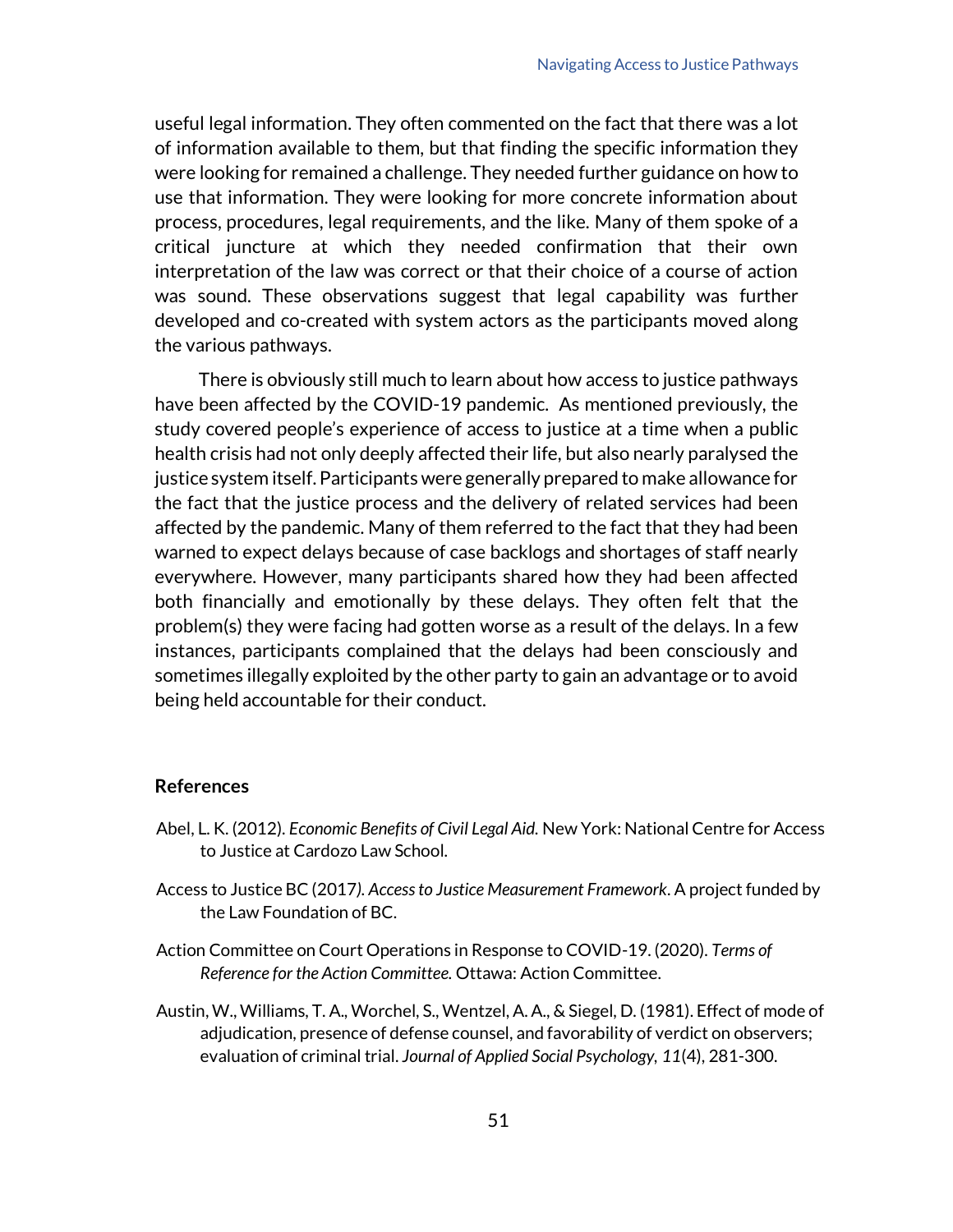useful legal information. They often commented on the fact that there was a lot of information available to them, but that finding the specific information they were looking for remained a challenge. They needed further guidance on how to use that information. They were looking for more concrete information about process, procedures, legal requirements, and the like. Many of them spoke of a critical juncture at which they needed confirmation that their own interpretation of the law was correct or that their choice of a course of action was sound. These observations suggest that legal capability was further developed and co-created with system actors as the participants moved along the various pathways.

There is obviously still much to learn about how access to justice pathways have been affected by the COVID-19 pandemic. As mentioned previously, the study covered people's experience of access to justice at a time when a public health crisis had not only deeply affected their life, but also nearly paralysed the justice system itself. Participants were generally prepared to make allowance for the fact that the justice process and the delivery of related services had been affected by the pandemic. Many of them referred to the fact that they had been warned to expect delays because of case backlogs and shortages of staff nearly everywhere. However, many participants shared how they had been affected both financially and emotionally by these delays. They often felt that the problem(s) they were facing had gotten worse as a result of the delays. In a few instances, participants complained that the delays had been consciously and sometimes illegally exploited by the other party to gain an advantage or to avoid being held accountable for their conduct.

#### <span id="page-50-0"></span>**References**

- Abel, L. K. (2012). *Economic Benefits of Civil Legal Aid.* New York: National Centre for Access to Justice at Cardozo Law School.
- Access to Justice BC (2017*). Access to Justice Measurement Framework*. A project funded by the Law Foundation of BC.
- Action Committee on Court Operations in Response to COVID-19. (2020). *Terms of Reference for the Action Committee.* Ottawa: Action Committee.
- Austin, W., Williams, T. A., Worchel, S., Wentzel, A. A., & Siegel, D. (1981). Effect of mode of adjudication, presence of defense counsel, and favorability of verdict on observers; evaluation of criminal trial. *Journal of Applied Social Psychology, 11*(4), 281-300.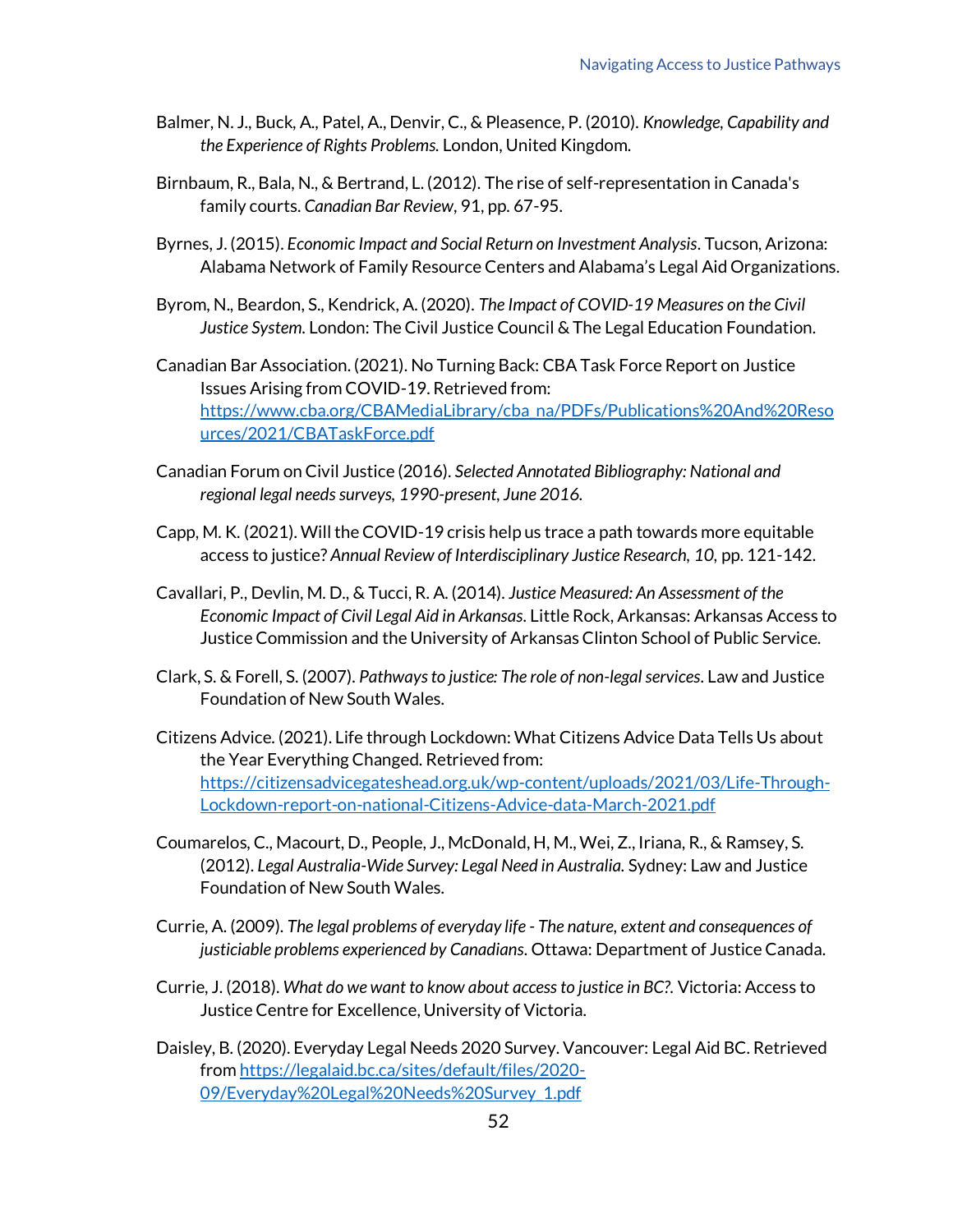- Balmer, N. J., Buck, A., Patel, A., Denvir, C., & Pleasence, P. (2010). *Knowledge, Capability and the Experience of Rights Problems.* London, United Kingdom.
- Birnbaum, R., Bala, N., & Bertrand, L. (2012). The rise of self-representation in Canada's family courts. *Canadian Bar Review*, 91, pp. 67-95.
- Byrnes, J. (2015). *Economic Impact and Social Return on Investment Analysis*. Tucson, Arizona: Alabama Network of Family Resource Centers and Alabama's Legal Aid Organizations.
- Byrom, N., Beardon, S., Kendrick, A. (2020). *The Impact of COVID-19 Measures on the Civil Justice System.* London: The Civil Justice Council & The Legal Education Foundation.
- Canadian Bar Association. (2021). No Turning Back: CBA Task Force Report on Justice Issues Arising from COVID-19. Retrieved from: [https://www.cba.org/CBAMediaLibrary/cba\\_na/PDFs/Publications%20And%20Reso](https://www.cba.org/CBAMediaLibrary/cba_na/PDFs/Publications%20And%20Resources/2021/CBATaskForce.pdf) [urces/2021/CBATaskForce.pdf](https://www.cba.org/CBAMediaLibrary/cba_na/PDFs/Publications%20And%20Resources/2021/CBATaskForce.pdf)
- Canadian Forum on Civil Justice (2016). *Selected Annotated Bibliography: National and regional legal needs surveys, 1990-present, June 2016.*
- Capp, M. K. (2021). Will the COVID-19 crisis help us trace a path towards more equitable access to justice? *Annual Review of Interdisciplinary Justice Research, 10,* pp. 121-142.
- Cavallari, P., Devlin, M. D., & Tucci, R. A. (2014). *Justice Measured: An Assessment of the Economic Impact of Civil Legal Aid in Arkansas*. Little Rock, Arkansas: Arkansas Access to Justice Commission and the University of Arkansas Clinton School of Public Service.
- Clark, S. & Forell, S. (2007). *Pathways to justice: The role of non-legal services*. Law and Justice Foundation of New South Wales.
- Citizens Advice. (2021). Life through Lockdown: What Citizens Advice Data Tells Us about the Year Everything Changed. Retrieved from: [https://citizensadvicegateshead.org.uk/wp-content/uploads/2021/03/Life-Through-](https://citizensadvicegateshead.org.uk/wp-content/uploads/2021/03/Life-Through-Lockdown-report-on-national-Citizens-Advice-data-March-2021.pdf)[Lockdown-report-on-national-Citizens-Advice-data-March-2021.pdf](https://citizensadvicegateshead.org.uk/wp-content/uploads/2021/03/Life-Through-Lockdown-report-on-national-Citizens-Advice-data-March-2021.pdf)
- Coumarelos, C., Macourt, D., People, J., McDonald, H, M., Wei, Z., Iriana, R., & Ramsey, S. (2012). *Legal Australia-Wide Survey: Legal Need in Australia.* Sydney: Law and Justice Foundation of New South Wales.
- Currie, A. (2009). *The legal problems of everyday life - The nature, extent and consequences of justiciable problems experienced by Canadians*. Ottawa: Department of Justice Canada.
- Currie, J. (2018). *What do we want to know about access to justice in BC?.* Victoria: Access to Justice Centre for Excellence, University of Victoria.
- Daisley, B. (2020). Everyday Legal Needs 2020 Survey. Vancouver: Legal Aid BC. Retrieved fro[m https://legalaid.bc.ca/sites/default/files/2020-](https://legalaid.bc.ca/sites/default/files/2020-09/Everyday%20Legal%20Needs%20Survey_1.pdf) [09/Everyday%20Legal%20Needs%20Survey\\_1.pdf](https://legalaid.bc.ca/sites/default/files/2020-09/Everyday%20Legal%20Needs%20Survey_1.pdf)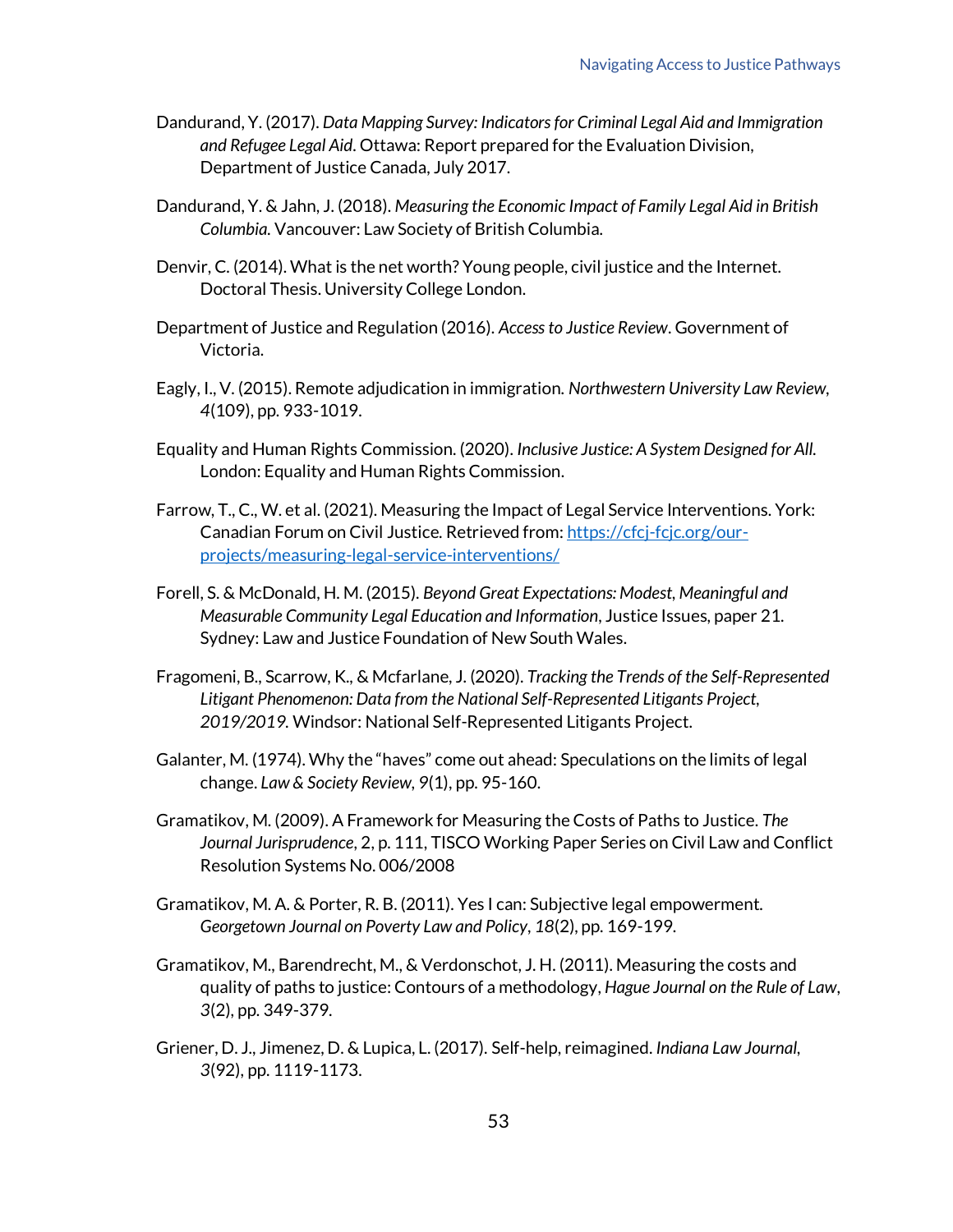- Dandurand, Y. (2017). *Data Mapping Survey: Indicators for Criminal Legal Aid and Immigration and Refugee Legal Aid*. Ottawa: Report prepared for the Evaluation Division, Department of Justice Canada, July 2017.
- Dandurand, Y. & Jahn, J. (2018). *Measuring the Economic Impact of Family Legal Aid in British Columbia.* Vancouver: Law Society of British Columbia.
- Denvir, C. (2014). What is the net worth? Young people, civil justice and the Internet. Doctoral Thesis. University College London.
- Department of Justice and Regulation (2016). *Access to Justice Review*. Government of Victoria.
- Eagly, I., V. (2015). Remote adjudication in immigration. *Northwestern University Law Review, 4*(109), pp. 933-1019.
- Equality and Human Rights Commission. (2020). *Inclusive Justice: A System Designed for All.* London: Equality and Human Rights Commission.
- Farrow, T., C., W. et al. (2021). Measuring the Impact of Legal Service Interventions. York: Canadian Forum on Civil Justice. Retrieved from[: https://cfcj-fcjc.org/our](https://cfcj-fcjc.org/our-projects/measuring-legal-service-interventions/)[projects/measuring-legal-service-interventions/](https://cfcj-fcjc.org/our-projects/measuring-legal-service-interventions/)
- Forell, S. & McDonald, H. M. (2015). *Beyond Great Expectations: Modest, Meaningful and Measurable Community Legal Education and Information*, Justice Issues, paper 21. Sydney: Law and Justice Foundation of New South Wales.
- Fragomeni, B., Scarrow, K., & Mcfarlane, J. (2020). *Tracking the Trends of the Self-Represented Litigant Phenomenon: Data from the National Self-Represented Litigants Project, 2019/2019.* Windsor: National Self-Represented Litigants Project.
- Galanter, M. (1974). Why the "haves" come out ahead: Speculations on the limits of legal change. *Law & Society Review, 9*(1), pp. 95-160.
- Gramatikov, M. (2009). A Framework for Measuring the Costs of Paths to Justice. *The Journal Jurisprudence*, 2, p. 111, TISCO Working Paper Series on Civil Law and Conflict Resolution Systems No. 006/2008
- Gramatikov, M. A. & Porter, R. B. (2011). Yes I can: Subjective legal empowerment. *Georgetown Journal on Poverty Law and Policy*, *18*(2), pp. 169-199.
- Gramatikov, M., Barendrecht, M., & Verdonschot, J. H. (2011). Measuring the costs and quality of paths to justice: Contours of a methodology, *Hague Journal on the Rule of Law*, *3*(2), pp. 349-379.
- Griener, D. J., Jimenez, D. & Lupica, L. (2017). Self-help, reimagined. *Indiana Law Journal, 3*(92), pp. 1119-1173.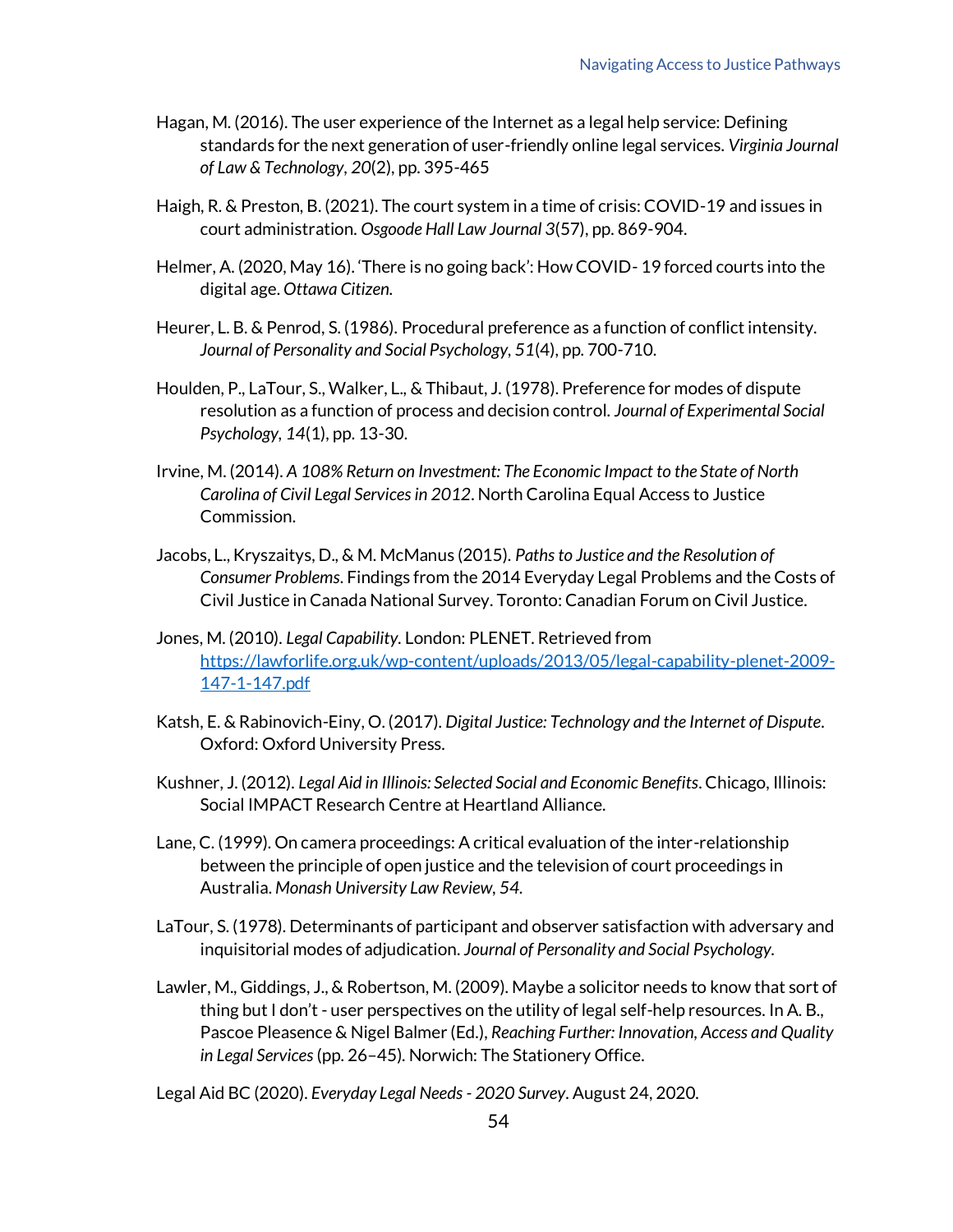- Hagan, M. (2016). The user experience of the Internet as a legal help service: Defining standards for the next generation of user-friendly online legal services. *Virginia Journal of Law & Technology, 20*(2), pp. 395-465
- Haigh, R. & Preston, B. (2021). The court system in a time of crisis: COVID-19 and issues in court administration. *Osgoode Hall Law Journal 3*(57), pp. 869-904.
- Helmer, A. (2020, May 16). 'There is no going back': How COVID- 19 forced courts into the digital age. *Ottawa Citizen.*
- Heurer, L. B. & Penrod, S. (1986). Procedural preference as a function of conflict intensity. *Journal of Personality and Social Psychology, 51*(4), pp. 700-710*.*
- Houlden, P., LaTour, S., Walker, L., & Thibaut, J. (1978). Preference for modes of dispute resolution as a function of process and decision control. *Journal of Experimental Social Psychology, 14*(1), pp. 13-30.
- Irvine, M. (2014). *A 108% Return on Investment: The Economic Impact to the State of North Carolina of Civil Legal Services in 2012*. North Carolina Equal Access to Justice Commission.
- Jacobs, L., Kryszaitys, D., & M. McManus (2015). *Paths to Justice and the Resolution of Consumer Problems*. Findings from the 2014 Everyday Legal Problems and the Costs of Civil Justice in Canada National Survey. Toronto: Canadian Forum on Civil Justice.
- Jones, M. (2010). *Legal Capability.* London: PLENET. Retrieved from [https://lawforlife.org.uk/wp-content/uploads/2013/05/legal-capability-plenet-2009-](https://lawforlife.org.uk/wp-content/uploads/2013/05/legal-capability-plenet-2009-147-1-147.pdf) [147-1-147.pdf](https://lawforlife.org.uk/wp-content/uploads/2013/05/legal-capability-plenet-2009-147-1-147.pdf)
- Katsh, E. & Rabinovich-Einy, O. (2017). *Digital Justice: Technology and the Internet of Dispute*. Oxford: Oxford University Press.
- Kushner, J. (2012). *Legal Aid in Illinois: Selected Social and Economic Benefits*. Chicago, Illinois: Social IMPACT Research Centre at Heartland Alliance.
- Lane, C. (1999). On camera proceedings: A critical evaluation of the inter-relationship between the principle of open justice and the television of court proceedings in Australia. *Monash University Law Review, 54.*
- LaTour, S. (1978). Determinants of participant and observer satisfaction with adversary and inquisitorial modes of adjudication. *Journal of Personality and Social Psychology.*
- Lawler, M., Giddings, J., & Robertson, M. (2009). Maybe a solicitor needs to know that sort of thing but I don't - user perspectives on the utility of legal self-help resources. In A. B., Pascoe Pleasence & Nigel Balmer (Ed.), *Reaching Further: Innovation, Access and Quality in Legal Services* (pp. 26–45). Norwich: The Stationery Office.

Legal Aid BC (2020). *Everyday Legal Needs - 2020 Survey*. August 24, 2020.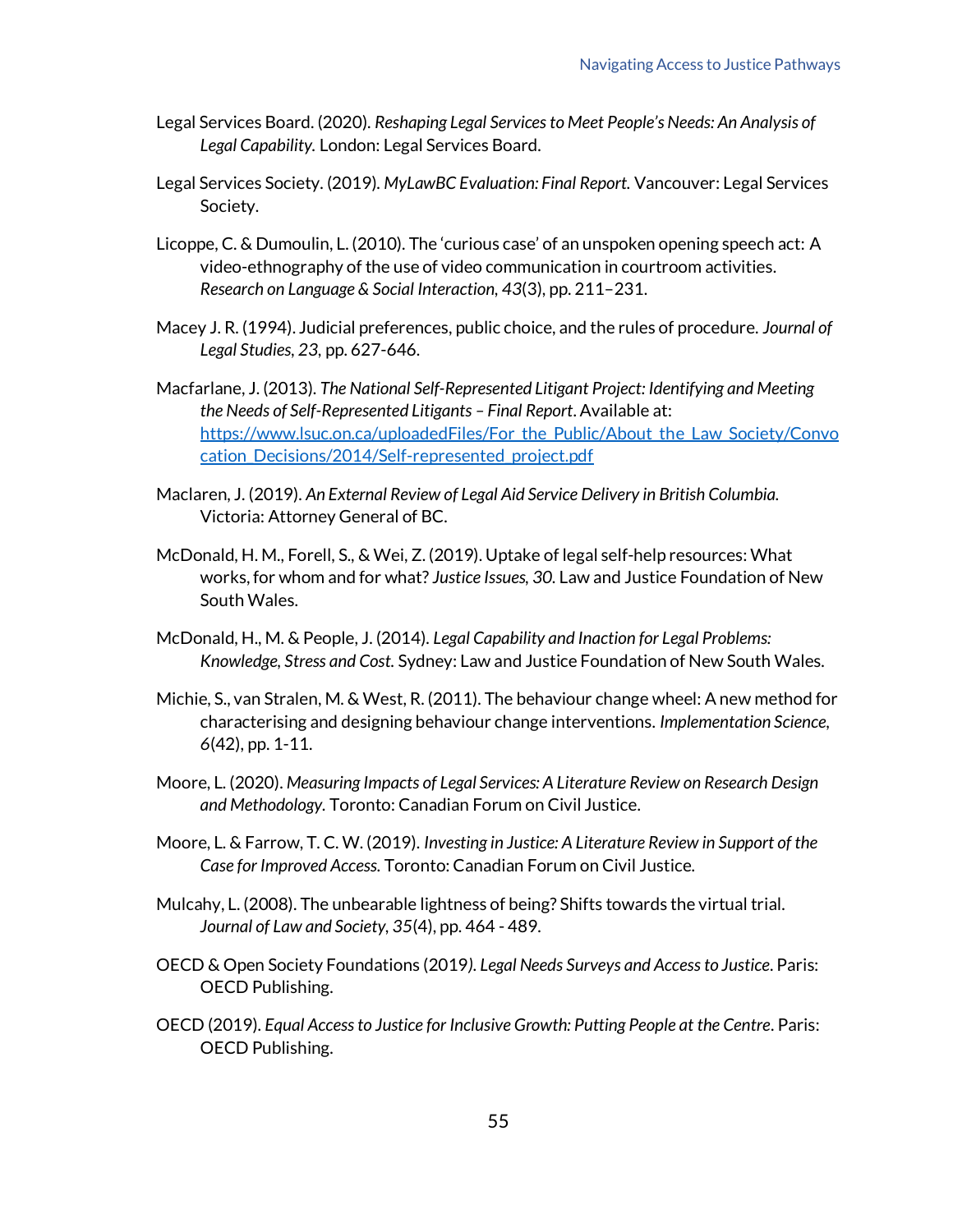- Legal Services Board. (2020). *Reshaping Legal Services to Meet People's Needs: An Analysis of Legal Capability.* London: Legal Services Board.
- Legal Services Society. (2019). *MyLawBC Evaluation: Final Report.* Vancouver: Legal Services Society.
- Licoppe, C. & Dumoulin, L. (2010). The 'curious case' of an unspoken opening speech act: A video-ethnography of the use of video communication in courtroom activities. *Research on Language & Social Interaction, 43*(3), pp. 211–231.
- Macey J. R. (1994). Judicial preferences, public choice, and the rules of procedure. *Journal of Legal Studies, 23,* pp. 627-646.
- Macfarlane, J. (2013). *The National Self-Represented Litigant Project: Identifying and Meeting the Needs of Self-Represented Litigants – Final Report*. Available at: [https://www.lsuc.on.ca/uploadedFiles/For\\_the\\_Public/About\\_the\\_Law\\_Society/Convo](https://www.lsuc.on.ca/uploadedFiles/For_the_Public/About_the_Law_Society/Convocation_Decisions/2014/Self-represented_project.pdf) [cation\\_Decisions/2014/Self-represented\\_project.pdf](https://www.lsuc.on.ca/uploadedFiles/For_the_Public/About_the_Law_Society/Convocation_Decisions/2014/Self-represented_project.pdf)
- Maclaren, J. (2019). *An External Review of Legal Aid Service Delivery in British Columbia.* Victoria: Attorney General of BC.
- McDonald, H. M., Forell, S., & Wei, Z. (2019). Uptake of legal self-help resources: What works, for whom and for what? *Justice Issues, 30.* Law and Justice Foundation of New South Wales.
- McDonald, H., M. & People, J. (2014). *Legal Capability and Inaction for Legal Problems: Knowledge, Stress and Cost.* Sydney: Law and Justice Foundation of New South Wales.
- Michie, S., van Stralen, M. & West, R. (2011). The behaviour change wheel: A new method for characterising and designing behaviour change interventions. *Implementation Science, 6*(42), pp. 1-11.
- Moore, L. (2020). *Measuring Impacts of Legal Services: A Literature Review on Research Design and Methodology.* Toronto: Canadian Forum on Civil Justice.
- Moore, L. & Farrow, T. C. W. (2019). *Investing in Justice: A Literature Review in Support of the Case for Improved Access.* Toronto: Canadian Forum on Civil Justice.
- Mulcahy, L. (2008). The unbearable lightness of being? Shifts towards the virtual trial. *Journal of Law and Society, 35*(4), pp. 464 - 489.
- OECD & Open Society Foundations (2019*). Legal Needs Surveys and Access to Justice*. Paris: OECD Publishing.
- OECD (2019). *Equal Access to Justice for Inclusive Growth: Putting People at the Centre*. Paris: OECD Publishing.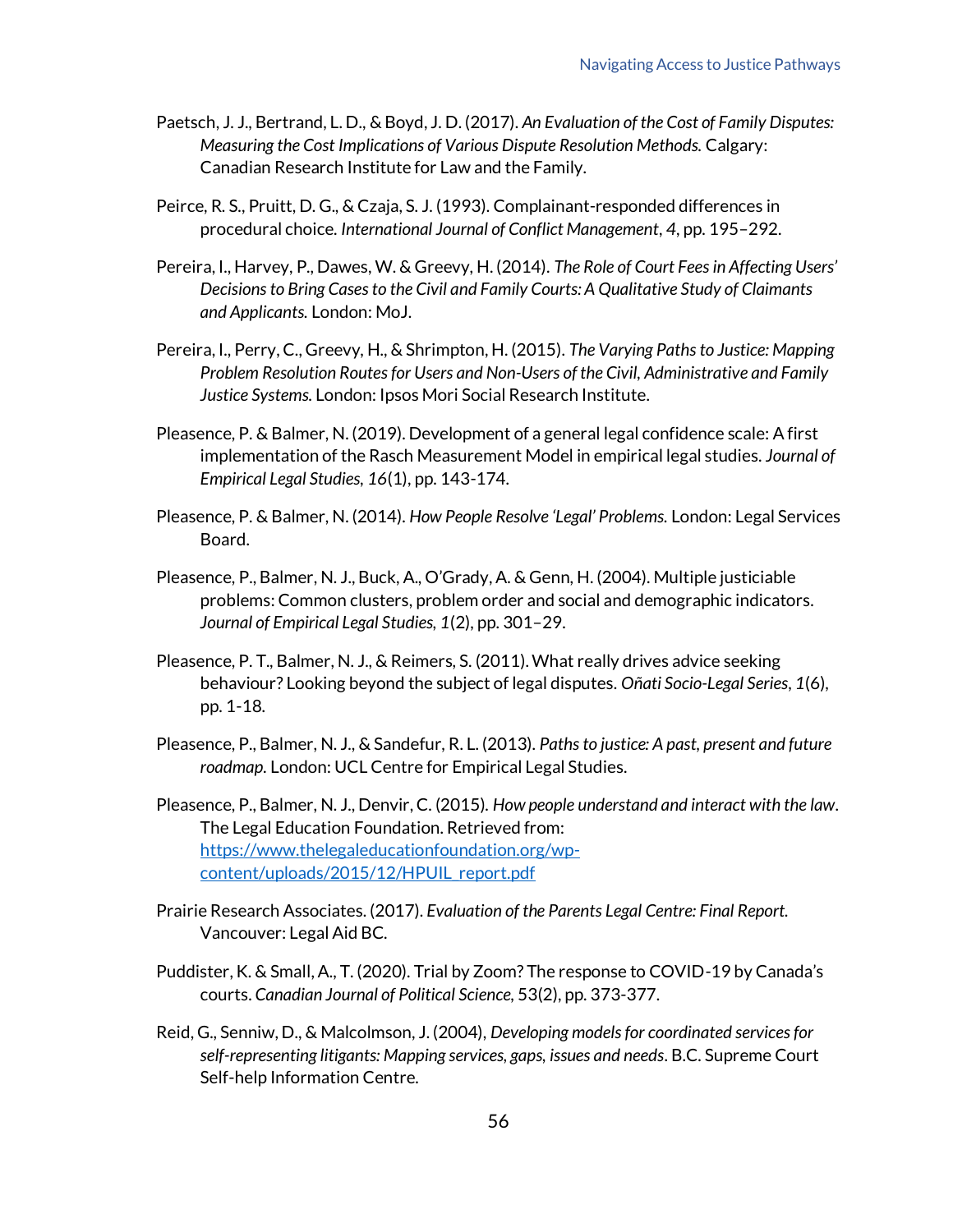- Paetsch, J. J., Bertrand, L. D., & Boyd, J. D. (2017). *An Evaluation of the Cost of Family Disputes: Measuring the Cost Implications of Various Dispute Resolution Methods.* Calgary: Canadian Research Institute for Law and the Family.
- Peirce, R. S., Pruitt, D. G., & Czaja, S. J. (1993). Complainant-responded differences in procedural choice. *International Journal of Conflict Management*, *4*, pp. 195–292.
- Pereira, I., Harvey, P., Dawes, W. & Greevy, H. (2014). *The Role of Court Fees in Affecting Users' Decisions to Bring Cases to the Civil and Family Courts: A Qualitative Study of Claimants and Applicants.* London: MoJ.
- Pereira, I., Perry, C., Greevy, H., & Shrimpton, H. (2015). *The Varying Paths to Justice: Mapping Problem Resolution Routes for Users and Non-Users of the Civil, Administrative and Family Justice Systems.* London: Ipsos Mori Social Research Institute.
- Pleasence, P. & Balmer, N. (2019). Development of a general legal confidence scale: A first implementation of the Rasch Measurement Model in empirical legal studies. *Journal of Empirical Legal Studies, 16*(1), pp. 143-174.
- Pleasence, P. & Balmer, N. (2014). *How People Resolve 'Legal' Problems.* London: Legal Services Board.
- Pleasence, P., Balmer, N. J., Buck, A., O'Grady, A. & Genn, H. (2004). Multiple justiciable problems: Common clusters, problem order and social and demographic indicators. *Journal of Empirical Legal Studies, 1*(2), pp. 301–29.
- Pleasence, P. T., Balmer, N. J., & Reimers, S. (2011). What really drives advice seeking behaviour? Looking beyond the subject of legal disputes. *Oñati Socio-Legal Series*, *1*(6), pp. 1-18.
- Pleasence, P., Balmer, N. J., & Sandefur, R. L. (2013). *Paths to justice: A past, present and future roadmap.* London: UCL Centre for Empirical Legal Studies.
- Pleasence, P., Balmer, N. J., Denvir, C. (2015). *How people understand and interact with the law*. The Legal Education Foundation. Retrieved from: [https://www.thelegaleducationfoundation.org/wp](https://www.thelegaleducationfoundation.org/wp-content/uploads/2015/12/HPUIL_report.pdf)[content/uploads/2015/12/HPUIL\\_report.pdf](https://www.thelegaleducationfoundation.org/wp-content/uploads/2015/12/HPUIL_report.pdf)
- Prairie Research Associates. (2017). *Evaluation of the Parents Legal Centre: Final Report.*  Vancouver: Legal Aid BC.
- Puddister, K. & Small, A., T. (2020). Trial by Zoom? The response to COVID-19 by Canada's courts. *Canadian Journal of Political Science,* 53(2), pp. 373-377.
- Reid, G., Senniw, D., & Malcolmson, J. (2004), *Developing models for coordinated services for self-representing litigants: Mapping services, gaps, issues and needs*. B.C. Supreme Court Self-help Information Centre.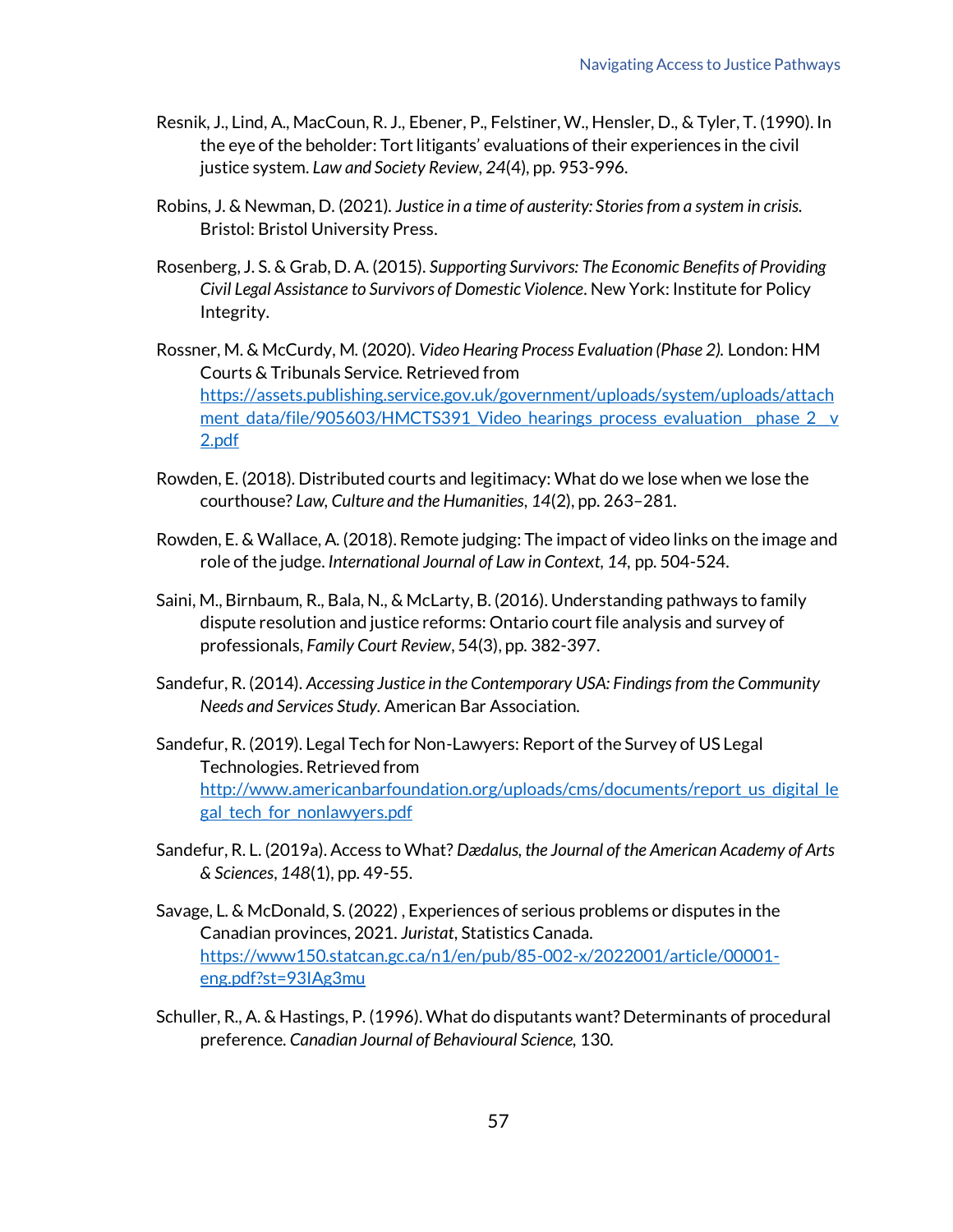- Resnik, J., Lind, A., MacCoun, R. J., Ebener, P., Felstiner, W., Hensler, D., & Tyler, T. (1990). In the eye of the beholder: Tort litigants' evaluations of their experiences in the civil justice system. *Law and Society Review, 24*(4), pp. 953-996.
- Robins, J. & Newman, D. (2021). *Justice in a time of austerity: Stories from a system in crisis.*  Bristol: Bristol University Press.
- Rosenberg, J. S. & Grab, D. A. (2015). *Supporting Survivors: The Economic Benefits of Providing Civil Legal Assistance to Survivors of Domestic Violence*. New York: Institute for Policy Integrity.
- Rossner, M. & McCurdy, M. (2020). *Video Hearing Process Evaluation (Phase 2).* London: HM Courts & Tribunals Service. Retrieved from [https://assets.publishing.service.gov.uk/government/uploads/system/uploads/attach](https://assets.publishing.service.gov.uk/government/uploads/system/uploads/attachment_data/file/905603/HMCTS391_Video_hearings_process_evaluation__phase_2__v2.pdf) ment\_data/file/905603/HMCTS391\_Video\_hearings\_process\_evaluation\_phase\_2\_v [2.pdf](https://assets.publishing.service.gov.uk/government/uploads/system/uploads/attachment_data/file/905603/HMCTS391_Video_hearings_process_evaluation__phase_2__v2.pdf)
- Rowden, E. (2018). Distributed courts and legitimacy: What do we lose when we lose the courthouse? *Law, Culture and the Humanities*, *14*(2), pp. 263–281.
- Rowden, E. & Wallace, A. (2018). Remote judging: The impact of video links on the image and role of the judge. *International Journal of Law in Context, 14,* pp. 504-524.
- Saini, M., Birnbaum, R., Bala, N., & McLarty, B. (2016). Understanding pathways to family dispute resolution and justice reforms: Ontario court file analysis and survey of professionals, *Family Court Review*, 54(3), pp. 382-397.
- Sandefur, R. (2014). *Accessing Justice in the Contemporary USA: Findings from the Community Needs and Services Study.* American Bar Association.
- Sandefur, R. (2019). Legal Tech for Non-Lawyers: Report of the Survey of US Legal Technologies. Retrieved from [http://www.americanbarfoundation.org/uploads/cms/documents/report\\_us\\_digital\\_le](http://www.americanbarfoundation.org/uploads/cms/documents/report_us_digital_legal_tech_for_nonlawyers.pdf) [gal\\_tech\\_for\\_nonlawyers.pdf](http://www.americanbarfoundation.org/uploads/cms/documents/report_us_digital_legal_tech_for_nonlawyers.pdf)
- Sandefur, R. L. (2019a). Access to What? *Dædalus, the Journal of the American Academy of Arts & Sciences*, *148*(1), pp. 49-55.
- Savage, L. & McDonald, S. (2022) , Experiences of serious problems or disputes in the Canadian provinces, 2021. *Juristat*, Statistics Canada. [https://www150.statcan.gc.ca/n1/en/pub/85-002-x/2022001/article/00001](https://www150.statcan.gc.ca/n1/en/pub/85-002-x/2022001/article/00001-eng.pdf?st=93IAg3mu) [eng.pdf?st=93IAg3mu](https://www150.statcan.gc.ca/n1/en/pub/85-002-x/2022001/article/00001-eng.pdf?st=93IAg3mu)
- Schuller, R., A. & Hastings, P. (1996). What do disputants want? Determinants of procedural preference. *Canadian Journal of Behavioural Science,* 130.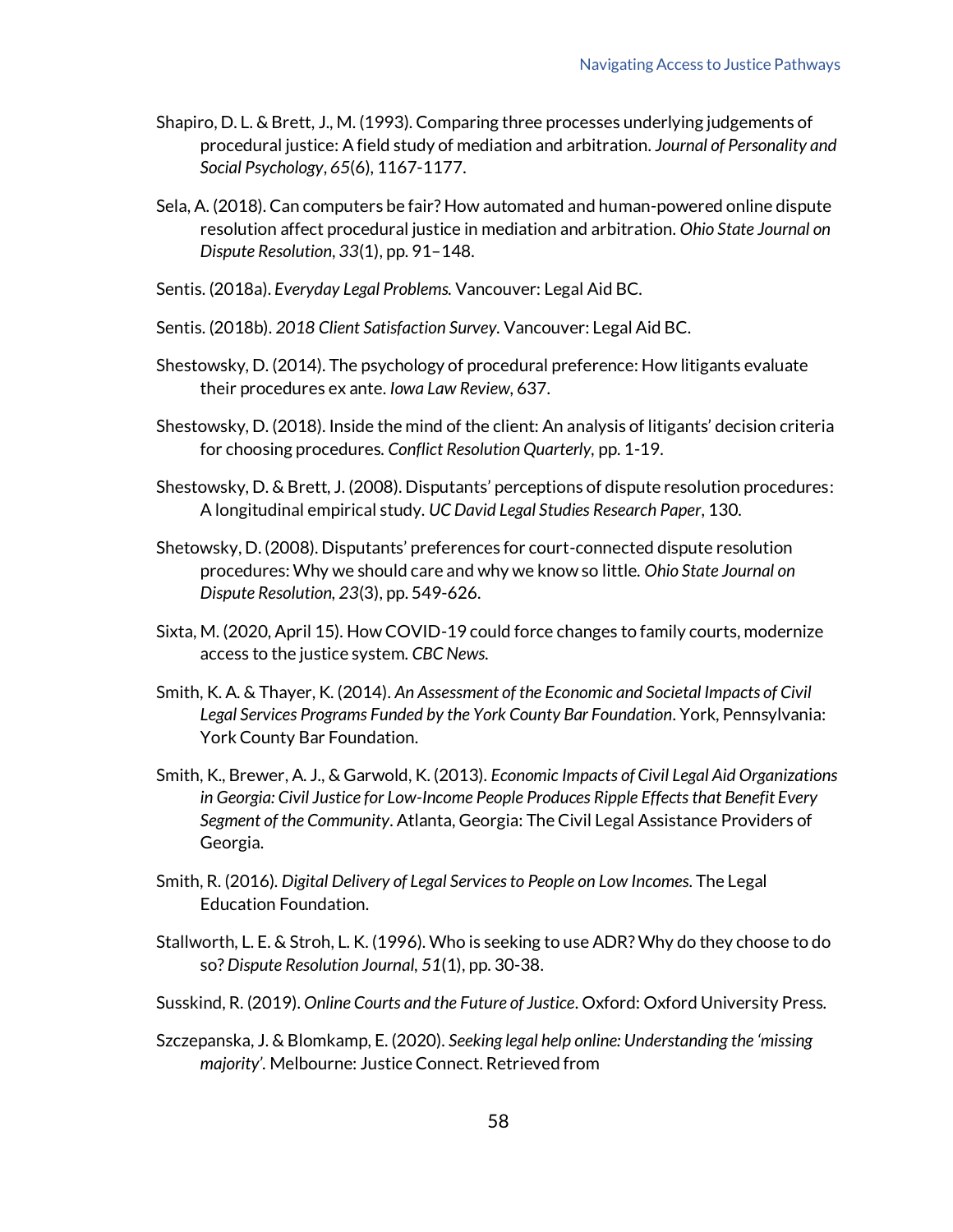- Shapiro, D. L. & Brett, J., M. (1993). Comparing three processes underlying judgements of procedural justice: A field study of mediation and arbitration. *Journal of Personality and Social Psychology*, *65*(6), 1167-1177.
- Sela, A. (2018). Can computers be fair? How automated and human-powered online dispute resolution affect procedural justice in mediation and arbitration. *Ohio State Journal on Dispute Resolution*, *33*(1), pp. 91–148.
- Sentis. (2018a). *Everyday Legal Problems.* Vancouver: Legal Aid BC.
- Sentis. (2018b). *2018 Client Satisfaction Survey.* Vancouver: Legal Aid BC.
- Shestowsky, D. (2014). The psychology of procedural preference: How litigants evaluate their procedures ex ante. *Iowa Law Review*, 637.
- Shestowsky, D. (2018). Inside the mind of the client: An analysis of litigants' decision criteria for choosing procedures. *Conflict Resolution Quarterly,* pp. 1-19.
- Shestowsky, D. & Brett, J. (2008). Disputants' perceptions of dispute resolution procedures: A longitudinal empirical study. *UC David Legal Studies Research Paper*, 130.
- Shetowsky, D. (2008). Disputants' preferences for court-connected dispute resolution procedures: Why we should care and why we know so little. *Ohio State Journal on Dispute Resolution, 23*(3), pp. 549-626.
- Sixta, M. (2020, April 15). How COVID-19 could force changes to family courts, modernize access to the justice system. *CBC News.*
- Smith, K. A. & Thayer, K. (2014). *An Assessment of the Economic and Societal Impacts of Civil Legal Services Programs Funded by the York County Bar Foundation*. York, Pennsylvania: York County Bar Foundation.
- Smith, K., Brewer, A. J., & Garwold, K. (2013). *Economic Impacts of Civil Legal Aid Organizations in Georgia: Civil Justice for Low-Income People Produces Ripple Effects that Benefit Every Segment of the Community*. Atlanta, Georgia: The Civil Legal Assistance Providers of Georgia.
- Smith, R. (2016). *Digital Delivery of Legal Services to People on Low Incomes*. The Legal Education Foundation.
- Stallworth, L. E. & Stroh, L. K. (1996). Who is seeking to use ADR? Why do they choose to do so? *Dispute Resolution Journal, 51*(1), pp. 30-38.
- Susskind, R. (2019). *Online Courts and the Future of Justice*. Oxford: Oxford University Press.
- Szczepanska, J. & Blomkamp, E. (2020). *Seeking legal help online: Understanding the 'missing majority'.* Melbourne: Justice Connect. Retrieved from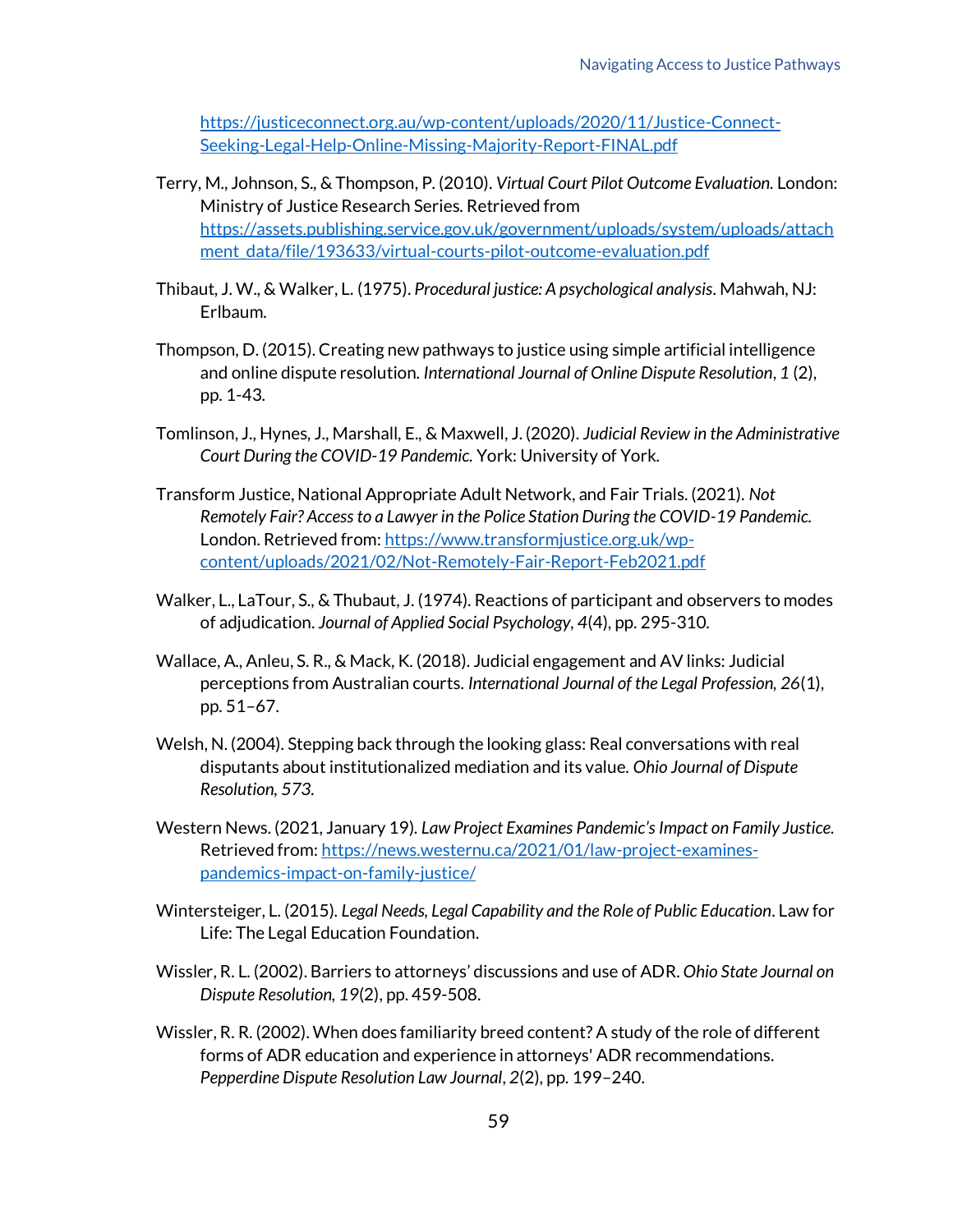[https://justiceconnect.org.au/wp-content/uploads/2020/11/Justice-Connect-](https://justiceconnect.org.au/wp-content/uploads/2020/11/Justice-Connect-Seeking-Legal-Help-Online-Missing-Majority-Report-FINAL.pdf)[Seeking-Legal-Help-Online-Missing-Majority-Report-FINAL.pdf](https://justiceconnect.org.au/wp-content/uploads/2020/11/Justice-Connect-Seeking-Legal-Help-Online-Missing-Majority-Report-FINAL.pdf)

- Terry, M., Johnson, S., & Thompson, P. (2010). *Virtual Court Pilot Outcome Evaluation.* London: Ministry of Justice Research Series. Retrieved from [https://assets.publishing.service.gov.uk/government/uploads/system/uploads/attach](https://assets.publishing.service.gov.uk/government/uploads/system/uploads/attachment_data/file/193633/virtual-courts-pilot-outcome-evaluation.pdf) [ment\\_data/file/193633/virtual-courts-pilot-outcome-evaluation.pdf](https://assets.publishing.service.gov.uk/government/uploads/system/uploads/attachment_data/file/193633/virtual-courts-pilot-outcome-evaluation.pdf)
- Thibaut, J. W., & Walker, L. (1975). *Procedural justice: A psychological analysis*. Mahwah, NJ: Erlbaum.
- Thompson, D. (2015). Creating new pathways to justice using simple artificial intelligence and online dispute resolution. *International Journal of Online Dispute Resolution*, *1* (2), pp. 1-43.
- Tomlinson, J., Hynes, J., Marshall, E., & Maxwell, J. (2020). *Judicial Review in the Administrative Court During the COVID-19 Pandemic.* York: University of York.
- Transform Justice, National Appropriate Adult Network, and Fair Trials. (2021). *Not Remotely Fair? Access to a Lawyer in the Police Station During the COVID-19 Pandemic.* London. Retrieved from[: https://www.transformjustice.org.uk/wp](https://www.transformjustice.org.uk/wp-content/uploads/2021/02/Not-Remotely-Fair-Report-Feb2021.pdf)[content/uploads/2021/02/Not-Remotely-Fair-Report-Feb2021.pdf](https://www.transformjustice.org.uk/wp-content/uploads/2021/02/Not-Remotely-Fair-Report-Feb2021.pdf)
- Walker, L., LaTour, S., & Thubaut, J. (1974). Reactions of participant and observers to modes of adjudication. *Journal of Applied Social Psychology, 4*(4), pp. 295-310.
- Wallace, A., Anleu, S. R., & Mack, K. (2018). Judicial engagement and AV links: Judicial perceptions from Australian courts. *International Journal of the Legal Profession, 26*(1), pp. 51–67.
- Welsh, N. (2004). Stepping back through the looking glass: Real conversations with real disputants about institutionalized mediation and its value. *Ohio Journal of Dispute Resolution, 573.*
- Western News. (2021, January 19). *Law Project Examines Pandemic's Impact on Family Justice.* Retrieved from[: https://news.westernu.ca/2021/01/law-project-examines](https://news.westernu.ca/2021/01/law-project-examines-pandemics-impact-on-family-justice/)[pandemics-impact-on-family-justice/](https://news.westernu.ca/2021/01/law-project-examines-pandemics-impact-on-family-justice/)
- Wintersteiger, L. (2015). *Legal Needs, Legal Capability and the Role of Public Education*. Law for Life: The Legal Education Foundation.
- Wissler, R. L. (2002). Barriers to attorneys' discussions and use of ADR. *Ohio State Journal on Dispute Resolution, 19*(2), pp. 459-508.
- Wissler, R. R. (2002). When does familiarity breed content? A study of the role of different forms of ADR education and experience in attorneys' ADR recommendations. *Pepperdine Dispute Resolution Law Journal*, *2*(2), pp. 199–240.